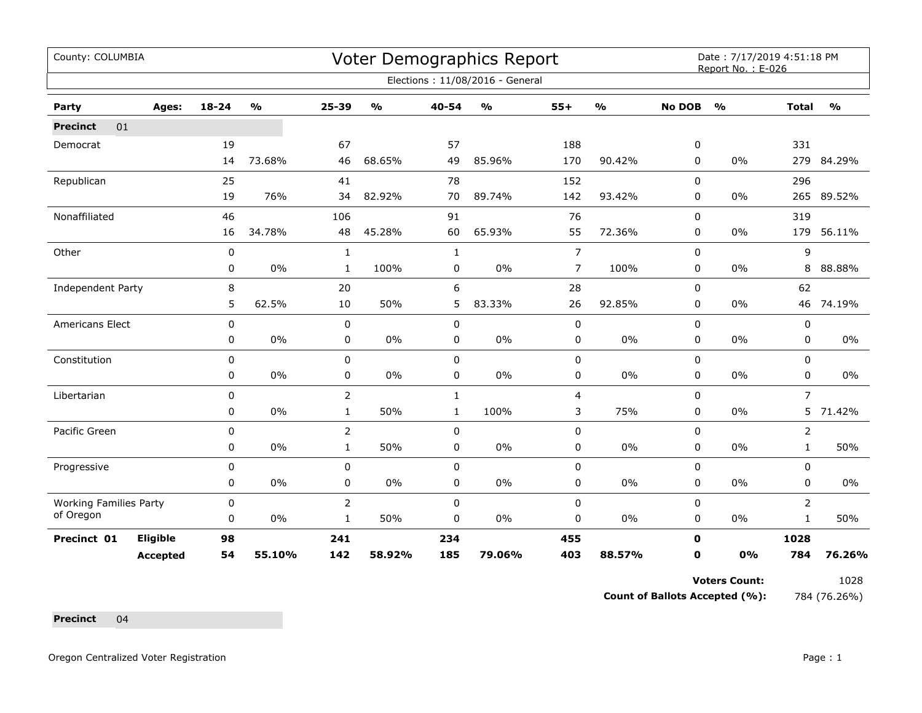| County: COLUMBIA              |                 |             |                                   |                |               |              | <b>Voter Demographics Report</b> |                |                         |               | Date: 7/17/2019 4:51:18 PM<br>Report No.: E-026 |                |               |
|-------------------------------|-----------------|-------------|-----------------------------------|----------------|---------------|--------------|----------------------------------|----------------|-------------------------|---------------|-------------------------------------------------|----------------|---------------|
|                               |                 |             |                                   |                |               |              | Elections: 11/08/2016 - General  |                |                         |               |                                                 |                |               |
| Party                         | Ages:           | $18 - 24$   | $\mathsf{o}\mathsf{v}_\mathsf{o}$ | 25-39          | $\frac{0}{0}$ | 40-54        | $\frac{0}{0}$                    | $55+$          | $\mathbf{O}/\mathbf{o}$ | <b>No DOB</b> | $\frac{0}{0}$                                   | <b>Total</b>   | $\frac{1}{2}$ |
| 01<br><b>Precinct</b>         |                 |             |                                   |                |               |              |                                  |                |                         |               |                                                 |                |               |
| Democrat                      |                 | 19          |                                   | 67             |               | 57           |                                  | 188            |                         | 0             |                                                 | 331            |               |
|                               |                 | 14          | 73.68%                            | 46             | 68.65%        | 49           | 85.96%                           | 170            | 90.42%                  | 0             | 0%                                              |                | 279 84.29%    |
| Republican                    |                 | 25          |                                   | 41             |               | 78           |                                  | 152            |                         | $\mathbf 0$   |                                                 | 296            |               |
|                               |                 | 19          | 76%                               | 34             | 82.92%        | 70           | 89.74%                           | 142            | 93.42%                  | 0             | 0%                                              | 265            | 89.52%        |
| Nonaffiliated                 |                 | 46          |                                   | 106            |               | 91           |                                  | 76             |                         | $\mathbf 0$   |                                                 | 319            |               |
|                               |                 | 16          | 34.78%                            | 48             | 45.28%        | 60           | 65.93%                           | 55             | 72.36%                  | 0             | 0%                                              | 179            | 56.11%        |
| Other                         |                 | $\pmb{0}$   |                                   | $\mathbf{1}$   |               | $\mathbf{1}$ |                                  | $\overline{7}$ |                         | 0             |                                                 | 9              |               |
|                               |                 | 0           | 0%                                | 1              | 100%          | 0            | 0%                               | $\overline{7}$ | 100%                    | 0             | 0%                                              | 8              | 88.88%        |
| Independent Party             |                 | 8           |                                   | 20             |               | 6            |                                  | 28             |                         | 0             |                                                 | 62             |               |
|                               |                 | 5           | 62.5%                             | 10             | 50%           | 5            | 83.33%                           | 26             | 92.85%                  | $\Omega$      | 0%                                              |                | 46 74.19%     |
| Americans Elect               |                 | 0           |                                   | 0              |               | $\mathbf 0$  |                                  | $\pmb{0}$      |                         | $\mathbf 0$   |                                                 | 0              |               |
|                               |                 | 0           | 0%                                | $\mathbf 0$    | $0\%$         | $\mathbf 0$  | $0\%$                            | 0              | $0\%$                   | 0             | 0%                                              | 0              | $0\%$         |
| Constitution                  |                 | 0           |                                   | 0              |               | $\mathbf 0$  |                                  | $\pmb{0}$      |                         | 0             |                                                 | 0              |               |
|                               |                 | 0           | 0%                                | 0              | 0%            | $\mathbf 0$  | $0\%$                            | 0              | $0\%$                   | 0             | 0%                                              | 0              | 0%            |
| Libertarian                   |                 | $\pmb{0}$   |                                   | $\overline{2}$ |               | $\mathbf{1}$ |                                  | 4              |                         | 0             |                                                 | $\overline{7}$ |               |
|                               |                 | 0           | $0\%$                             | $\mathbf{1}$   | 50%           | $\mathbf{1}$ | 100%                             | 3              | 75%                     | 0             | 0%                                              | 5              | 71.42%        |
| Pacific Green                 |                 | $\mathbf 0$ |                                   | 2              |               | $\mathbf 0$  |                                  | $\mathbf 0$    |                         | 0             |                                                 | 2              |               |
|                               |                 | 0           | 0%                                | $\mathbf{1}$   | 50%           | $\pmb{0}$    | $0\%$                            | $\pmb{0}$      | $0\%$                   | 0             | 0%                                              | $\mathbf{1}$   | 50%           |
| Progressive                   |                 | 0           |                                   | 0              |               | $\mathbf 0$  |                                  | $\pmb{0}$      |                         | $\mathbf 0$   |                                                 | 0              |               |
|                               |                 | 0           | 0%                                | 0              | 0%            | 0            | 0%                               | 0              | $0\%$                   | 0             | 0%                                              | 0              | $0\%$         |
| <b>Working Families Party</b> |                 | 0           |                                   | 2              |               | $\mathbf 0$  |                                  | $\pmb{0}$      |                         | $\mathbf 0$   |                                                 | $\overline{2}$ |               |
| of Oregon                     |                 | 0           | 0%                                | 1              | 50%           | 0            | 0%                               | 0              | $0\%$                   | 0             | 0%                                              | $\mathbf{1}$   | 50%           |
| Precinct 01                   | Eligible        | 98          |                                   | 241            |               | 234          |                                  | 455            |                         | $\mathbf 0$   |                                                 | 1028           |               |
|                               | <b>Accepted</b> | 54          | 55.10%                            | 142            | 58.92%        | 185          | 79.06%                           | 403            | 88.57%                  | 0             | 0%                                              | 784            | 76.26%        |

**Count of Ballots Accepted (%):** 784 (76.26%)

**Precinct** 04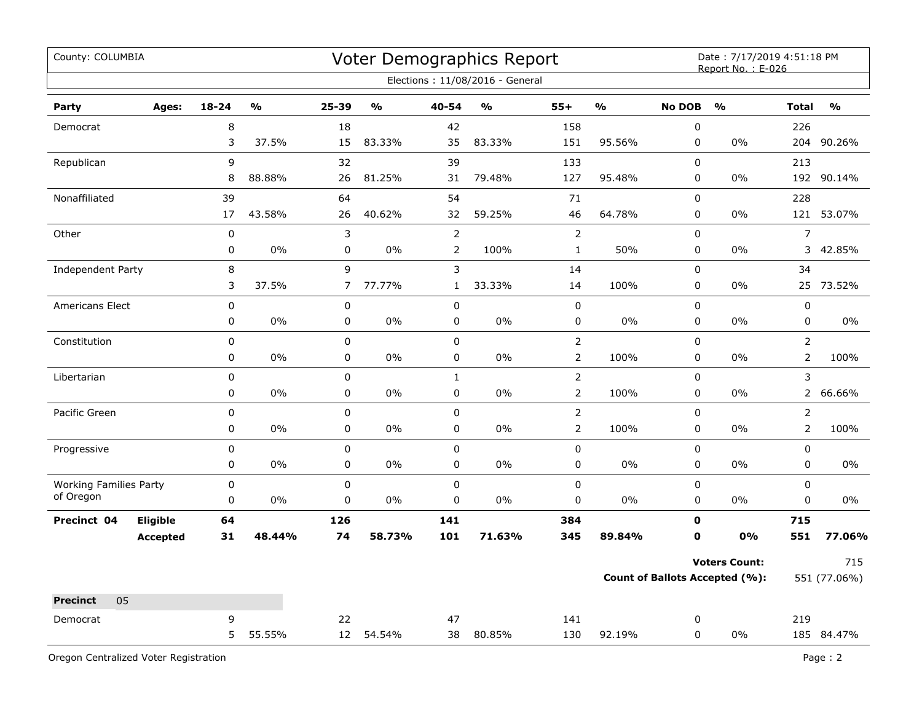| County: COLUMBIA              |                 |             |               |                |               |                | Voter Demographics Report<br>Elections: 11/08/2016 - General |                |               |               | Date: 7/17/2019 4:51:18 PM<br>Report No.: E-026               |                |                     |
|-------------------------------|-----------------|-------------|---------------|----------------|---------------|----------------|--------------------------------------------------------------|----------------|---------------|---------------|---------------------------------------------------------------|----------------|---------------------|
| Party                         | Ages:           | $18 - 24$   | $\frac{0}{0}$ | 25-39          | $\frac{0}{0}$ | 40-54          | $\frac{0}{0}$                                                | $55+$          | $\frac{0}{0}$ | <b>No DOB</b> | $\frac{0}{0}$                                                 | <b>Total</b>   | $\frac{9}{0}$       |
| Democrat                      |                 | 8           |               | 18             |               | 42             |                                                              | 158            |               | $\pmb{0}$     |                                                               | 226            |                     |
|                               |                 | 3           | 37.5%         | 15             | 83.33%        | 35             | 83.33%                                                       | 151            | 95.56%        | 0             | $0\%$                                                         | 204            | 90.26%              |
| Republican                    |                 | 9           |               | 32             |               | 39             |                                                              | 133            |               | $\pmb{0}$     |                                                               | 213            |                     |
|                               |                 | 8           | 88.88%        | 26             | 81.25%        | 31             | 79.48%                                                       | 127            | 95.48%        | $\pmb{0}$     | 0%                                                            | 192            | 90.14%              |
| Nonaffiliated                 |                 | 39          |               | 64             |               | 54             |                                                              | 71             |               | $\pmb{0}$     |                                                               | 228            |                     |
|                               |                 | 17          | 43.58%        | 26             | 40.62%        | 32             | 59.25%                                                       | 46             | 64.78%        | 0             | 0%                                                            |                | 121 53.07%          |
| Other                         |                 | $\pmb{0}$   |               | 3              |               | $\overline{2}$ |                                                              | $\mathbf 2$    |               | $\mathsf 0$   |                                                               | $\overline{7}$ |                     |
|                               |                 | $\pmb{0}$   | 0%            | 0              | 0%            | $\overline{2}$ | 100%                                                         | $\mathbf{1}$   | 50%           | $\mathsf 0$   | 0%                                                            | 3              | 42.85%              |
| Independent Party             |                 | 8           |               | 9              |               | 3              |                                                              | 14             |               | 0             |                                                               | 34             |                     |
|                               |                 | 3           | 37.5%         | $\overline{7}$ | 77.77%        | $\mathbf{1}$   | 33.33%                                                       | 14             | 100%          | 0             | 0%                                                            |                | 25 73.52%           |
| <b>Americans Elect</b>        |                 | $\pmb{0}$   |               | 0              |               | $\pmb{0}$      |                                                              | $\pmb{0}$      |               | $\pmb{0}$     |                                                               | $\pmb{0}$      |                     |
|                               |                 | 0           | 0%            | 0              | 0%            | 0              | 0%                                                           | 0              | $0\%$         | $\pmb{0}$     | $0\%$                                                         | 0              | 0%                  |
| Constitution                  |                 | 0           |               | $\pmb{0}$      |               | $\mathbf 0$    |                                                              | $\overline{2}$ |               | $\mathbf 0$   |                                                               | $\overline{2}$ |                     |
|                               |                 | 0           | 0%            | 0              | 0%            | $\mathbf 0$    | 0%                                                           | $\overline{2}$ | 100%          | $\pmb{0}$     | 0%                                                            | $\overline{2}$ | 100%                |
| Libertarian                   |                 | $\mathbf 0$ |               | $\pmb{0}$      |               | $\mathbf{1}$   |                                                              | $\overline{2}$ |               | $\mathbf 0$   |                                                               | 3              |                     |
|                               |                 | 0           | 0%            | 0              | $0\%$         | 0              | 0%                                                           | $\overline{2}$ | 100%          | 0             | 0%                                                            | $\overline{2}$ | 66.66%              |
| Pacific Green                 |                 | $\pmb{0}$   |               | 0              |               | $\pmb{0}$      |                                                              | $\overline{2}$ |               | $\pmb{0}$     |                                                               | $\overline{2}$ |                     |
|                               |                 | $\mathbf 0$ | 0%            | $\mathbf 0$    | 0%            | $\mathbf 0$    | 0%                                                           | $\overline{2}$ | 100%          | $\mathbf 0$   | 0%                                                            | $\overline{2}$ | 100%                |
| Progressive                   |                 | $\pmb{0}$   |               | $\pmb{0}$      |               | $\pmb{0}$      |                                                              | $\pmb{0}$      |               | $\pmb{0}$     |                                                               | 0              |                     |
|                               |                 | 0           | 0%            | $\mathbf 0$    | 0%            | $\pmb{0}$      | 0%                                                           | $\pmb{0}$      | 0%            | $\pmb{0}$     | 0%                                                            | 0              | 0%                  |
| <b>Working Families Party</b> |                 | $\pmb{0}$   |               | 0              |               | $\pmb{0}$      |                                                              | $\pmb{0}$      |               | $\pmb{0}$     |                                                               | 0              |                     |
| of Oregon                     |                 | $\pmb{0}$   | 0%            | $\pmb{0}$      | $0\%$         | 0              | 0%                                                           | 0              | 0%            | $\mathsf 0$   | 0%                                                            | $\mathbf 0$    | 0%                  |
| Precinct 04                   | Eligible        | 64          |               | 126            |               | 141            |                                                              | 384            |               | $\mathbf 0$   |                                                               | 715            |                     |
|                               | <b>Accepted</b> | 31          | 48.44%        | 74             | 58.73%        | 101            | 71.63%                                                       | 345            | 89.84%        | $\mathbf 0$   | 0%                                                            | 551            | 77.06%              |
|                               |                 |             |               |                |               |                |                                                              |                |               |               | <b>Voters Count:</b><br><b>Count of Ballots Accepted (%):</b> |                | 715<br>551 (77.06%) |
| 05<br><b>Precinct</b>         |                 |             |               |                |               |                |                                                              |                |               |               |                                                               |                |                     |
| Democrat                      |                 | 9           |               | 22             |               | 47             |                                                              | 141            |               | 0             |                                                               | 219            |                     |
|                               |                 | 5           | 55.55%        |                | 12 54.54%     | 38             | 80.85%                                                       | 130            | 92.19%        | $\mathbf 0$   | 0%                                                            |                | 185 84.47%          |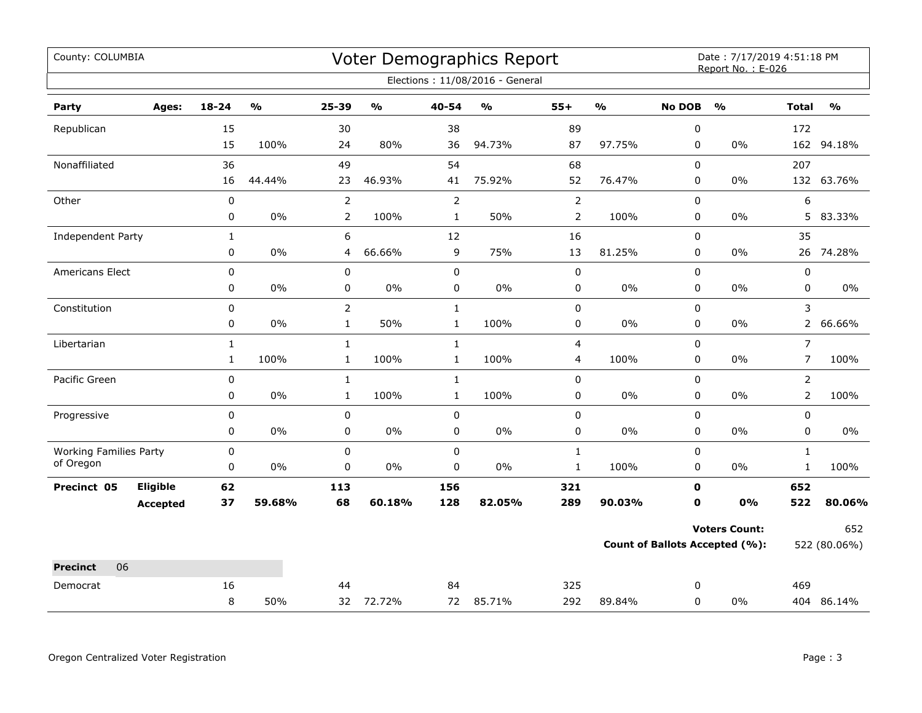| County: COLUMBIA              |                 |              |                         |                |                         |                | Voter Demographics Report         |                |               |               | Date: 7/17/2019 4:51:18 PM<br>Report No.: E-026 |                |               |
|-------------------------------|-----------------|--------------|-------------------------|----------------|-------------------------|----------------|-----------------------------------|----------------|---------------|---------------|-------------------------------------------------|----------------|---------------|
|                               |                 |              |                         |                |                         |                | Elections: 11/08/2016 - General   |                |               |               |                                                 |                |               |
| Party                         | Ages:           | $18 - 24$    | $\mathbf{O}/\mathbf{O}$ | 25-39          | $\mathbf{0}/\mathbf{0}$ | $40 - 54$      | $\mathsf{o}\mathsf{v}_\mathsf{o}$ | $55+$          | $\frac{0}{0}$ | <b>No DOB</b> | $\frac{1}{2}$                                   | <b>Total</b>   | $\frac{0}{0}$ |
| Republican                    |                 | 15           |                         | 30             |                         | 38             |                                   | 89             |               | 0             |                                                 | 172            |               |
|                               |                 | 15           | 100%                    | 24             | 80%                     | 36             | 94.73%                            | 87             | 97.75%        | $\mathbf 0$   | $0\%$                                           |                | 162 94.18%    |
| Nonaffiliated                 |                 | 36           |                         | 49             |                         | 54             |                                   | 68             |               | 0             |                                                 | 207            |               |
|                               |                 | 16           | 44.44%                  | 23             | 46.93%                  | 41             | 75.92%                            | 52             | 76.47%        | 0             | $0\%$                                           |                | 132 63.76%    |
| Other                         |                 | $\pmb{0}$    |                         | $\overline{2}$ |                         | $\overline{2}$ |                                   | $\overline{2}$ |               | 0             |                                                 | 6              |               |
|                               |                 | 0            | 0%                      | $\overline{2}$ | 100%                    | $\mathbf{1}$   | 50%                               | $\overline{2}$ | 100%          | 0             | $0\%$                                           | 5              | 83.33%        |
| <b>Independent Party</b>      |                 | $\mathbf{1}$ |                         | 6              |                         | 12             |                                   | 16             |               | $\mathbf 0$   |                                                 | 35             |               |
|                               |                 | 0            | 0%                      | 4              | 66.66%                  | 9              | 75%                               | 13             | 81.25%        | $\mathbf 0$   | 0%                                              |                | 26 74.28%     |
| Americans Elect               |                 | $\pmb{0}$    |                         | $\pmb{0}$      |                         | 0              |                                   | 0              |               | 0             |                                                 | $\pmb{0}$      |               |
|                               |                 | 0            | $0\%$                   | $\pmb{0}$      | $0\%$                   | 0              | 0%                                | 0              | $0\%$         | 0             | $0\%$                                           | $\pmb{0}$      | $0\%$         |
| Constitution                  |                 | 0            |                         | $\overline{2}$ |                         | $\mathbf{1}$   |                                   | 0              |               | $\Omega$      |                                                 | 3              |               |
|                               |                 | 0            | 0%                      | $\mathbf 1$    | 50%                     | $\mathbf 1$    | 100%                              | 0              | $0\%$         | 0             | $0\%$                                           | $\overline{2}$ | 66.66%        |
| Libertarian                   |                 | $\mathbf{1}$ |                         | $\mathbf{1}$   |                         | $\mathbf{1}$   |                                   | 4              |               | $\mathbf 0$   |                                                 | $\overline{7}$ |               |
|                               |                 | $\mathbf{1}$ | 100%                    | $\mathbf{1}$   | 100%                    | $\mathbf{1}$   | 100%                              | 4              | 100%          | 0             | $0\%$                                           | $\overline{7}$ | 100%          |
| Pacific Green                 |                 | 0            |                         | $\mathbf{1}$   |                         | $\mathbf{1}$   |                                   | 0              |               | $\pmb{0}$     |                                                 | $\overline{2}$ |               |
|                               |                 | 0            | 0%                      | $\mathbf{1}$   | 100%                    | $\mathbf{1}$   | 100%                              | 0              | $0\%$         | 0             | $0\%$                                           | $\overline{2}$ | 100%          |
| Progressive                   |                 | 0            |                         | 0              |                         | 0              |                                   | 0              |               | 0             |                                                 | 0              |               |
|                               |                 | 0            | 0%                      | $\mathbf 0$    | 0%                      | 0              | 0%                                | 0              | $0\%$         | 0             | $0\%$                                           | 0              | $0\%$         |
| <b>Working Families Party</b> |                 | $\pmb{0}$    |                         | 0              |                         | $\mathbf 0$    |                                   | $\mathbf{1}$   |               | $\mathbf 0$   |                                                 | $\mathbf{1}$   |               |
| of Oregon                     |                 | 0            | 0%                      | $\mathbf 0$    | $0\%$                   | $\pmb{0}$      | $0\%$                             | $\mathbf{1}$   | 100%          | 0             | $0\%$                                           | $\mathbf{1}$   | 100%          |
| Precinct 05                   | Eligible        | 62           |                         | 113            |                         | 156            |                                   | 321            |               | 0             |                                                 | 652            |               |
|                               | <b>Accepted</b> | 37           | 59.68%                  | 68             | 60.18%                  | 128            | 82.05%                            | 289            | 90.03%        | $\mathbf 0$   | 0%                                              | 522            | 80.06%        |
|                               |                 |              |                         |                |                         |                |                                   |                |               |               | <b>Voters Count:</b>                            |                | 652           |
|                               |                 |              |                         |                |                         |                |                                   |                |               |               | <b>Count of Ballots Accepted (%):</b>           |                | 522 (80.06%)  |
| 06<br><b>Precinct</b>         |                 |              |                         |                |                         |                |                                   |                |               |               |                                                 |                |               |
| Democrat                      |                 | 16           |                         | 44             |                         | 84             |                                   | 325            |               | 0             |                                                 | 469            |               |
|                               |                 | 8            | 50%                     |                | 32 72.72%               |                | 72 85.71%                         | 292            | 89.84%        | 0             | $0\%$                                           |                | 404 86.14%    |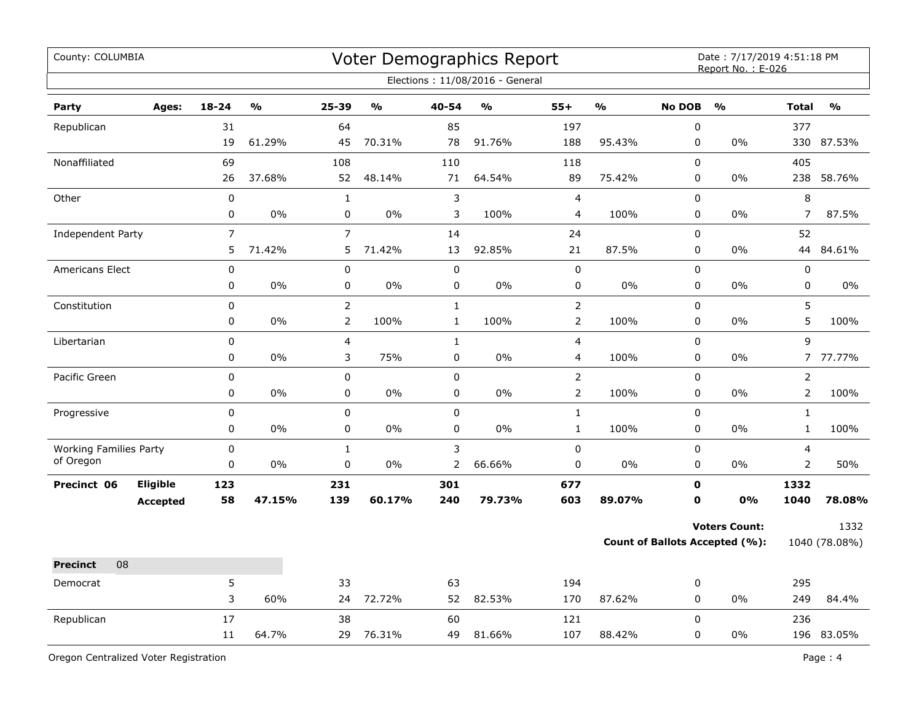| County: COLUMBIA                           |                 |                |               |                |               |              | Voter Demographics Report<br>Elections: 11/08/2016 - General |                |                |                  | Date: 7/17/2019 4:51:18 PM<br>Report No.: E-026 |                |               |
|--------------------------------------------|-----------------|----------------|---------------|----------------|---------------|--------------|--------------------------------------------------------------|----------------|----------------|------------------|-------------------------------------------------|----------------|---------------|
| Party                                      | Ages:           | $18 - 24$      | $\frac{0}{0}$ | 25-39          | $\frac{1}{2}$ | 40-54        | $\frac{0}{0}$                                                | $55+$          | $\mathbf{v}_0$ | <b>No DOB</b>    | $\frac{0}{0}$                                   | <b>Total</b>   | $\frac{0}{0}$ |
| Republican                                 |                 | 31             |               | 64             |               | 85           |                                                              | 197            |                | $\pmb{0}$        |                                                 | 377            |               |
|                                            |                 | 19             | 61.29%        | 45             | 70.31%        | 78           | 91.76%                                                       | 188            | 95.43%         | 0                | 0%                                              | 330            | 87.53%        |
| Nonaffiliated                              |                 | 69             |               | 108            |               | 110          |                                                              | 118            |                | $\mathbf 0$      |                                                 | 405            |               |
|                                            |                 | 26             | 37.68%        | 52             | 48.14%        | 71           | 64.54%                                                       | 89             | 75.42%         | 0                | 0%                                              | 238            | 58.76%        |
| Other                                      |                 | $\pmb{0}$      |               | $\mathbf{1}$   |               | 3            |                                                              | $\overline{4}$ |                | $\pmb{0}$        |                                                 | 8              |               |
|                                            |                 | 0              | 0%            | 0              | 0%            | 3            | 100%                                                         | 4              | 100%           | $\pmb{0}$        | 0%                                              | $\overline{7}$ | 87.5%         |
| <b>Independent Party</b>                   |                 | $\overline{7}$ |               | $\overline{7}$ |               | 14           |                                                              | 24             |                | $\mathbf 0$      |                                                 | 52             |               |
|                                            |                 | 5              | 71.42%        | 5              | 71.42%        | 13           | 92.85%                                                       | 21             | 87.5%          | 0                | 0%                                              | 44             | 84.61%        |
| Americans Elect                            |                 | $\pmb{0}$      |               | $\pmb{0}$      |               | $\pmb{0}$    |                                                              | $\pmb{0}$      |                | $\pmb{0}$        |                                                 | 0              |               |
|                                            |                 | 0              | 0%            | $\pmb{0}$      | 0%            | $\pmb{0}$    | 0%                                                           | 0              | 0%             | 0                | 0%                                              | 0              | 0%            |
| Constitution                               |                 | $\mathbf 0$    |               | $\overline{2}$ |               | $\mathbf{1}$ |                                                              | $\overline{2}$ |                | 0                |                                                 | 5              |               |
|                                            |                 | $\pmb{0}$      | 0%            | $\mathsf{2}\,$ | 100%          | $\mathbf{1}$ | 100%                                                         | $\overline{2}$ | 100%           | 0                | 0%                                              | 5              | 100%          |
| Libertarian                                |                 | 0              |               | 4              |               | $\mathbf{1}$ |                                                              | $\overline{4}$ |                | $\pmb{0}$        |                                                 | 9              |               |
|                                            |                 | 0              | 0%            | 3              | 75%           | $\pmb{0}$    | $0\%$                                                        | 4              | 100%           | $\boldsymbol{0}$ | 0%                                              |                | 7 77.77%      |
| Pacific Green                              |                 | $\mathbf 0$    |               | $\pmb{0}$      |               | $\pmb{0}$    |                                                              | $\overline{2}$ |                | $\pmb{0}$        |                                                 | $\overline{2}$ |               |
|                                            |                 | 0              | $0\%$         | 0              | 0%            | $\mathbf 0$  | $0\%$                                                        | $\overline{2}$ | 100%           | 0                | 0%                                              | $\overline{2}$ | 100%          |
| Progressive                                |                 | 0              |               | $\pmb{0}$      |               | $\pmb{0}$    |                                                              | $\mathbf 1$    |                | $\pmb{0}$        |                                                 | $\mathbf{1}$   |               |
|                                            |                 | 0              | $0\%$         | 0              | 0%            | $\mathbf 0$  | $0\%$                                                        | $\mathbf{1}$   | 100%           | $\mathbf 0$      | 0%                                              | $\mathbf{1}$   | 100%          |
| <b>Working Families Party</b><br>of Oregon |                 | $\mathbf 0$    |               | $\mathbf{1}$   |               | 3            |                                                              | $\pmb{0}$      |                | $\mathbf 0$      |                                                 | 4              |               |
|                                            |                 | 0              | $0\%$         | 0              | 0%            | 2            | 66.66%                                                       | 0              | 0%             | 0                | 0%                                              | 2              | 50%           |
| Precinct 06                                | <b>Eligible</b> | 123            |               | 231            |               | 301          |                                                              | 677            |                | $\mathbf o$      |                                                 | 1332           |               |
|                                            | <b>Accepted</b> | 58             | 47.15%        | 139            | 60.17%        | 240          | 79.73%                                                       | 603            | 89.07%         | $\mathbf o$      | <b>0%</b>                                       | 1040           | 78.08%        |
|                                            |                 |                |               |                |               |              |                                                              |                |                |                  | <b>Voters Count:</b>                            |                | 1332          |
|                                            |                 |                |               |                |               |              |                                                              |                |                |                  | <b>Count of Ballots Accepted (%):</b>           |                | 1040 (78.08%) |
| 08<br><b>Precinct</b>                      |                 |                |               |                |               |              |                                                              |                |                |                  |                                                 |                |               |
| Democrat                                   |                 | 5              |               | 33             |               | 63           |                                                              | 194            |                | 0                |                                                 | 295            |               |
|                                            |                 | 3              | 60%           | 24             | 72.72%        | 52           | 82.53%                                                       | 170            | 87.62%         | $\pmb{0}$        | $0\%$                                           | 249            | 84.4%         |
| Republican                                 |                 | 17             |               | 38             |               | 60           |                                                              | 121            |                | $\mathbf 0$      |                                                 | 236            |               |
|                                            |                 | 11             | 64.7%         | 29             | 76.31%        | 49           | 81.66%                                                       | 107            | 88.42%         | $\mathbf 0$      | 0%                                              |                | 196 83.05%    |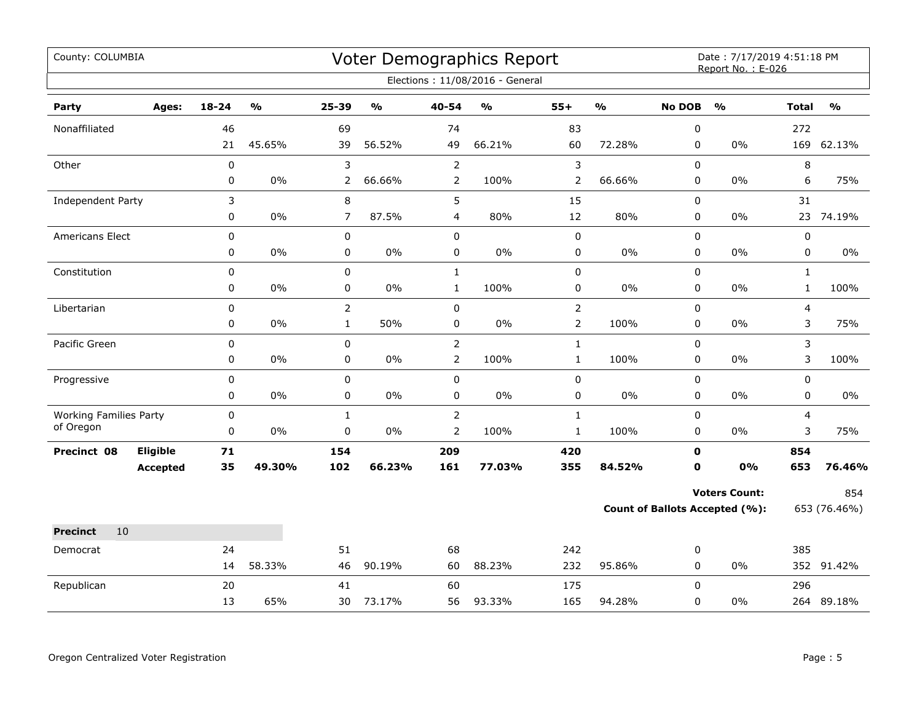| County: COLUMBIA              |                 |             |                         |                |                           |                | <b>Voter Demographics Report</b>  |                |                         |               | Date: 7/17/2019 4:51:18 PM<br>Report No.: E-026 |              |                                   |
|-------------------------------|-----------------|-------------|-------------------------|----------------|---------------------------|----------------|-----------------------------------|----------------|-------------------------|---------------|-------------------------------------------------|--------------|-----------------------------------|
|                               |                 |             |                         |                |                           |                | Elections: 11/08/2016 - General   |                |                         |               |                                                 |              |                                   |
| Party                         | Ages:           | 18-24       | $\mathbf{O}/\mathbf{o}$ | 25-39          | $\mathbf{o}_{\mathbf{0}}$ | 40-54          | $\mathsf{o}\mathsf{v}_\mathsf{o}$ | $55+$          | $\mathbf{O}/\mathbf{o}$ | <b>No DOB</b> | $\frac{0}{0}$                                   | <b>Total</b> | $\mathsf{o}\mathsf{v}_\mathsf{o}$ |
| Nonaffiliated                 |                 | 46          |                         | 69             |                           | 74             |                                   | 83             |                         | $\pmb{0}$     |                                                 | 272          |                                   |
|                               |                 | 21          | 45.65%                  | 39             | 56.52%                    | 49             | 66.21%                            | 60             | 72.28%                  | 0             | 0%                                              |              | 169 62.13%                        |
| Other                         |                 | $\pmb{0}$   |                         | 3              |                           | $\overline{2}$ |                                   | $\mathsf 3$    |                         | 0             |                                                 | 8            |                                   |
|                               |                 | 0           | $0\%$                   | $\overline{2}$ | 66.66%                    | $\overline{2}$ | 100%                              | $\overline{2}$ | 66.66%                  | 0             | 0%                                              | 6            | 75%                               |
| Independent Party             |                 | 3           |                         | 8              |                           | 5              |                                   | 15             |                         | 0             |                                                 | 31           |                                   |
|                               |                 | 0           | 0%                      | $\overline{7}$ | 87.5%                     | $\overline{4}$ | 80%                               | 12             | 80%                     | $\mathbf 0$   | 0%                                              | 23           | 74.19%                            |
| <b>Americans Elect</b>        |                 | 0           |                         | 0              |                           | $\pmb{0}$      |                                   | $\pmb{0}$      |                         | 0             |                                                 | 0            |                                   |
|                               |                 | 0           | 0%                      | 0              | $0\%$                     | $\pmb{0}$      | $0\%$                             | $\pmb{0}$      | $0\%$                   | 0             | 0%                                              | 0            | $0\%$                             |
| Constitution                  |                 | $\mathbf 0$ |                         | $\mathbf 0$    |                           | $\mathbf{1}$   |                                   | $\pmb{0}$      |                         | 0             |                                                 | $\mathbf{1}$ |                                   |
|                               |                 | 0           | 0%                      | 0              | 0%                        | $\mathbf{1}$   | 100%                              | $\pmb{0}$      | $0\%$                   | 0             | 0%                                              | $\mathbf{1}$ | 100%                              |
| Libertarian                   |                 | 0           |                         | $\overline{2}$ |                           | $\mathbf 0$    |                                   | $\overline{2}$ |                         | 0             |                                                 | 4            |                                   |
|                               |                 | 0           | 0%                      | $\mathbf{1}$   | 50%                       | $\pmb{0}$      | $0\%$                             | $\overline{2}$ | 100%                    | $\pmb{0}$     | 0%                                              | 3            | 75%                               |
| Pacific Green                 |                 | 0           |                         | $\mathbf 0$    |                           | $\overline{2}$ |                                   | $\mathbf{1}$   |                         | $\pmb{0}$     |                                                 | 3            |                                   |
|                               |                 | 0           | $0\%$                   | 0              | 0%                        | $\overline{2}$ | 100%                              | $\mathbf{1}$   | 100%                    | 0             | $0\%$                                           | 3            | 100%                              |
| Progressive                   |                 | 0           |                         | 0              |                           | $\mathbf 0$    |                                   | $\pmb{0}$      |                         | $\mathbf 0$   |                                                 | 0            |                                   |
|                               |                 | 0           | 0%                      | 0              | $0\%$                     | 0              | 0%                                | 0              | $0\%$                   | 0             | 0%                                              | 0            | $0\%$                             |
| <b>Working Families Party</b> |                 | 0           |                         | $\mathbf{1}$   |                           | $\overline{2}$ |                                   | $\mathbf 1$    |                         | $\pmb{0}$     |                                                 | 4            |                                   |
| of Oregon                     |                 | 0           | $0\%$                   | $\pmb{0}$      | 0%                        | $\overline{2}$ | 100%                              | $\mathbf 1$    | 100%                    | 0             | 0%                                              | 3            | 75%                               |
| Precinct 08                   | Eligible        | 71          |                         | 154            |                           | 209            |                                   | 420            |                         | $\mathbf 0$   |                                                 | 854          |                                   |
|                               | <b>Accepted</b> | 35          | 49.30%                  | 102            | 66.23%                    | 161            | 77.03%                            | 355            | 84.52%                  | 0             | 0%                                              | 653          | 76.46%                            |
|                               |                 |             |                         |                |                           |                |                                   |                |                         |               | <b>Voters Count:</b>                            |              | 854                               |
|                               |                 |             |                         |                |                           |                |                                   |                |                         |               | Count of Ballots Accepted (%):                  |              | 653 (76.46%)                      |
| 10<br><b>Precinct</b>         |                 |             |                         |                |                           |                |                                   |                |                         |               |                                                 |              |                                   |
| Democrat                      |                 | 24          |                         | 51             |                           | 68             |                                   | 242            |                         | 0             |                                                 | 385          |                                   |
|                               |                 | 14          | 58.33%                  | 46             | 90.19%                    | 60             | 88.23%                            | 232            | 95.86%                  | 0             | $0\%$                                           |              | 352 91.42%                        |
| Republican                    |                 | 20          |                         | 41             |                           | 60             |                                   | 175            |                         | $\Omega$      |                                                 | 296          |                                   |
|                               |                 | 13          | 65%                     | 30             | 73.17%                    | 56             | 93.33%                            | 165            | 94.28%                  | 0             | 0%                                              |              | 264 89.18%                        |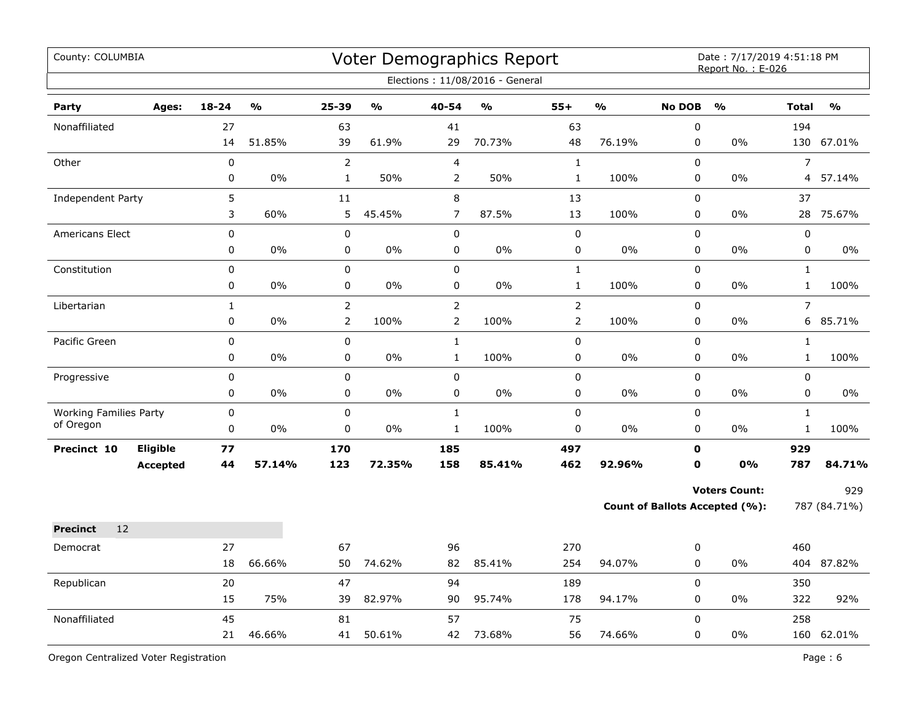| County: COLUMBIA                           |                   |               |                                  |               |                                  | Voter Demographics Report<br>Elections: 11/08/2016 - General |                                  |               |                            | Date: 7/17/2019 4:51:18 PM<br>Report No.: E-026               |                              |                     |
|--------------------------------------------|-------------------|---------------|----------------------------------|---------------|----------------------------------|--------------------------------------------------------------|----------------------------------|---------------|----------------------------|---------------------------------------------------------------|------------------------------|---------------------|
| Party<br>Ages:                             | $18 - 24$         | $\frac{0}{0}$ | $25 - 39$                        | $\frac{0}{0}$ | 40-54                            | $\frac{0}{0}$                                                | $55+$                            | $\frac{1}{2}$ | <b>No DOB</b>              | $\frac{9}{0}$                                                 | <b>Total</b>                 | $\frac{0}{0}$       |
| Nonaffiliated                              | 27<br>14          | 51.85%        | 63<br>39                         | 61.9%         | 41<br>29                         | 70.73%                                                       | 63<br>48                         | 76.19%        | 0<br>0                     | 0%                                                            | 194                          | 130 67.01%          |
| Other                                      | $\mathbf 0$<br>0  | 0%            | $\overline{2}$<br>$\mathbf{1}$   | 50%           | $\overline{4}$<br>$\overline{2}$ | 50%                                                          | $\mathbf{1}$<br>$\mathbf{1}$     | 100%          | 0<br>0                     | 0%                                                            | $\overline{7}$<br>4          | 57.14%              |
| Independent Party                          | 5<br>3            | 60%           | 11<br>5                          | 45.45%        | $\,8\,$<br>$\overline{7}$        | 87.5%                                                        | 13<br>13                         | 100%          | 0<br>0                     | 0%                                                            | 37                           | 28 75.67%           |
| <b>Americans Elect</b>                     | 0<br>0            | 0%            | 0<br>0                           | $0\%$         | $\mathbf 0$<br>$\pmb{0}$         | 0%                                                           | 0<br>0                           | 0%            | $\mathbf 0$<br>$\mathsf 0$ | 0%                                                            | $\mathbf 0$<br>$\pmb{0}$     | 0%                  |
| Constitution                               | $\mathbf 0$<br>0  | 0%            | 0<br>0                           | 0%            | $\mathsf 0$<br>0                 | 0%                                                           | $\mathbf{1}$<br>$\mathbf{1}$     | 100%          | $\mathbf 0$<br>0           | 0%                                                            | $\mathbf{1}$<br>$\mathbf{1}$ | 100%                |
| Libertarian                                | $\mathbf{1}$<br>0 | $0\%$         | $\overline{2}$<br>$\overline{2}$ | 100%          | $\overline{2}$<br>$\overline{2}$ | 100%                                                         | $\overline{2}$<br>$\overline{2}$ | 100%          | 0<br>0                     | 0%                                                            | $\overline{7}$               | 6 85.71%            |
| Pacific Green                              | 0<br>0            | 0%            | 0<br>0                           | 0%            | $\mathbf{1}$<br>$\mathbf{1}$     | 100%                                                         | $\mathsf 0$<br>0                 | 0%            | 0<br>0                     | 0%                                                            | $\mathbf{1}$<br>$\mathbf{1}$ | 100%                |
| Progressive                                | $\mathbf 0$<br>0  | 0%            | 0<br>0                           | $0\%$         | $\pmb{0}$<br>$\pmb{0}$           | 0%                                                           | 0<br>0                           | 0%            | 0<br>0                     | 0%                                                            | $\pmb{0}$<br>$\mathbf 0$     | $0\%$               |
| <b>Working Families Party</b><br>of Oregon | 0<br>0            | 0%            | 0<br>0                           | 0%            | $\mathbf 1$<br>$\mathbf{1}$      | 100%                                                         | $\mathsf 0$<br>$\mathbf 0$       | 0%            | 0<br>0                     | 0%                                                            | $\mathbf{1}$<br>$\mathbf{1}$ | 100%                |
| Eligible<br>Precinct 10<br><b>Accepted</b> | 77<br>44          | 57.14%        | 170<br>123                       | 72.35%        | 185<br>158                       | 85.41%                                                       | 497<br>462                       | 92.96%        | $\mathbf 0$<br>$\mathbf 0$ | 0%                                                            | 929<br>787                   | 84.71%              |
|                                            |                   |               |                                  |               |                                  |                                                              |                                  |               |                            | <b>Voters Count:</b><br><b>Count of Ballots Accepted (%):</b> |                              | 929<br>787 (84.71%) |
| 12<br><b>Precinct</b>                      |                   |               |                                  |               |                                  |                                                              |                                  |               |                            |                                                               |                              |                     |
| Democrat                                   | 27<br>18          | 66.66%        | 67<br>50                         | 74.62%        | 96<br>82                         | 85.41%                                                       | 270<br>254                       | 94.07%        | 0<br>0                     | 0%                                                            | 460                          | 404 87.82%          |
| Republican                                 | 20<br>15          | 75%           | 47<br>39                         | 82.97%        | 94<br>90                         | 95.74%                                                       | 189<br>178                       | 94.17%        | 0<br>0                     | 0%                                                            | 350<br>322                   | 92%                 |
| Nonaffiliated                              | 45<br>21          | 46.66%        | 81<br>41                         | 50.61%        | 57<br>42                         | 73.68%                                                       | 75<br>56                         | 74.66%        | $\mathbf 0$<br>0           | 0%                                                            | 258                          | 160 62.01%          |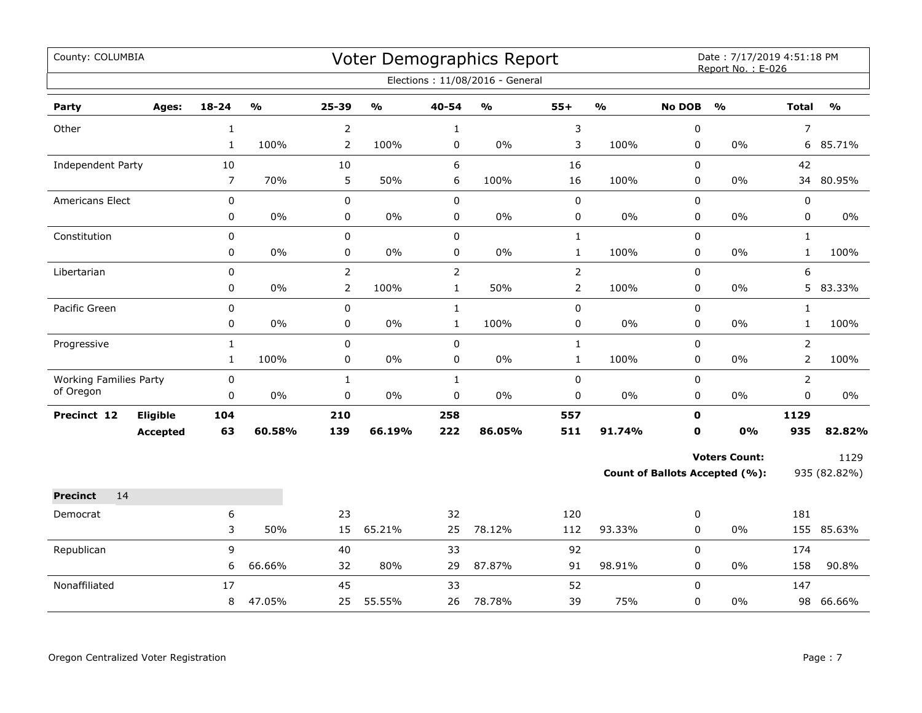| County: COLUMBIA                           |                 |                |                         |                |                         |                | <b>Voter Demographics Report</b><br>Elections: 11/08/2016 - General |                |               |               | Date: 7/17/2019 4:51:18 PM<br>Report No.: E-026 |                |               |
|--------------------------------------------|-----------------|----------------|-------------------------|----------------|-------------------------|----------------|---------------------------------------------------------------------|----------------|---------------|---------------|-------------------------------------------------|----------------|---------------|
| Party                                      | Ages:           | 18-24          | $\mathbf{O}/\mathbf{O}$ | 25-39          | $\mathbf{O}/\mathbf{o}$ | 40-54          | $\mathsf{o}\mathsf{v}_\mathsf{o}$                                   | $55+$          | $\frac{0}{0}$ | <b>No DOB</b> | $\frac{0}{0}$                                   | <b>Total</b>   | $\frac{0}{0}$ |
| Other                                      |                 | $\mathbf{1}$   |                         | $\overline{2}$ |                         | $\mathbf{1}$   |                                                                     | $\mathsf 3$    |               | 0             |                                                 | $\overline{7}$ |               |
|                                            |                 | $\mathbf{1}$   | 100%                    | $\overline{2}$ | 100%                    | 0              | $0\%$                                                               | 3              | 100%          | 0             | $0\%$                                           |                | 6 85.71%      |
| Independent Party                          |                 | 10             |                         | 10             |                         | 6              |                                                                     | 16             |               | $\Omega$      |                                                 | 42             |               |
|                                            |                 | $\overline{7}$ | 70%                     | 5              | 50%                     | 6              | 100%                                                                | 16             | 100%          | 0             | 0%                                              | 34             | 80.95%        |
| Americans Elect                            |                 | 0              |                         | 0              |                         | $\pmb{0}$      |                                                                     | $\pmb{0}$      |               | $\mathbf 0$   |                                                 | $\pmb{0}$      |               |
|                                            |                 | 0              | 0%                      | 0              | 0%                      | $\pmb{0}$      | $0\%$                                                               | $\pmb{0}$      | 0%            | 0             | $0\%$                                           | 0              | $0\%$         |
| Constitution                               |                 | 0              |                         | $\mathbf 0$    |                         | $\mathbf 0$    |                                                                     | $\mathbf{1}$   |               | 0             |                                                 | $\mathbf{1}$   |               |
|                                            |                 | 0              | 0%                      | 0              | 0%                      | 0              | $0\%$                                                               | $\mathbf{1}$   | 100%          | 0             | $0\%$                                           | $\mathbf{1}$   | 100%          |
| Libertarian                                |                 | 0              |                         | $\overline{2}$ |                         | $\overline{2}$ |                                                                     | $\overline{2}$ |               | 0             |                                                 | 6              |               |
|                                            |                 | 0              | 0%                      | $\overline{2}$ | 100%                    | $\mathbf{1}$   | 50%                                                                 | $\overline{2}$ | 100%          | 0             | $0\%$                                           | 5              | 83.33%        |
| Pacific Green                              |                 | 0              |                         | 0              |                         | $\mathbf{1}$   |                                                                     | 0              |               | $\mathbf 0$   |                                                 | $\mathbf{1}$   |               |
|                                            |                 | 0              | 0%                      | 0              | 0%                      | $\mathbf{1}$   | 100%                                                                | $\pmb{0}$      | 0%            | 0             | 0%                                              | $\mathbf{1}$   | 100%          |
| Progressive                                |                 | $\mathbf{1}$   |                         | 0              |                         | $\pmb{0}$      |                                                                     | $\mathbf{1}$   |               | 0             |                                                 | $\overline{2}$ |               |
|                                            |                 | $\mathbf{1}$   | 100%                    | 0              | 0%                      | 0              | $0\%$                                                               | $\mathbf 1$    | 100%          | 0             | $0\%$                                           | $\overline{2}$ | 100%          |
| <b>Working Families Party</b><br>of Oregon |                 | 0              |                         | $\mathbf{1}$   |                         | $\mathbf{1}$   |                                                                     | $\pmb{0}$      |               | 0             |                                                 | $\overline{2}$ |               |
|                                            |                 | 0              | $0\%$                   | 0              | 0%                      | 0              | 0%                                                                  | $\pmb{0}$      | 0%            | 0             | 0%                                              | $\mathbf 0$    | 0%            |
| Precinct 12                                | Eligible        | 104            |                         | 210            |                         | 258            |                                                                     | 557            |               | $\mathbf 0$   |                                                 | 1129           |               |
|                                            | <b>Accepted</b> | 63             | 60.58%                  | 139            | 66.19%                  | 222            | 86.05%                                                              | 511            | 91.74%        | $\mathbf{0}$  | 0%                                              | 935            | 82.82%        |
|                                            |                 |                |                         |                |                         |                |                                                                     |                |               |               | <b>Voters Count:</b>                            |                | 1129          |
|                                            |                 |                |                         |                |                         |                |                                                                     |                |               |               | Count of Ballots Accepted (%):                  |                | 935 (82.82%)  |
| 14<br><b>Precinct</b>                      |                 |                |                         |                |                         |                |                                                                     |                |               |               |                                                 |                |               |
| Democrat                                   |                 | 6              |                         | 23             |                         | 32             |                                                                     | 120            |               | 0             |                                                 | 181            |               |
|                                            |                 | 3              | 50%                     | 15             | 65.21%                  | 25             | 78.12%                                                              | 112            | 93.33%        | 0             | $0\%$                                           |                | 155 85.63%    |
| Republican                                 |                 | 9              |                         | 40             |                         | 33             |                                                                     | 92             |               | 0             |                                                 | 174            |               |
|                                            |                 | 6              | 66.66%                  | 32             | 80%                     | 29             | 87.87%                                                              | 91             | 98.91%        | 0             | 0%                                              | 158            | 90.8%         |
| Nonaffiliated                              |                 | 17             |                         | 45             |                         | 33             |                                                                     | 52             |               | $\Omega$      |                                                 | 147            |               |
|                                            |                 | 8              | 47.05%                  | 25             | 55.55%                  | 26             | 78.78%                                                              | 39             | 75%           | 0             | $0\%$                                           | 98             | 66.66%        |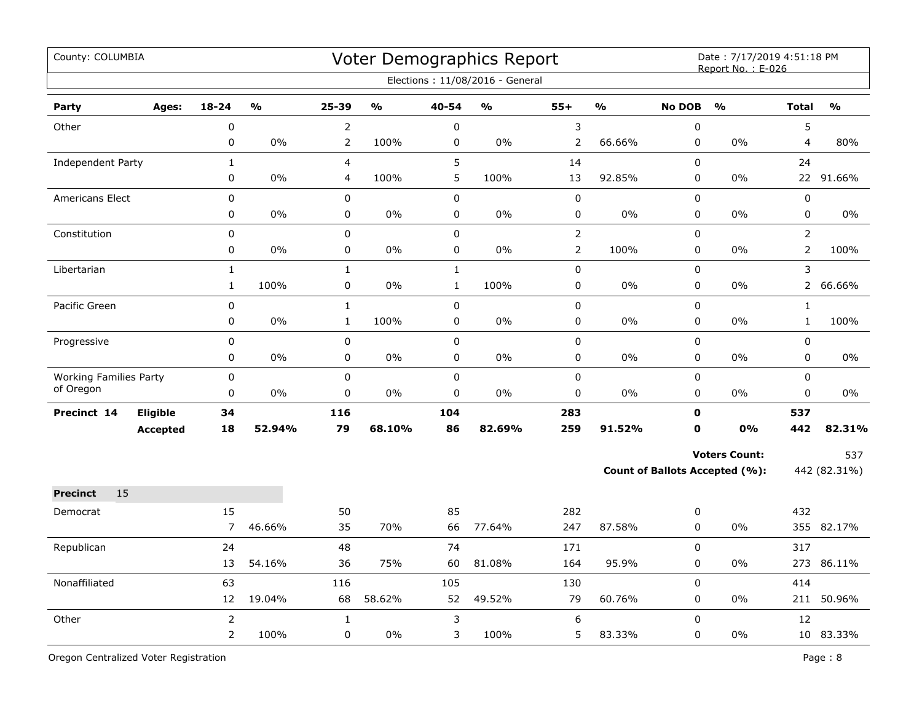| County: COLUMBIA              |                 |                |               |                |               |              | Voter Demographics Report<br>Elections: 11/08/2016 - General |                |               |               | Date: 7/17/2019 4:51:18 PM<br>Report No.: E-026 |                |               |
|-------------------------------|-----------------|----------------|---------------|----------------|---------------|--------------|--------------------------------------------------------------|----------------|---------------|---------------|-------------------------------------------------|----------------|---------------|
| Party                         | Ages:           | $18 - 24$      | $\frac{0}{0}$ | 25-39          | $\frac{0}{0}$ | 40-54        | $\mathbf{O}/\mathbf{O}$                                      | $55+$          | $\frac{1}{2}$ | <b>No DOB</b> | $\frac{0}{0}$                                   | <b>Total</b>   | $\frac{0}{0}$ |
| Other                         |                 | $\pmb{0}$      |               | $\overline{2}$ |               | $\pmb{0}$    |                                                              | 3              |               | 0             |                                                 | 5              |               |
|                               |                 | 0              | $0\%$         | $\overline{2}$ | 100%          | $\pmb{0}$    | $0\%$                                                        | $\overline{2}$ | 66.66%        | 0             | 0%                                              | 4              | 80%           |
| Independent Party             |                 | $\mathbf{1}$   |               | 4              |               | 5            |                                                              | 14             |               | 0             |                                                 | 24             |               |
|                               |                 | 0              | 0%            | 4              | 100%          | 5            | 100%                                                         | 13             | 92.85%        | 0             | 0%                                              |                | 22 91.66%     |
| <b>Americans Elect</b>        |                 | $\mathbf 0$    |               | $\pmb{0}$      |               | $\pmb{0}$    |                                                              | $\pmb{0}$      |               | 0             |                                                 | $\pmb{0}$      |               |
|                               |                 | 0              | 0%            | 0              | 0%            | $\pmb{0}$    | 0%                                                           | 0              | 0%            | 0             | 0%                                              | $\pmb{0}$      | 0%            |
| Constitution                  |                 | 0              |               | 0              |               | $\mathsf 0$  |                                                              | $\overline{2}$ |               | 0             |                                                 | $\overline{2}$ |               |
|                               |                 | 0              | 0%            | 0              | 0%            | $\pmb{0}$    | 0%                                                           | $\overline{2}$ | 100%          | 0             | 0%                                              | $\overline{2}$ | 100%          |
| Libertarian                   |                 | $\mathbf 1$    |               | $\mathbf 1$    |               | $\mathbf 1$  |                                                              | 0              |               | 0             |                                                 | 3              |               |
|                               |                 | $\mathbf{1}$   | 100%          | 0              | $0\%$         | $\mathbf{1}$ | 100%                                                         | 0              | 0%            | 0             | 0%                                              | $\overline{2}$ | 66.66%        |
| Pacific Green                 |                 | 0              |               | $\mathbf{1}$   |               | $\mathsf 0$  |                                                              | 0              |               | 0             |                                                 | $\mathbf{1}$   |               |
|                               |                 | 0              | $0\%$         | $\mathbf{1}$   | 100%          | $\pmb{0}$    | $0\%$                                                        | 0              | $0\%$         | 0             | 0%                                              | $\mathbf{1}$   | 100%          |
| Progressive                   |                 | 0              |               | 0              |               | $\pmb{0}$    |                                                              | 0              |               | 0             |                                                 | $\pmb{0}$      |               |
|                               |                 | 0              | 0%            | 0              | $0\%$         | 0            | $0\%$                                                        | 0              | $0\%$         | 0             | 0%                                              | $\mathbf 0$    | $0\%$         |
| <b>Working Families Party</b> |                 | $\mathbf 0$    |               | 0              |               | $\mathsf 0$  |                                                              | 0              |               | 0             |                                                 | $\mathbf 0$    |               |
| of Oregon                     |                 | 0              | 0%            | 0              | 0%            | $\pmb{0}$    | 0%                                                           | 0              | 0%            | $\mathsf 0$   | 0%                                              | $\mathbf 0$    | 0%            |
| Precinct 14                   | Eligible        | 34             |               | 116            |               | 104          |                                                              | 283            |               | $\mathbf 0$   |                                                 | 537            |               |
|                               | <b>Accepted</b> | 18             | 52.94%        | 79             | 68.10%        | 86           | 82.69%                                                       | 259            | 91.52%        | $\mathbf 0$   | 0%                                              | 442            | 82.31%        |
|                               |                 |                |               |                |               |              |                                                              |                |               |               | <b>Voters Count:</b>                            |                | 537           |
|                               |                 |                |               |                |               |              |                                                              |                |               |               | Count of Ballots Accepted (%):                  |                | 442 (82.31%)  |
| 15<br><b>Precinct</b>         |                 |                |               |                |               |              |                                                              |                |               |               |                                                 |                |               |
| Democrat                      |                 | 15             |               | 50             |               | 85           |                                                              | 282            |               | 0             |                                                 | 432            |               |
|                               |                 | $\overline{7}$ | 46.66%        | 35             | 70%           | 66           | 77.64%                                                       | 247            | 87.58%        | 0             | 0%                                              |                | 355 82.17%    |
| Republican                    |                 | 24             |               | 48             |               | 74           |                                                              | 171            |               | 0             |                                                 | 317            |               |
|                               |                 | 13             | 54.16%        | 36             | 75%           | 60           | 81.08%                                                       | 164            | 95.9%         | 0             | 0%                                              |                | 273 86.11%    |
| Nonaffiliated                 |                 | 63             |               | 116            |               | 105          |                                                              | 130            |               | 0             |                                                 | 414            |               |
|                               |                 | 12             | 19.04%        | 68             | 58.62%        | 52           | 49.52%                                                       | 79             | 60.76%        | 0             | 0%                                              | 211            | 50.96%        |
| Other                         |                 | $\overline{2}$ |               | $\mathbf 1$    |               | 3            |                                                              | 6              |               | 0             |                                                 | 12             |               |
|                               |                 | $\overline{2}$ | 100%          | 0              | 0%            | 3            | 100%                                                         | 5              | 83.33%        | 0             | 0%                                              |                | 10 83.33%     |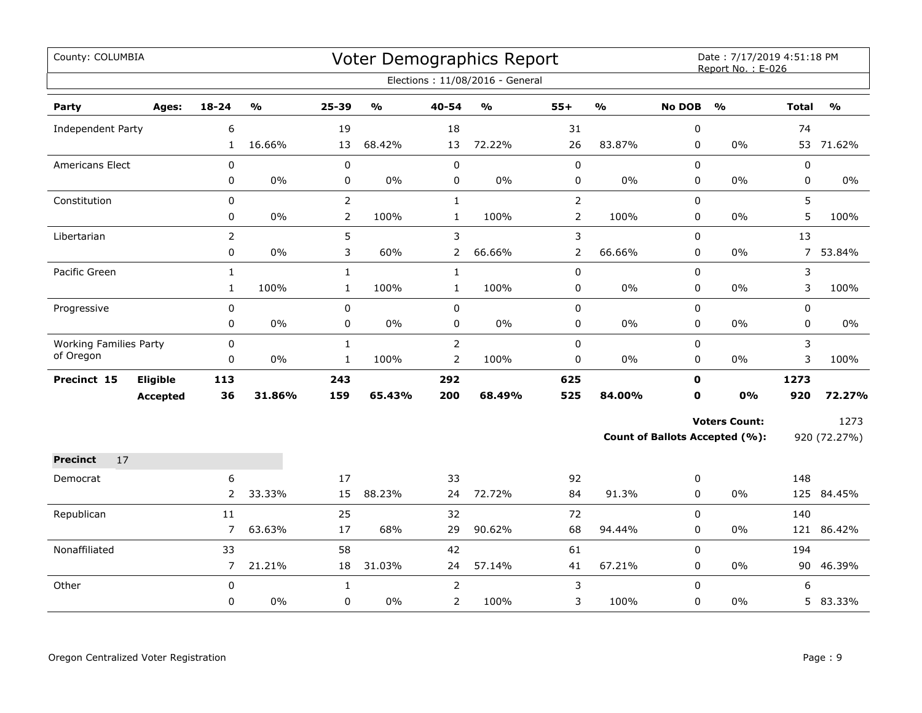| County: COLUMBIA              |                 |                |                         |                |                         |                | Voter Demographics Report         |                |                         |               | Date: 7/17/2019 4:51:18 PM<br>Report No.: E-026 |              |               |
|-------------------------------|-----------------|----------------|-------------------------|----------------|-------------------------|----------------|-----------------------------------|----------------|-------------------------|---------------|-------------------------------------------------|--------------|---------------|
|                               |                 |                |                         |                |                         |                | Elections: 11/08/2016 - General   |                |                         |               |                                                 |              |               |
| Party                         | Ages:           | $18 - 24$      | $\mathbf{0}/\mathbf{0}$ | 25-39          | $\mathbf{O}/\mathbf{o}$ | 40-54          | $\mathsf{o}\mathsf{v}_\mathsf{o}$ | $55+$          | $\mathbf{O}/\mathbf{O}$ | <b>No DOB</b> | $\mathbf{O}/\mathbf{O}$                         | <b>Total</b> | $\frac{0}{0}$ |
| Independent Party             |                 | 6              |                         | 19             |                         | 18             |                                   | 31             |                         | 0             |                                                 | 74           |               |
|                               |                 | $\mathbf{1}$   | 16.66%                  | 13             | 68.42%                  | 13             | 72.22%                            | 26             | 83.87%                  | 0             | 0%                                              |              | 53 71.62%     |
| <b>Americans Elect</b>        |                 | 0              |                         | 0              |                         | $\pmb{0}$      |                                   | 0              |                         | $\mathbf 0$   |                                                 | $\pmb{0}$    |               |
|                               |                 | 0              | $0\%$                   | 0              | 0%                      | 0              | $0\%$                             | 0              | $0\%$                   | 0             | 0%                                              | $\pmb{0}$    | $0\%$         |
| Constitution                  |                 | $\Omega$       |                         | $\overline{2}$ |                         | $\mathbf{1}$   |                                   | $\overline{2}$ |                         | $\mathbf 0$   |                                                 | 5            |               |
|                               |                 | 0              | $0\%$                   | $\overline{2}$ | 100%                    | $\mathbf{1}$   | 100%                              | 2              | 100%                    | $\mathbf 0$   | 0%                                              | 5            | 100%          |
| Libertarian                   |                 | $\overline{2}$ |                         | 5              |                         | 3              |                                   | 3              |                         | $\mathbf 0$   |                                                 | 13           |               |
|                               |                 | $\mathbf 0$    | 0%                      | 3              | 60%                     | $\overline{2}$ | 66.66%                            | $\overline{2}$ | 66.66%                  | $\mathbf 0$   | 0%                                              |              | 7 53.84%      |
| Pacific Green                 |                 | $\mathbf{1}$   |                         | $\mathbf 1$    |                         | $\mathbf 1$    |                                   | 0              |                         | 0             |                                                 | 3            |               |
|                               |                 | $\mathbf{1}$   | 100%                    | $\mathbf{1}$   | 100%                    | $\mathbf{1}$   | 100%                              | 0              | $0\%$                   | 0             | $0\%$                                           | 3            | 100%          |
| Progressive                   |                 | 0              |                         | $\mathbf 0$    |                         | 0              |                                   | 0              |                         | $\mathbf 0$   |                                                 | 0            |               |
|                               |                 | 0              | $0\%$                   | $\mathbf 0$    | 0%                      | 0              | 0%                                | 0              | 0%                      | $\mathbf 0$   | 0%                                              | 0            | $0\%$         |
| <b>Working Families Party</b> |                 | 0              |                         | $\mathbf{1}$   |                         | $\overline{2}$ |                                   | 0              |                         | $\mathbf 0$   |                                                 | 3            |               |
| of Oregon                     |                 | 0              | $0\%$                   | $\mathbf{1}$   | 100%                    | $\overline{2}$ | 100%                              | 0              | $0\%$                   | 0             | 0%                                              | 3            | 100%          |
| Precinct 15                   | Eligible        | 113            |                         | 243            |                         | 292            |                                   | 625            |                         | 0             |                                                 | 1273         |               |
|                               | <b>Accepted</b> | 36             | 31.86%                  | 159            | 65.43%                  | 200            | 68.49%                            | 525            | 84.00%                  | 0             | 0%                                              | 920          | 72.27%        |
|                               |                 |                |                         |                |                         |                |                                   |                |                         |               | <b>Voters Count:</b>                            |              | 1273          |
|                               |                 |                |                         |                |                         |                |                                   |                |                         |               | <b>Count of Ballots Accepted (%):</b>           |              | 920 (72.27%)  |
| <b>Precinct</b><br>17         |                 |                |                         |                |                         |                |                                   |                |                         |               |                                                 |              |               |
| Democrat                      |                 | 6              |                         | 17             |                         | 33             |                                   | 92             |                         | 0             |                                                 | 148          |               |
|                               |                 | $\overline{2}$ | 33.33%                  | 15             | 88.23%                  | 24             | 72.72%                            | 84             | 91.3%                   | 0             | $0\%$                                           |              | 125 84.45%    |
| Republican                    |                 | 11             |                         | 25             |                         | 32             |                                   | 72             |                         | $\mathbf 0$   |                                                 | 140          |               |
|                               |                 | $\overline{7}$ | 63.63%                  | 17             | 68%                     | 29             | 90.62%                            | 68             | 94.44%                  | 0             | 0%                                              | 121          | 86.42%        |
| Nonaffiliated                 |                 | 33             |                         | 58             |                         | 42             |                                   | 61             |                         | $\mathbf 0$   |                                                 | 194          |               |
|                               |                 | $\overline{7}$ | 21.21%                  | 18             | 31.03%                  | 24             | 57.14%                            | 41             | 67.21%                  | $\mathbf 0$   | $0\%$                                           | 90           | 46.39%        |
| Other                         |                 | 0              |                         | $\mathbf{1}$   |                         | $\overline{2}$ |                                   | 3              |                         | 0             |                                                 | 6            |               |
|                               |                 | 0              | $0\%$                   | 0              | 0%                      | $\overline{2}$ | 100%                              | 3              | 100%                    | $\mathbf 0$   | 0%                                              |              | 5 83.33%      |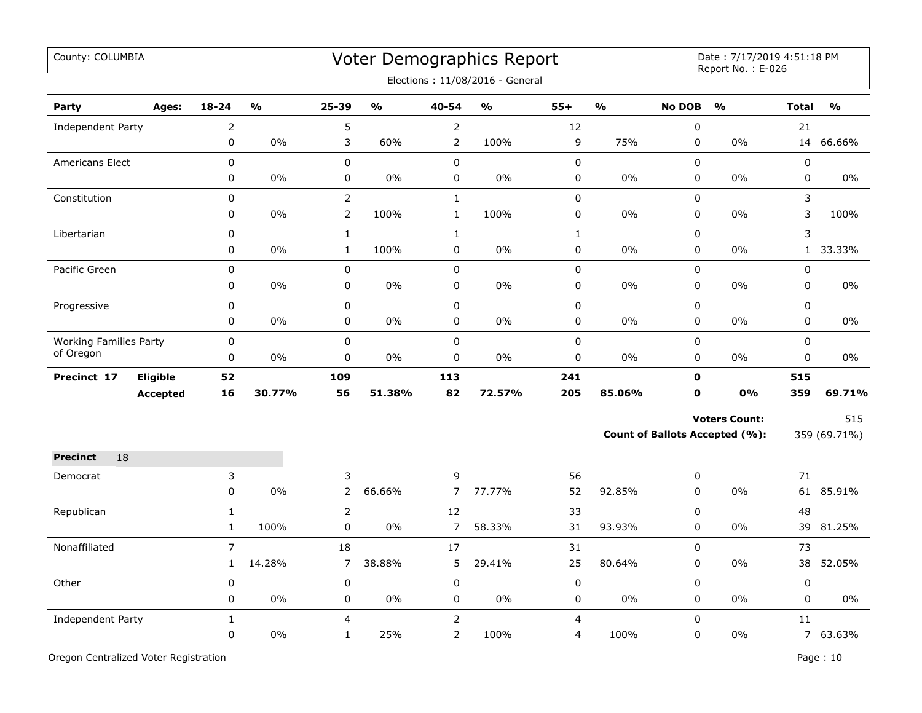| County: COLUMBIA              |                 |                |               |                |               |                | Voter Demographics Report<br>Elections: 11/08/2016 - General |              |               |                  | Date: 7/17/2019 4:51:18 PM<br>Report No.: E-026 |              |               |
|-------------------------------|-----------------|----------------|---------------|----------------|---------------|----------------|--------------------------------------------------------------|--------------|---------------|------------------|-------------------------------------------------|--------------|---------------|
| Party                         | Ages:           | $18 - 24$      | $\frac{0}{0}$ | 25-39          | $\frac{0}{0}$ | 40-54          | $\frac{0}{0}$                                                | $55+$        | $\frac{0}{0}$ | <b>No DOB</b>    | $\frac{0}{0}$                                   | <b>Total</b> | $\frac{0}{0}$ |
| Independent Party             |                 | $\overline{c}$ |               | 5              |               | 2              |                                                              | 12           |               | $\mathbf 0$      |                                                 | 21           |               |
|                               |                 | 0              | 0%            | 3              | 60%           | $\overline{2}$ | 100%                                                         | 9            | 75%           | 0                | 0%                                              | 14           | 66.66%        |
| <b>Americans Elect</b>        |                 | $\mathbf 0$    |               | $\mathbf 0$    |               | $\mathbf 0$    |                                                              | 0            |               | $\mathbf 0$      |                                                 | 0            |               |
|                               |                 | 0              | 0%            | $\pmb{0}$      | 0%            | $\mathsf 0$    | 0%                                                           | 0            | $0\%$         | 0                | 0%                                              | 0            | $0\%$         |
| Constitution                  |                 | 0              |               | $\overline{2}$ |               | $\mathbf{1}$   |                                                              | 0            |               | $\mathbf 0$      |                                                 | 3            |               |
|                               |                 | 0              | $0\%$         | $\overline{2}$ | 100%          | $\mathbf{1}$   | 100%                                                         | 0            | 0%            | $\mathbf 0$      | 0%                                              | 3            | 100%          |
| Libertarian                   |                 | 0              |               | $\mathbf{1}$   |               | $\mathbf{1}$   |                                                              | $\mathbf{1}$ |               | 0                |                                                 | 3            |               |
|                               |                 | $\pmb{0}$      | $0\%$         | $\mathbf{1}$   | 100%          | 0              | 0%                                                           | 0            | $0\%$         | 0                | $0\%$                                           | $\mathbf{1}$ | 33.33%        |
| Pacific Green                 |                 | $\pmb{0}$      |               | $\pmb{0}$      |               | $\mathbf 0$    |                                                              | $\pmb{0}$    |               | $\mathbf 0$      |                                                 | $\pmb{0}$    |               |
|                               |                 | $\pmb{0}$      | $0\%$         | 0              | $0\%$         | 0              | 0%                                                           | $\pmb{0}$    | 0%            | 0                | $0\%$                                           | 0            | $0\%$         |
| Progressive                   |                 | $\pmb{0}$      |               | 0              |               | 0              |                                                              | $\pmb{0}$    |               | $\mathbf 0$      |                                                 | 0            |               |
|                               |                 | 0              | $0\%$         | 0              | $0\%$         | 0              | 0%                                                           | $\pmb{0}$    | 0%            | 0                | $0\%$                                           | 0            | 0%            |
| <b>Working Families Party</b> |                 | 0              |               | $\pmb{0}$      |               | $\pmb{0}$      |                                                              | $\pmb{0}$    |               | 0                |                                                 | 0            |               |
| of Oregon                     |                 | 0              | 0%            | 0              | 0%            | 0              | 0%                                                           | 0            | 0%            | 0                | 0%                                              | 0            | $0\%$         |
| Precinct 17                   | <b>Eligible</b> | 52             |               | 109            |               | 113            |                                                              | 241          |               | $\mathbf 0$      |                                                 | 515          |               |
|                               | <b>Accepted</b> | 16             | 30.77%        | 56             | 51.38%        | 82             | 72.57%                                                       | 205          | 85.06%        | 0                | 0%                                              | 359          | 69.71%        |
|                               |                 |                |               |                |               |                |                                                              |              |               |                  | <b>Voters Count:</b>                            |              | 515           |
|                               |                 |                |               |                |               |                |                                                              |              |               |                  | Count of Ballots Accepted (%):                  |              | 359 (69.71%)  |
| 18<br><b>Precinct</b>         |                 |                |               |                |               |                |                                                              |              |               |                  |                                                 |              |               |
| Democrat                      |                 | 3              |               | 3              |               | 9              |                                                              | 56           |               | 0                |                                                 | 71           |               |
|                               |                 | $\mathsf 0$    | $0\%$         | $\overline{2}$ | 66.66%        | $\overline{7}$ | 77.77%                                                       | 52           | 92.85%        | 0                | $0\%$                                           |              | 61 85.91%     |
| Republican                    |                 | $\mathbf{1}$   |               | $\overline{2}$ |               | 12             |                                                              | 33           |               | 0                |                                                 | 48           |               |
|                               |                 | $\mathbf{1}$   | 100%          | 0              | $0\%$         | $\overline{7}$ | 58.33%                                                       | 31           | 93.93%        | 0                | $0\%$                                           | 39           | 81.25%        |
| Nonaffiliated                 |                 | $\overline{7}$ |               | 18             |               | 17             |                                                              | 31           |               | $\boldsymbol{0}$ |                                                 | 73           |               |
|                               |                 | $\mathbf{1}$   | 14.28%        | $\overline{7}$ | 38.88%        | 5              | 29.41%                                                       | 25           | 80.64%        | 0                | 0%                                              | 38           | 52.05%        |
| Other                         |                 | $\pmb{0}$      |               | 0              |               | 0              |                                                              | $\pmb{0}$    |               | 0                |                                                 | $\pmb{0}$    |               |
|                               |                 | 0              | $0\%$         | 0              | 0%            | 0              | 0%                                                           | 0            | 0%            | 0                | $0\%$                                           | 0            | 0%            |
| Independent Party             |                 | $\mathbf{1}$   |               | 4              |               |                |                                                              | 4            |               | 0                |                                                 | 11           |               |
|                               |                 | $\mathbf 0$    | 0%            | $\mathbf{1}$   | 25%           | 2              | 100%                                                         | 4            | 100%          | 0                | 0%                                              |              | 7 63.63%      |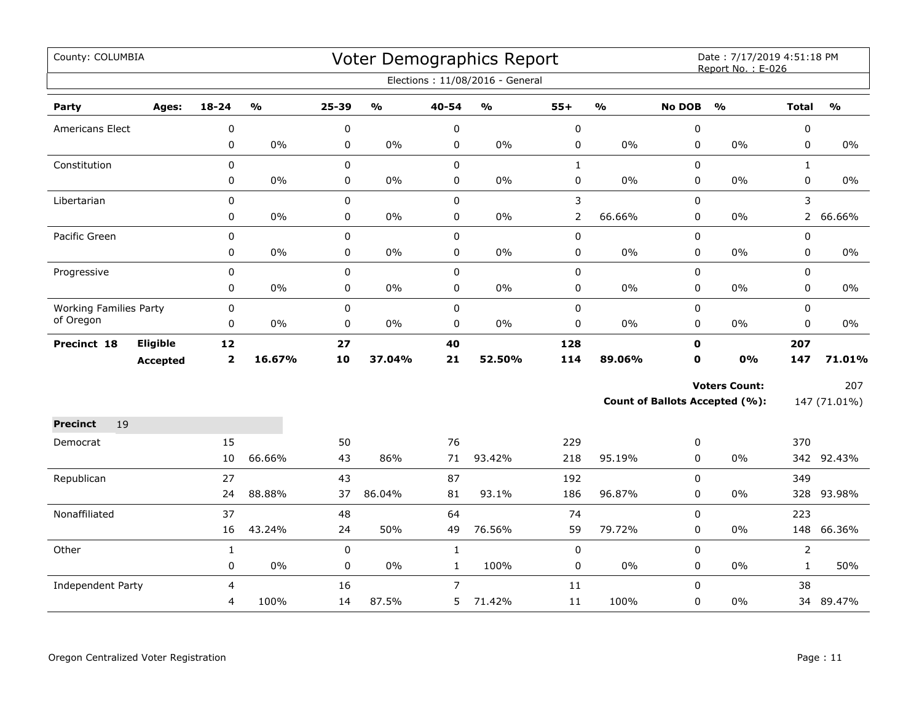| County: COLUMBIA              |                 |                |        |       |               |              | Voter Demographics Report       |                |               |               | Date: 7/17/2019 4:51:18 PM<br>Report No.: E-026 |                |               |
|-------------------------------|-----------------|----------------|--------|-------|---------------|--------------|---------------------------------|----------------|---------------|---------------|-------------------------------------------------|----------------|---------------|
|                               |                 |                |        |       |               |              | Elections: 11/08/2016 - General |                |               |               |                                                 |                |               |
| Party                         | Ages:           | $18 - 24$      | %      | 25-39 | $\frac{1}{2}$ | 40-54        | %                               | $55+$          | $\frac{1}{2}$ | <b>No DOB</b> | $\frac{0}{0}$                                   | <b>Total</b>   | $\frac{1}{2}$ |
| <b>Americans Elect</b>        |                 | 0              |        | 0     |               | 0            |                                 | $\mathbf 0$    |               | 0             |                                                 | 0              |               |
|                               |                 | 0              | $0\%$  | 0     | $0\%$         | 0            | $0\%$                           | 0              | 0%            | $\mathbf 0$   | 0%                                              | $\mathbf 0$    | $0\%$         |
| Constitution                  |                 | 0              |        | 0     |               | $\mathbf 0$  |                                 | $\mathbf{1}$   |               | 0             |                                                 | $\mathbf{1}$   |               |
|                               |                 | 0              | $0\%$  | 0     | $0\%$         | $\pmb{0}$    | $0\%$                           | 0              | $0\%$         | $\pmb{0}$     | 0%                                              | 0              | $0\%$         |
| Libertarian                   |                 | 0              |        | 0     |               | $\pmb{0}$    |                                 | 3              |               | 0             |                                                 | 3              |               |
|                               |                 | 0              | $0\%$  | 0     | $0\%$         | $\pmb{0}$    | $0\%$                           | $\overline{2}$ | 66.66%        | 0             | 0%                                              | $2^{\circ}$    | 66.66%        |
| Pacific Green                 |                 | $\mathbf 0$    |        | 0     |               | $\mathbf 0$  |                                 | 0              |               | $\mathbf 0$   |                                                 | $\mathbf 0$    |               |
|                               |                 | 0              | 0%     | 0     | $0\%$         | $\mathbf 0$  | $0\%$                           | 0              | 0%            | 0             | 0%                                              | $\mathbf 0$    | $0\%$         |
| Progressive                   |                 | 0              |        | 0     |               | $\pmb{0}$    |                                 | 0              |               | 0             |                                                 | $\mathbf 0$    |               |
|                               |                 | 0              | $0\%$  | 0     | $0\%$         | $\pmb{0}$    | $0\%$                           | 0              | $0\%$         | 0             | 0%                                              | $\pmb{0}$      | $0\%$         |
| <b>Working Families Party</b> |                 | 0              |        | 0     |               | $\pmb{0}$    |                                 | 0              |               | 0             |                                                 | $\mathbf 0$    |               |
| of Oregon                     |                 | 0              | $0\%$  | 0     | $0\%$         | $\mathbf 0$  | $0\%$                           | $\pmb{0}$      | $0\%$         | 0             | 0%                                              | 0              | 0%            |
| Precinct 18                   | <b>Eligible</b> | 12             |        | 27    |               | 40           |                                 | 128            |               | $\mathbf 0$   |                                                 | 207            |               |
|                               | <b>Accepted</b> | $\overline{2}$ | 16.67% | 10    | 37.04%        | 21           | 52.50%                          | 114            | 89.06%        | $\mathbf 0$   | 0%                                              | 147            | 71.01%        |
|                               |                 |                |        |       |               |              |                                 |                |               |               | <b>Voters Count:</b>                            |                | 207           |
|                               |                 |                |        |       |               |              |                                 |                |               |               | <b>Count of Ballots Accepted (%):</b>           |                | 147 (71.01%)  |
| <b>Precinct</b><br>19         |                 |                |        |       |               |              |                                 |                |               |               |                                                 |                |               |
| Democrat                      |                 | 15             |        | 50    |               | 76           |                                 | 229            |               | 0             |                                                 | 370            |               |
|                               |                 | 10             | 66.66% | 43    | 86%           | 71           | 93.42%                          | 218            | 95.19%        | 0             | 0%                                              |                | 342 92.43%    |
| Republican                    |                 | 27             |        | 43    |               | 87           |                                 | 192            |               | 0             |                                                 | 349            |               |
|                               |                 | 24             | 88.88% | 37    | 86.04%        | 81           | 93.1%                           | 186            | 96.87%        | 0             | 0%                                              |                | 328 93.98%    |
| Nonaffiliated                 |                 | 37             |        | 48    |               | 64           |                                 | 74             |               | 0             |                                                 | 223            |               |
|                               |                 | 16             | 43.24% | 24    | 50%           | 49           | 76.56%                          | 59             | 79.72%        | 0             | 0%                                              | 148            | 66.36%        |
| Other                         |                 | $\mathbf{1}$   |        | 0     |               | $\mathbf 1$  |                                 | 0              |               | $\pmb{0}$     |                                                 | $\overline{2}$ |               |
|                               |                 | 0              | $0\%$  | 0     | $0\%$         | $\mathbf{1}$ | 100%                            | 0              | 0%            | 0             | $0\%$                                           | $\mathbf{1}$   | 50%           |
| Independent Party             |                 | 4              |        | 16    |               | 7            |                                 | 11             |               | $\mathbf 0$   |                                                 | 38             |               |
|                               |                 | 4              | 100%   | 14    | 87.5%         | 5            | 71.42%                          | 11             | 100%          | 0             | 0%                                              |                | 34 89.47%     |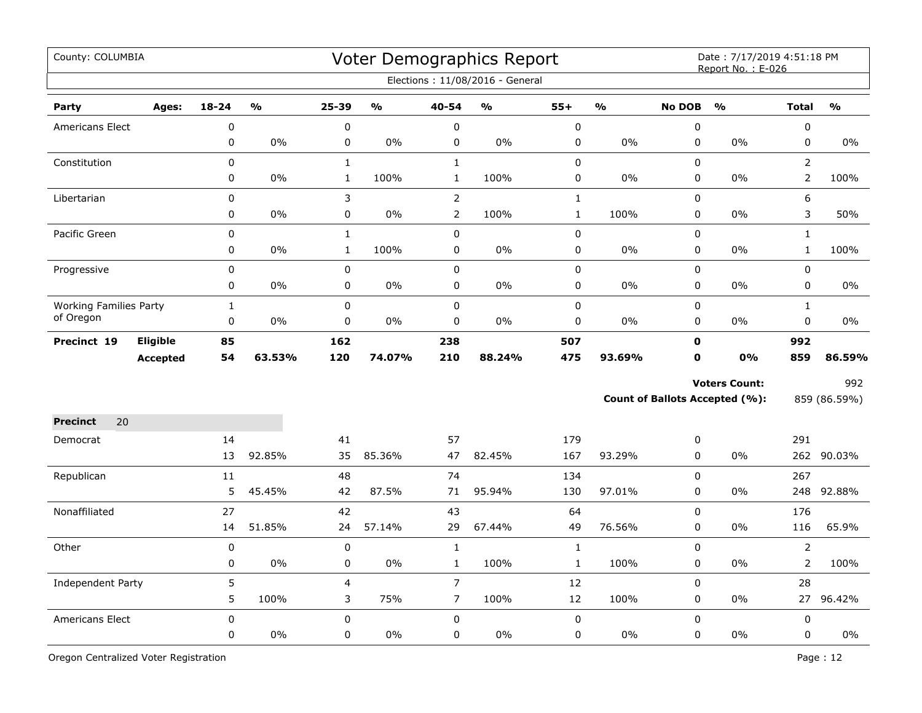| County: COLUMBIA              |                 |             |               |              |               |                | Voter Demographics Report<br>Elections: 11/08/2016 - General |              |               |               | Date: 7/17/2019 4:51:18 PM<br>Report No.: E-026 |                |                         |
|-------------------------------|-----------------|-------------|---------------|--------------|---------------|----------------|--------------------------------------------------------------|--------------|---------------|---------------|-------------------------------------------------|----------------|-------------------------|
| Party                         | Ages:           | $18 - 24$   | $\frac{0}{0}$ | $25 - 39$    | $\frac{0}{0}$ | 40-54          | $\frac{9}{6}$                                                | $55+$        | $\frac{1}{2}$ | <b>No DOB</b> | $\frac{0}{0}$                                   | <b>Total</b>   | $\mathbf{O}/\mathbf{O}$ |
| Americans Elect               |                 | $\mathbf 0$ |               | 0            |               | $\pmb{0}$      |                                                              | $\mathbf 0$  |               | 0             |                                                 | $\pmb{0}$      |                         |
|                               |                 | 0           | 0%            | 0            | 0%            | $\pmb{0}$      | 0%                                                           | 0            | 0%            | $\pmb{0}$     | 0%                                              | $\pmb{0}$      | 0%                      |
| Constitution                  |                 | 0           |               | $\mathbf{1}$ |               | $\mathbf{1}$   |                                                              | 0            |               | 0             |                                                 | $\overline{2}$ |                         |
|                               |                 | 0           | 0%            | $\mathbf{1}$ | 100%          | $\mathbf{1}$   | 100%                                                         | 0            | 0%            | $\pmb{0}$     | 0%                                              | $\overline{2}$ | 100%                    |
| Libertarian                   |                 | 0           |               | 3            |               | $\overline{2}$ |                                                              | $\mathbf{1}$ |               | $\pmb{0}$     |                                                 | 6              |                         |
|                               |                 | 0           | $0\%$         | 0            | $0\%$         | $\overline{2}$ | 100%                                                         | $\mathbf{1}$ | 100%          | 0             | 0%                                              | 3              | 50%                     |
| Pacific Green                 |                 | 0           |               | $\mathbf 1$  |               | $\pmb{0}$      |                                                              | 0            |               | 0             |                                                 | $\mathbf{1}$   |                         |
|                               |                 | 0           | $0\%$         | $\mathbf{1}$ | 100%          | $\mathbf 0$    | 0%                                                           | 0            | 0%            | 0             | 0%                                              | $\mathbf{1}$   | 100%                    |
| Progressive                   |                 | 0           |               | $\pmb{0}$    |               | $\pmb{0}$      |                                                              | 0            |               | $\pmb{0}$     |                                                 | $\pmb{0}$      |                         |
|                               |                 | 0           | 0%            | $\pmb{0}$    | 0%            | $\pmb{0}$      | 0%                                                           | 0            | 0%            | $\mathbf 0$   | 0%                                              | $\mathbf 0$    | $0\%$                   |
| <b>Working Families Party</b> |                 | $\mathbf 1$ |               | 0            |               | $\pmb{0}$      |                                                              | 0            |               | $\pmb{0}$     |                                                 | $\mathbf{1}$   |                         |
| of Oregon                     |                 | $\mathbf 0$ | 0%            | 0            | $0\%$         | $\pmb{0}$      | 0%                                                           | 0            | 0%            | $\mathbf 0$   | 0%                                              | $\mathbf 0$    | 0%                      |
| Precinct 19                   | Eligible        | 85          |               | 162          |               | 238            |                                                              | 507          |               | $\mathbf 0$   |                                                 | 992            |                         |
|                               | <b>Accepted</b> | 54          | 63.53%        | 120          | 74.07%        | 210            | 88.24%                                                       | 475          | 93.69%        | $\mathbf 0$   | 0%                                              | 859            | 86.59%                  |
|                               |                 |             |               |              |               |                |                                                              |              |               |               | <b>Voters Count:</b>                            |                | 992                     |
|                               |                 |             |               |              |               |                |                                                              |              |               |               | Count of Ballots Accepted (%):                  |                | 859 (86.59%)            |
| 20<br><b>Precinct</b>         |                 |             |               |              |               |                |                                                              |              |               |               |                                                 |                |                         |
| Democrat                      |                 | 14          |               | 41           |               | 57             |                                                              | 179          |               | 0             |                                                 | 291            |                         |
|                               |                 | 13          | 92.85%        | 35           | 85.36%        | 47             | 82.45%                                                       | 167          | 93.29%        | 0             | 0%                                              |                | 262 90.03%              |
| Republican                    |                 | 11          |               | 48           |               | 74             |                                                              | 134          |               | $\Omega$      |                                                 | 267            |                         |
|                               |                 | 5           | 45.45%        | 42           | 87.5%         | 71             | 95.94%                                                       | 130          | 97.01%        | $\mathbf 0$   | 0%                                              | 248            | 92.88%                  |
| Nonaffiliated                 |                 | 27          |               | 42           |               | 43             |                                                              | 64           |               | $\mathbf 0$   |                                                 | 176            |                         |
|                               |                 | 14          | 51.85%        | 24           | 57.14%        | 29             | 67.44%                                                       | 49           | 76.56%        | $\mathbf 0$   | 0%                                              | 116            | 65.9%                   |
| Other                         |                 | $\pmb{0}$   |               | $\mathbf 0$  |               | $\mathbf{1}$   |                                                              | $\mathbf{1}$ |               | $\mathbf 0$   |                                                 | $\overline{2}$ |                         |
|                               |                 | 0           | 0%            | 0            | 0%            | $\mathbf{1}$   | 100%                                                         | $\mathbf{1}$ | 100%          | $\mathbf 0$   | 0%                                              | $\overline{2}$ | 100%                    |
| Independent Party             |                 | 5           |               | 4            |               | $\overline{7}$ |                                                              | 12           |               | 0             |                                                 | 28             |                         |
|                               |                 | 5           | 100%          | 3            | 75%           | $\overline{7}$ | 100%                                                         | 12           | 100%          | 0             | 0%                                              |                | 27 96.42%               |
| Americans Elect               |                 | $\mathbf 0$ |               | 0            |               | $\mathsf 0$    |                                                              | 0            |               | 0             |                                                 | $\pmb{0}$      |                         |
|                               |                 | 0           | 0%            | 0            | $0\%$         | $\mathsf 0$    | 0%                                                           | 0            | 0%            | 0             | 0%                                              | $\mathsf 0$    | $0\%$                   |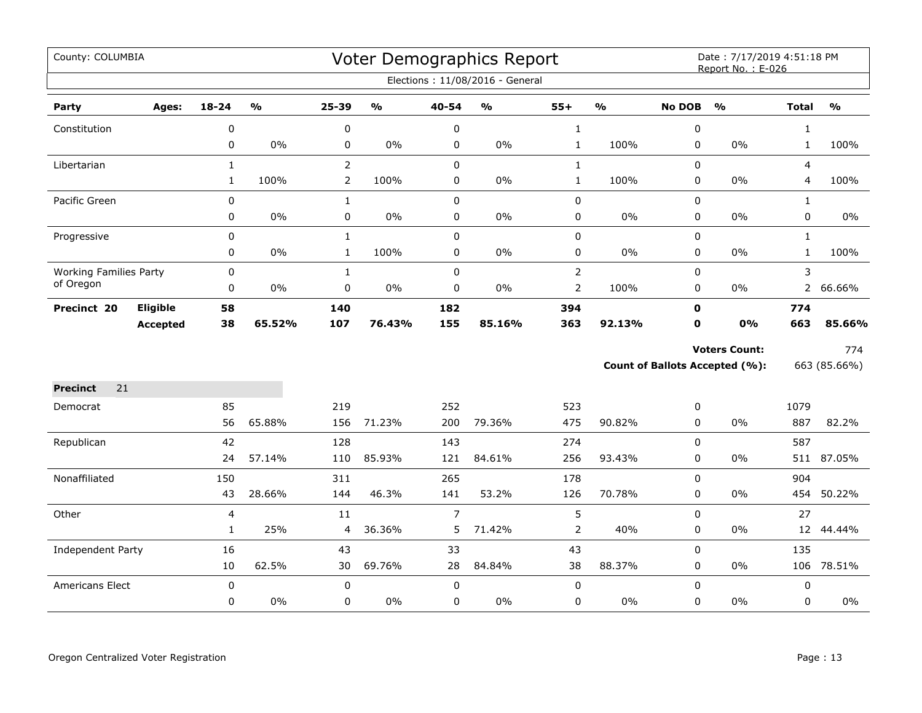| County: COLUMBIA              |                 |              |                         |                |                                   |                | Voter Demographics Report         |                |                         |               | Date: 7/17/2019 4:51:18 PM<br>Report No.: E-026 |                |               |
|-------------------------------|-----------------|--------------|-------------------------|----------------|-----------------------------------|----------------|-----------------------------------|----------------|-------------------------|---------------|-------------------------------------------------|----------------|---------------|
|                               |                 |              |                         |                |                                   |                | Elections: 11/08/2016 - General   |                |                         |               |                                                 |                |               |
| Party                         | Ages:           | 18-24        | $\mathbf{O}/\mathbf{o}$ | 25-39          | $\mathsf{o}\mathsf{v}_\mathsf{o}$ | 40-54          | $\mathsf{o}\mathsf{v}_\mathsf{o}$ | $55+$          | $\mathbf{O}/\mathbf{o}$ | <b>No DOB</b> | $\frac{0}{0}$                                   | <b>Total</b>   | $\frac{1}{2}$ |
| Constitution                  |                 | 0            |                         | $\pmb{0}$      |                                   | $\pmb{0}$      |                                   | $\mathbf{1}$   |                         | $\pmb{0}$     |                                                 | $\mathbf{1}$   |               |
|                               |                 | 0            | 0%                      | 0              | $0\%$                             | 0              | $0\%$                             | $\mathbf{1}$   | 100%                    | 0             | 0%                                              | $\mathbf{1}$   | 100%          |
| Libertarian                   |                 | $\mathbf{1}$ |                         | $\overline{2}$ |                                   | $\mathbf 0$    |                                   | $\mathbf{1}$   |                         | $\mathbf 0$   |                                                 | $\overline{4}$ |               |
|                               |                 | $\mathbf{1}$ | 100%                    | $\overline{2}$ | 100%                              | 0              | $0\%$                             | $\mathbf{1}$   | 100%                    | 0             | 0%                                              | 4              | 100%          |
| Pacific Green                 |                 | 0            |                         | $\mathbf{1}$   |                                   | $\pmb{0}$      |                                   | $\pmb{0}$      |                         | 0             |                                                 | $\mathbf{1}$   |               |
|                               |                 | 0            | $0\%$                   | 0              | $0\%$                             | $\pmb{0}$      | $0\%$                             | 0              | $0\%$                   | $\pmb{0}$     | 0%                                              | 0              | 0%            |
| Progressive                   |                 | $\mathbf 0$  |                         | $\mathbf{1}$   |                                   | $\mathbf 0$    |                                   | 0              |                         | 0             |                                                 | $\mathbf{1}$   |               |
|                               |                 | 0            | $0\%$                   | $\mathbf{1}$   | 100%                              | $\mathbf 0$    | 0%                                | 0              | 0%                      | 0             | 0%                                              | $\mathbf{1}$   | 100%          |
| <b>Working Families Party</b> |                 | 0            |                         | $\mathbf{1}$   |                                   | $\pmb{0}$      |                                   | $\overline{2}$ |                         | 0             |                                                 | 3              |               |
| of Oregon                     |                 | 0            | $0\%$                   | $\pmb{0}$      | $0\%$                             | $\pmb{0}$      | $0\%$                             | $\overline{2}$ | 100%                    | 0             | $0\%$                                           | $\overline{2}$ | 66.66%        |
| Precinct 20                   | <b>Eligible</b> | 58           |                         | 140            |                                   | 182            |                                   | 394            |                         | $\mathbf o$   |                                                 | 774            |               |
|                               | <b>Accepted</b> | 38           | 65.52%                  | 107            | 76.43%                            | 155            | 85.16%                            | 363            | 92.13%                  | 0             | 0%                                              | 663            | 85.66%        |
|                               |                 |              |                         |                |                                   |                |                                   |                |                         |               | <b>Voters Count:</b>                            |                | 774           |
|                               |                 |              |                         |                |                                   |                |                                   |                |                         |               | <b>Count of Ballots Accepted (%):</b>           |                | 663 (85.66%)  |
| <b>Precinct</b><br>21         |                 |              |                         |                |                                   |                |                                   |                |                         |               |                                                 |                |               |
| Democrat                      |                 | 85           |                         | 219            |                                   | 252            |                                   | 523            |                         | 0             |                                                 | 1079           |               |
|                               |                 | 56           | 65.88%                  | 156            | 71.23%                            | 200            | 79.36%                            | 475            | 90.82%                  | 0             | 0%                                              | 887            | 82.2%         |
| Republican                    |                 | 42           |                         | 128            |                                   | 143            |                                   | 274            |                         | 0             |                                                 | 587            |               |
|                               |                 | 24           | 57.14%                  | 110            | 85.93%                            | 121            | 84.61%                            | 256            | 93.43%                  | 0             | 0%                                              | 511            | 87.05%        |
| Nonaffiliated                 |                 | 150          |                         | 311            |                                   | 265            |                                   | 178            |                         | $\mathbf 0$   |                                                 | 904            |               |
|                               |                 | 43           | 28.66%                  | 144            | 46.3%                             | 141            | 53.2%                             | 126            | 70.78%                  | 0             | 0%                                              | 454            | 50.22%        |
| Other                         |                 | 4            |                         | 11             |                                   | $\overline{7}$ |                                   | 5              |                         | $\pmb{0}$     |                                                 | 27             |               |
|                               |                 | $\mathbf{1}$ | 25%                     | 4              | 36.36%                            | 5              | 71.42%                            | $\overline{2}$ | 40%                     | 0             | 0%                                              | 12             | 44.44%        |
| Independent Party             |                 | 16           |                         | 43             |                                   | 33             |                                   | 43             |                         | $\mathbf 0$   |                                                 | 135            |               |
|                               |                 | 10           | 62.5%                   | 30             | 69.76%                            | 28             | 84.84%                            | 38             | 88.37%                  | $\pmb{0}$     | 0%                                              | 106            | 78.51%        |
| Americans Elect               |                 | $\mathbf 0$  |                         | $\mathbf 0$    |                                   | $\mathbf 0$    |                                   | $\mathbf 0$    |                         | $\mathbf 0$   |                                                 | 0              |               |
|                               |                 | 0            | $0\%$                   | 0              | $0\%$                             | 0              | $0\%$                             | 0              | 0%                      | 0             | $0\%$                                           | 0              | 0%            |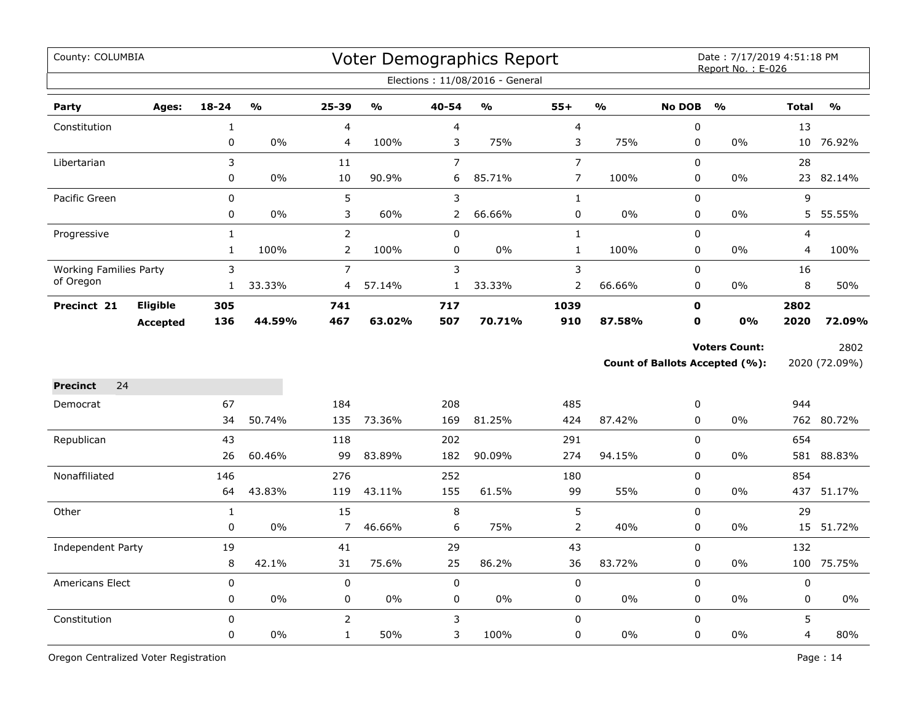| County: COLUMBIA              |                 |                                 |               |                                |               |                | Voter Demographics Report<br>Elections: 11/08/2016 - General |                       |               |                          | Date: 7/17/2019 4:51:18 PM<br>Report No.: E-026        |                  |                       |
|-------------------------------|-----------------|---------------------------------|---------------|--------------------------------|---------------|----------------|--------------------------------------------------------------|-----------------------|---------------|--------------------------|--------------------------------------------------------|------------------|-----------------------|
| Party                         | Ages:           | $18 - 24$                       | $\frac{1}{2}$ | 25-39                          | $\frac{1}{2}$ | 40-54          | $\frac{0}{0}$                                                | $55+$                 | $\frac{9}{0}$ | <b>No DOB</b>            | $\frac{0}{0}$                                          | <b>Total</b>     | $\frac{9}{0}$         |
| Constitution                  |                 | $\mathbf 1$                     |               | $\overline{4}$                 |               | 4              |                                                              | $\overline{4}$        |               | $\pmb{0}$                |                                                        | 13               |                       |
|                               |                 | 0                               | 0%            | 4                              | 100%          | 3              | 75%                                                          | 3                     | 75%           | 0                        | 0%                                                     | 10               | 76.92%                |
| Libertarian                   |                 | 3                               |               | 11                             |               | $\overline{7}$ |                                                              | $\overline{7}$        |               | $\mathsf 0$              |                                                        | 28               |                       |
|                               |                 | 0                               | 0%            | 10                             | 90.9%         | 6              | 85.71%                                                       | $\overline{7}$        | 100%          | $\pmb{0}$                | 0%                                                     | 23               | 82.14%                |
| Pacific Green                 |                 | 0                               |               | 5                              |               | 3              |                                                              | $\mathbf 1$           |               | $\pmb{0}$                |                                                        | 9                |                       |
|                               |                 | 0                               | 0%            | 3                              | 60%           | $\mathbf{2}$   | 66.66%                                                       | 0                     | 0%            | 0                        | $0\%$                                                  | 5                | 55.55%                |
| Progressive                   |                 | $\mathbf{1}$                    |               | $\overline{2}$                 |               | $\mathbf 0$    |                                                              | $\mathbf{1}$          |               | $\mathbf 0$              |                                                        | 4                |                       |
|                               |                 | $\mathbf{1}$                    | 100%          | $\overline{2}$                 | 100%          | $\mathbf 0$    | 0%                                                           | $\mathbf{1}$          | 100%          | $\mathsf 0$              | 0%                                                     | 4                | 100%                  |
| <b>Working Families Party</b> |                 | 3                               |               | $\overline{7}$                 |               | 3              |                                                              | 3                     |               | $\pmb{0}$                |                                                        | 16               |                       |
| of Oregon                     |                 | $\mathbf{1}$                    | 33.33%        | $\overline{4}$                 | 57.14%        | $\mathbf{1}$   | 33.33%                                                       | $\overline{2}$        | 66.66%        | $\mathbf 0$              | $0\%$                                                  | 8                | 50%                   |
| Precinct 21                   | <b>Eligible</b> | 305                             |               | 741                            |               | 717            |                                                              | 1039                  |               | $\mathbf 0$              |                                                        | 2802             |                       |
|                               | <b>Accepted</b> | 136                             | 44.59%        | 467                            | 63.02%        | 507            | 70.71%                                                       | 910                   | 87.58%        | 0                        | 0%                                                     | 2020             | 72.09%                |
|                               |                 |                                 |               |                                |               |                |                                                              |                       |               |                          | <b>Voters Count:</b><br>Count of Ballots Accepted (%): |                  | 2802<br>2020 (72.09%) |
| 24<br><b>Precinct</b>         |                 |                                 |               |                                |               |                |                                                              |                       |               |                          |                                                        |                  |                       |
| Democrat                      |                 | 67                              |               | 184                            |               | 208            |                                                              | 485                   |               | 0                        |                                                        | 944              |                       |
|                               |                 | 34                              | 50.74%        | 135                            | 73.36%        | 169            | 81.25%                                                       | 424                   | 87.42%        | $\mathbf 0$              | 0%                                                     |                  | 762 80.72%            |
| Republican                    |                 | 43                              |               | 118                            |               | 202            |                                                              | 291                   |               | $\mathsf 0$              |                                                        | 654              |                       |
|                               |                 | 26                              | 60.46%        | 99                             | 83.89%        | 182            | 90.09%                                                       | 274                   | 94.15%        | $\pmb{0}$                | 0%                                                     |                  | 581 88.83%            |
| Nonaffiliated                 |                 | 146                             |               | 276                            |               | 252            |                                                              | 180                   |               | $\mathbf 0$              |                                                        | 854              |                       |
|                               |                 | 64                              | 43.83%        | 119                            | 43.11%        | 155            | 61.5%                                                        | 99                    | 55%           | $\mathbf 0$              | $0\%$                                                  | 437              | 51.17%                |
| Other                         |                 | $\mathbf{1}$                    |               | 15                             |               | 8              |                                                              | 5                     |               | $\mathbf 0$              |                                                        | 29               |                       |
|                               |                 | $\pmb{0}$                       | 0%            | $\overline{7}$                 | 46.66%        | 6              | 75%                                                          | $\overline{2}$        | 40%           | $\pmb{0}$                | 0%                                                     | 15               | 51.72%                |
| Independent Party             |                 | 19                              |               | 41                             |               | 29             |                                                              | 43                    |               | $\pmb{0}$                |                                                        | 132              |                       |
|                               |                 | 8                               | 42.1%         | 31                             | 75.6%         | 25             | 86.2%                                                        | 36                    | 83.72%        | $\pmb{0}$                | 0%                                                     | 100              | 75.75%                |
| Americans Elect               |                 | $\pmb{0}$                       |               | $\pmb{0}$                      |               | $\mathbf 0$    |                                                              | $\pmb{0}$             |               | $\mathsf 0$              |                                                        | $\boldsymbol{0}$ |                       |
|                               |                 | 0                               | 0%            | 0                              | $0\%$         | 0              | 0%                                                           | 0                     | $0\%$         | 0                        | $0\%$                                                  | 0                | 0%                    |
| Constitution                  |                 | $\boldsymbol{0}$<br>$\mathbf 0$ | 0%            | $\overline{2}$<br>$\mathbf{1}$ | 50%           | 3<br>3         | 100%                                                         | $\boldsymbol{0}$<br>0 | 0%            | $\mathsf 0$<br>$\pmb{0}$ | 0%                                                     | 5<br>4           | 80%                   |
|                               |                 |                                 |               |                                |               |                |                                                              |                       |               |                          |                                                        |                  |                       |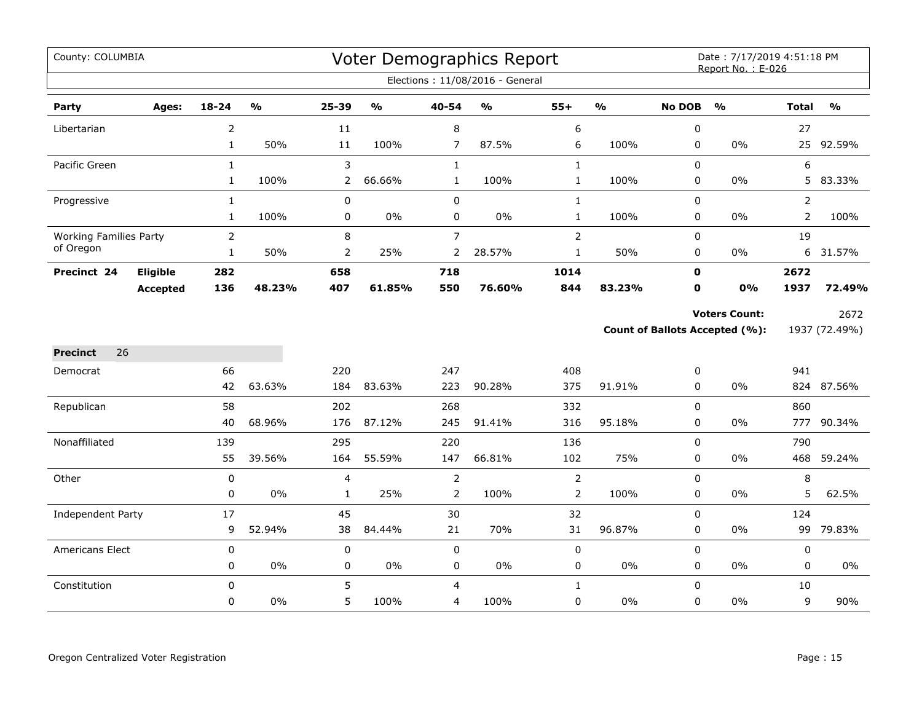| County: COLUMBIA              |                 |                |               |                |                                   |                | Voter Demographics Report         |                |                         |               | Date: 7/17/2019 4:51:18 PM<br>Report No.: E-026 |                |                         |
|-------------------------------|-----------------|----------------|---------------|----------------|-----------------------------------|----------------|-----------------------------------|----------------|-------------------------|---------------|-------------------------------------------------|----------------|-------------------------|
|                               |                 |                |               |                |                                   |                | Elections: 11/08/2016 - General   |                |                         |               |                                                 |                |                         |
| Party                         | Ages:           | $18 - 24$      | $\frac{0}{0}$ | 25-39          | $\mathsf{o}\mathsf{v}_\mathsf{o}$ | 40-54          | $\mathsf{o}\mathsf{v}_\mathsf{o}$ | $55+$          | $\mathbf{O}/\mathbf{O}$ | <b>No DOB</b> | $\frac{1}{2}$                                   | <b>Total</b>   | $\mathbf{O}/\mathbf{o}$ |
| Libertarian                   |                 | $\overline{2}$ |               | 11             |                                   | 8              |                                   | 6              |                         | 0             |                                                 | 27             |                         |
|                               |                 | $\mathbf{1}$   | 50%           | 11             | 100%                              | 7              | 87.5%                             | 6              | 100%                    | 0             | 0%                                              |                | 25 92.59%               |
| Pacific Green                 |                 | $\mathbf{1}$   |               | 3              |                                   | $\mathbf{1}$   |                                   | $\mathbf{1}$   |                         | $\mathbf 0$   |                                                 | 6              |                         |
|                               |                 | $\mathbf{1}$   | 100%          | 2              | 66.66%                            | $\mathbf{1}$   | 100%                              | $\mathbf{1}$   | 100%                    | 0             | 0%                                              | 5              | 83.33%                  |
| Progressive                   |                 | $\mathbf{1}$   |               | 0              |                                   | $\mathbf 0$    |                                   | $\mathbf{1}$   |                         | $\mathbf 0$   |                                                 | $\overline{2}$ |                         |
|                               |                 | $\mathbf{1}$   | 100%          | $\pmb{0}$      | $0\%$                             | 0              | 0%                                | $\mathbf{1}$   | 100%                    | 0             | $0\%$                                           | $\overline{2}$ | 100%                    |
| <b>Working Families Party</b> |                 | $\overline{2}$ |               | 8              |                                   | $\overline{7}$ |                                   | $\overline{2}$ |                         | 0             |                                                 | 19             |                         |
| of Oregon                     |                 | $\mathbf{1}$   | 50%           | $\overline{2}$ | 25%                               | $\overline{2}$ | 28.57%                            | $\mathbf{1}$   | 50%                     | 0             | $0\%$                                           |                | 6 31.57%                |
| Precinct 24                   | Eligible        | 282            |               | 658            |                                   | 718            |                                   | 1014           |                         | $\mathbf 0$   |                                                 | 2672           |                         |
|                               | <b>Accepted</b> | 136            | 48.23%        | 407            | 61.85%                            | 550            | 76.60%                            | 844            | 83.23%                  | 0             | 0%                                              | 1937           | 72.49%                  |
|                               |                 |                |               |                |                                   |                |                                   |                |                         |               | <b>Voters Count:</b>                            |                | 2672                    |
|                               |                 |                |               |                |                                   |                |                                   |                |                         |               | <b>Count of Ballots Accepted (%):</b>           |                | 1937 (72.49%)           |
| <b>Precinct</b><br>26         |                 |                |               |                |                                   |                |                                   |                |                         |               |                                                 |                |                         |
| Democrat                      |                 | 66             |               | 220            |                                   | 247            |                                   | 408            |                         | 0             |                                                 | 941            |                         |
|                               |                 | 42             | 63.63%        | 184            | 83.63%                            | 223            | 90.28%                            | 375            | 91.91%                  | 0             | 0%                                              |                | 824 87.56%              |
| Republican                    |                 | 58             |               | 202            |                                   | 268            |                                   | 332            |                         | 0             |                                                 | 860            |                         |
|                               |                 | 40             | 68.96%        | 176            | 87.12%                            | 245            | 91.41%                            | 316            | 95.18%                  | 0             | $0\%$                                           | 777            | 90.34%                  |
| Nonaffiliated                 |                 | 139            |               | 295            |                                   | 220            |                                   | 136            |                         | $\mathbf 0$   |                                                 | 790            |                         |
|                               |                 | 55             | 39.56%        | 164            | 55.59%                            | 147            | 66.81%                            | 102            | 75%                     | 0             | $0\%$                                           | 468            | 59.24%                  |
| Other                         |                 | 0              |               | 4              |                                   | $\overline{2}$ |                                   | $\overline{2}$ |                         | 0             |                                                 | 8              |                         |
|                               |                 | 0              | $0\%$         | $\mathbf{1}$   | 25%                               | $\overline{2}$ | 100%                              | $\overline{2}$ | 100%                    | $\mathbf 0$   | $0\%$                                           | 5              | 62.5%                   |
| Independent Party             |                 | 17             |               | 45             |                                   | 30             |                                   | 32             |                         | 0             |                                                 | 124            |                         |
|                               |                 | 9              | 52.94%        | 38             | 84.44%                            | 21             | 70%                               | 31             | 96.87%                  | 0             | $0\%$                                           | 99             | 79.83%                  |
| Americans Elect               |                 | 0              |               | $\pmb{0}$      |                                   | $\mathbf 0$    |                                   | 0              |                         | $\mathbf 0$   |                                                 | $\pmb{0}$      |                         |
|                               |                 | 0              | 0%            | 0              | $0\%$                             | 0              | 0%                                | 0              | $0\%$                   | 0             | $0\%$                                           | $\mathbf 0$    | $0\%$                   |
| Constitution                  |                 | $\mathbf 0$    |               | 5              |                                   | 4              |                                   | $\mathbf{1}$   |                         | 0             |                                                 | 10             |                         |
|                               |                 | 0              | 0%            | 5              | 100%                              | 4              | 100%                              | 0              | $0\%$                   | $\mathbf 0$   | $0\%$                                           | 9              | 90%                     |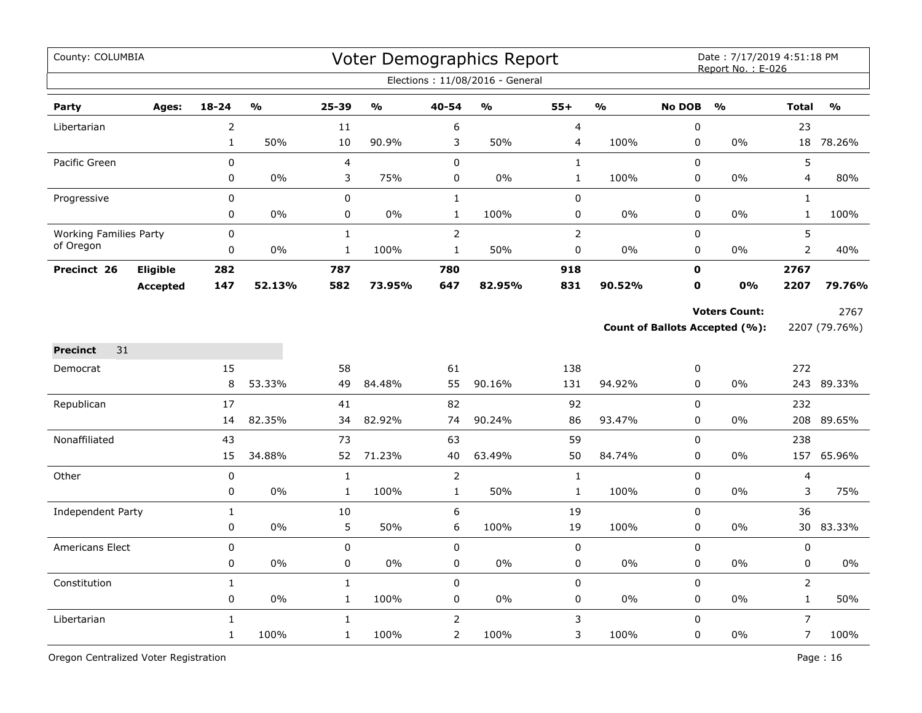| County: COLUMBIA              |                 |                              |               |                             |               |                                  | Voter Demographics Report<br>Elections: 11/08/2016 - General |                |               |                          | Date: 7/17/2019 4:51:18 PM<br>Report No.: E-026        |                                |                       |
|-------------------------------|-----------------|------------------------------|---------------|-----------------------------|---------------|----------------------------------|--------------------------------------------------------------|----------------|---------------|--------------------------|--------------------------------------------------------|--------------------------------|-----------------------|
| Party                         | Ages:           | $18 - 24$                    | $\frac{1}{2}$ | 25-39                       | $\frac{0}{0}$ | 40-54                            | $\mathbf{O}/\mathbf{o}$                                      | $55+$          | $\frac{1}{2}$ | <b>No DOB</b>            | $\frac{0}{0}$                                          | <b>Total</b>                   | $\frac{0}{0}$         |
| Libertarian                   |                 | $\overline{2}$               |               | 11                          |               | 6                                |                                                              | 4              |               | $\pmb{0}$                |                                                        | 23                             |                       |
|                               |                 | $\mathbf{1}$                 | 50%           | 10                          | 90.9%         | 3                                | 50%                                                          | 4              | 100%          | $\pmb{0}$                | 0%                                                     | 18                             | 78.26%                |
| Pacific Green                 |                 | 0                            |               | 4                           |               | $\mathbf 0$                      |                                                              | $\mathbf{1}$   |               | $\mathbf 0$              |                                                        | 5                              |                       |
|                               |                 | $\mathbf 0$                  | $0\%$         | 3                           | 75%           | $\mathbf 0$                      | $0\%$                                                        | $\mathbf{1}$   | 100%          | $\mathbf 0$              | 0%                                                     | 4                              | 80%                   |
| Progressive                   |                 | $\mathbf 0$                  |               | 0                           |               | $\mathbf{1}$                     |                                                              | $\pmb{0}$      |               | $\mathbf 0$              |                                                        | $\mathbf{1}$                   |                       |
|                               |                 | 0                            | 0%            | 0                           | 0%            | $\mathbf{1}$                     | 100%                                                         | 0              | 0%            | $\pmb{0}$                | 0%                                                     | $\mathbf{1}$                   | 100%                  |
| <b>Working Families Party</b> |                 | 0                            |               | $\mathbf{1}$                |               | $\overline{2}$                   |                                                              | $\overline{2}$ |               | $\pmb{0}$                |                                                        | 5                              |                       |
| of Oregon                     |                 | 0                            | $0\%$         | $\mathbf{1}$                | 100%          | $\mathbf{1}$                     | 50%                                                          | 0              | 0%            | 0                        | 0%                                                     | $\overline{2}$                 | 40%                   |
| Precinct 26                   | Eligible        | 282                          |               | 787                         |               | 780                              |                                                              | 918            |               | $\mathbf 0$              |                                                        | 2767                           |                       |
|                               | <b>Accepted</b> | 147                          | 52.13%        | 582                         | 73.95%        | 647                              | 82.95%                                                       | 831            | 90.52%        | $\mathbf o$              | $0\%$                                                  | 2207                           | 79.76%                |
|                               |                 |                              |               |                             |               |                                  |                                                              |                |               |                          | <b>Voters Count:</b><br>Count of Ballots Accepted (%): |                                | 2767<br>2207 (79.76%) |
| 31<br><b>Precinct</b>         |                 |                              |               |                             |               |                                  |                                                              |                |               |                          |                                                        |                                |                       |
| Democrat                      |                 | 15                           |               | 58                          |               | 61                               |                                                              | 138            |               | 0                        |                                                        | 272                            |                       |
|                               |                 | 8                            | 53.33%        | 49                          | 84.48%        | 55                               | 90.16%                                                       | 131            | 94.92%        | 0                        | 0%                                                     |                                | 243 89.33%            |
| Republican                    |                 | 17                           |               | 41                          |               | 82                               |                                                              | 92             |               | $\mathbf 0$              |                                                        | 232                            |                       |
|                               |                 | 14                           | 82.35%        | 34                          | 82.92%        | 74                               | 90.24%                                                       | 86             | 93.47%        | $\mathbf 0$              | 0%                                                     |                                | 208 89.65%            |
| Nonaffiliated                 |                 | 43                           |               | 73                          |               | 63                               |                                                              | 59             |               | $\mathbf 0$              |                                                        | 238                            |                       |
|                               |                 | 15                           | 34.88%        | 52                          | 71.23%        | 40                               | 63.49%                                                       | 50             | 84.74%        | 0                        | 0%                                                     |                                | 157 65.96%            |
| Other                         |                 | $\mathbf 0$                  |               | $\mathbf{1}$                |               | $\overline{2}$                   |                                                              | $\mathbf{1}$   |               | $\mathbf 0$              |                                                        | 4                              |                       |
|                               |                 | 0                            | 0%            | $\mathbf{1}$                | 100%          | $\mathbf{1}$                     | 50%                                                          | $\mathbf{1}$   | 100%          | $\pmb{0}$                | $0\%$                                                  | 3                              | 75%                   |
| <b>Independent Party</b>      |                 | $\mathbf{1}$                 |               | 10                          |               | $\boldsymbol{6}$                 |                                                              | 19             |               | $\mathbf 0$              |                                                        | 36                             |                       |
|                               |                 | 0                            | 0%            | 5                           | 50%           | 6                                | 100%                                                         | 19             | 100%          | 0                        | 0%                                                     | 30                             | 83.33%                |
| <b>Americans Elect</b>        |                 | 0                            |               | 0                           |               | $\mathbf 0$                      |                                                              | $\pmb{0}$      |               | $\mathbf 0$              |                                                        | 0                              |                       |
|                               |                 | 0                            | 0%            | 0                           | $0\%$         | 0                                | $0\%$                                                        | $\pmb{0}$      | $0\%$         | $\pmb{0}$                | 0%                                                     | 0                              | 0%                    |
| Constitution                  |                 | $\mathbf{1}$<br>0            | 0%            | $\mathbf 1$                 | 100%          | $\pmb{0}$<br>0                   | 0%                                                           | $\pmb{0}$      | $0\%$         | $\pmb{0}$<br>0           | 0%                                                     | $\overline{2}$<br>$\mathbf{1}$ | 50%                   |
|                               |                 |                              |               | $\mathbf{1}$                |               |                                  |                                                              | 0              |               |                          |                                                        |                                |                       |
| Libertarian                   |                 | $\mathbf{1}$<br>$\mathbf{1}$ | 100%          | $\mathbf{1}$<br>$\mathbf 1$ | 100%          | $\overline{2}$<br>$\overline{2}$ | 100%                                                         | 3<br>3         | 100%          | $\mathbf 0$<br>$\pmb{0}$ | 0%                                                     | $\overline{7}$<br>7            | 100%                  |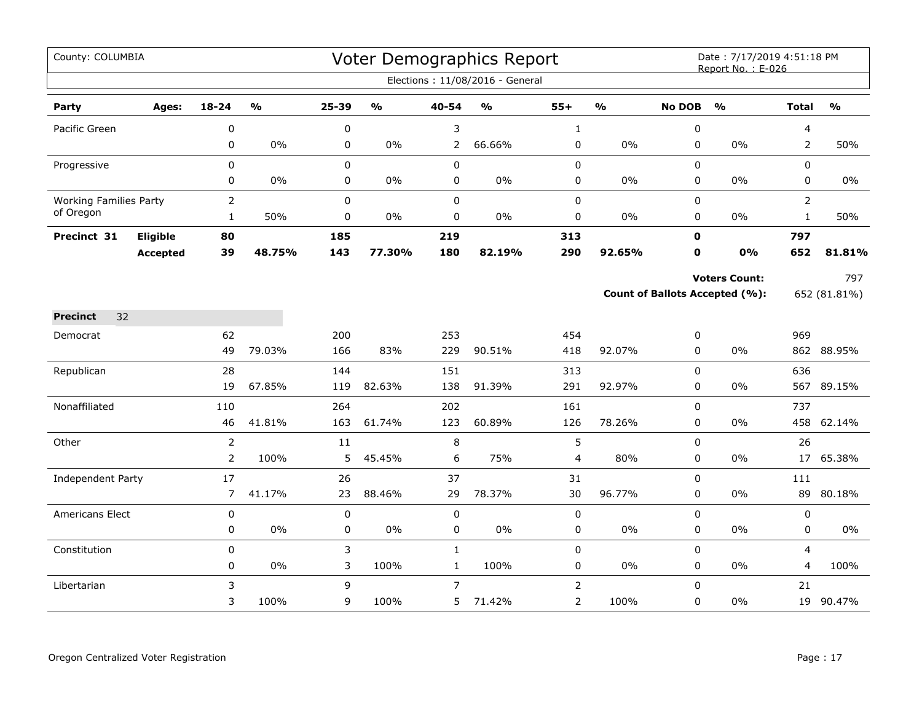| County: COLUMBIA              |                 |                |                         |             |                                   |                | Voter Demographics Report         |                |                         |               | Date: 7/17/2019 4:51:18 PM<br>Report No.: E-026 |                |               |
|-------------------------------|-----------------|----------------|-------------------------|-------------|-----------------------------------|----------------|-----------------------------------|----------------|-------------------------|---------------|-------------------------------------------------|----------------|---------------|
|                               |                 |                |                         |             |                                   |                | Elections: 11/08/2016 - General   |                |                         |               |                                                 |                |               |
| Party                         | Ages:           | $18 - 24$      | $\mathbf{0}/\mathbf{0}$ | 25-39       | $\mathsf{o}\mathsf{v}_\mathsf{o}$ | 40-54          | $\mathsf{o}\mathsf{v}_\mathsf{o}$ | $55+$          | $\mathbf{O}/\mathbf{o}$ | <b>No DOB</b> | $\mathbf{O}/\mathbf{o}$                         | <b>Total</b>   | $\frac{0}{0}$ |
| Pacific Green                 |                 | 0              |                         | 0           |                                   | 3              |                                   | $\mathbf{1}$   |                         | 0             |                                                 | 4              |               |
|                               |                 | 0              | $0\%$                   | 0           | $0\%$                             | $\overline{2}$ | 66.66%                            | $\pmb{0}$      | 0%                      | 0             | 0%                                              | $\overline{2}$ | 50%           |
| Progressive                   |                 | $\mathbf 0$    |                         | 0           |                                   | $\pmb{0}$      |                                   | $\pmb{0}$      |                         | 0             |                                                 | 0              |               |
|                               |                 | 0              | 0%                      | 0           | $0\%$                             | 0              | 0%                                | 0              | 0%                      | 0             | $0\%$                                           | 0              | 0%            |
| <b>Working Families Party</b> |                 | $\overline{2}$ |                         | 0           |                                   | $\pmb{0}$      |                                   | $\pmb{0}$      |                         | 0             |                                                 | $\overline{2}$ |               |
| of Oregon                     |                 | $\mathbf{1}$   | 50%                     | 0           | $0\%$                             | $\pmb{0}$      | $0\%$                             | $\pmb{0}$      | 0%                      | 0             | $0\%$                                           | $\mathbf{1}$   | 50%           |
| Precinct 31                   | <b>Eligible</b> | 80             |                         | 185         |                                   | 219            |                                   | 313            |                         | $\mathbf{0}$  |                                                 | 797            |               |
|                               | <b>Accepted</b> | 39             | 48.75%                  | 143         | 77.30%                            | 180            | 82.19%                            | 290            | 92.65%                  | 0             | 0%                                              | 652            | 81.81%        |
|                               |                 |                |                         |             |                                   |                |                                   |                |                         |               | <b>Voters Count:</b>                            |                | 797           |
|                               |                 |                |                         |             |                                   |                |                                   |                |                         |               | Count of Ballots Accepted (%):                  |                | 652 (81.81%)  |
| <b>Precinct</b><br>32         |                 |                |                         |             |                                   |                |                                   |                |                         |               |                                                 |                |               |
| Democrat                      |                 | 62             |                         | 200         |                                   | 253            |                                   | 454            |                         | 0             |                                                 | 969            |               |
|                               |                 | 49             | 79.03%                  | 166         | 83%                               | 229            | 90.51%                            | 418            | 92.07%                  | 0             | 0%                                              |                | 862 88.95%    |
| Republican                    |                 | 28             |                         | 144         |                                   | 151            |                                   | 313            |                         | 0             |                                                 | 636            |               |
|                               |                 | 19             | 67.85%                  | 119         | 82.63%                            | 138            | 91.39%                            | 291            | 92.97%                  | $\Omega$      | 0%                                              |                | 567 89.15%    |
| Nonaffiliated                 |                 | 110            |                         | 264         |                                   | 202            |                                   | 161            |                         | 0             |                                                 | 737            |               |
|                               |                 | 46             | 41.81%                  | 163         | 61.74%                            | 123            | 60.89%                            | 126            | 78.26%                  | 0             | $0\%$                                           | 458            | 62.14%        |
| Other                         |                 | $\overline{2}$ |                         | 11          |                                   | 8              |                                   | 5              |                         | 0             |                                                 | 26             |               |
|                               |                 | $\overline{2}$ | 100%                    | 5           | 45.45%                            | 6              | 75%                               | $\overline{4}$ | 80%                     | 0             | $0\%$                                           | 17             | 65.38%        |
| Independent Party             |                 | 17             |                         | 26          |                                   | 37             |                                   | 31             |                         | 0             |                                                 | 111            |               |
|                               |                 | $\overline{7}$ | 41.17%                  | 23          | 88.46%                            | 29             | 78.37%                            | 30             | 96.77%                  | $\mathbf 0$   | $0\%$                                           |                | 89 80.18%     |
| <b>Americans Elect</b>        |                 | $\pmb{0}$      |                         | $\mathbf 0$ |                                   | $\pmb{0}$      |                                   | $\pmb{0}$      |                         | 0             |                                                 | 0              |               |
|                               |                 | 0              | $0\%$                   | 0           | $0\%$                             | 0              | $0\%$                             | $\pmb{0}$      | $0\%$                   | 0             | 0%                                              | 0              | $0\%$         |
| Constitution                  |                 | 0              |                         | 3           |                                   | $\mathbf{1}$   |                                   | $\pmb{0}$      |                         | 0             |                                                 | 4              |               |
|                               |                 | 0              | $0\%$                   | 3           | 100%                              | $\mathbf 1$    | 100%                              | $\pmb{0}$      | 0%                      | 0             | $0\%$                                           | 4              | 100%          |
| Libertarian                   |                 | 3              |                         | 9           |                                   | $\overline{7}$ |                                   | $\overline{2}$ |                         | $\Omega$      |                                                 | 21             |               |
|                               |                 | 3              | 100%                    | 9           | 100%                              | 5              | 71.42%                            | $\overline{2}$ | 100%                    | 0             | $0\%$                                           | 19             | 90.47%        |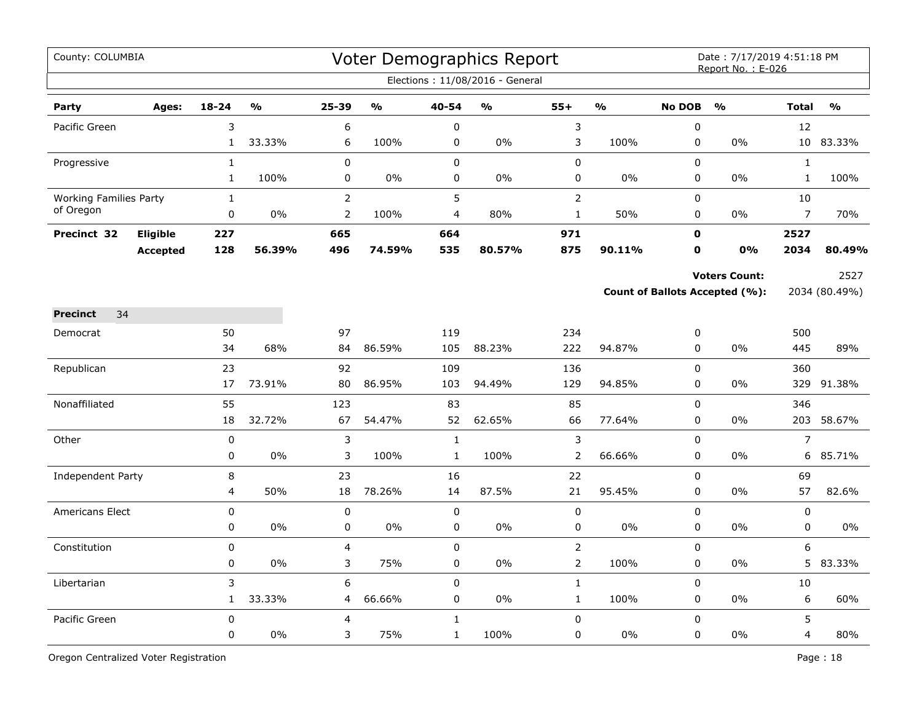| County: COLUMBIA                           |                 |                              |        |                                  |                         |                              | Voter Demographics Report<br>Elections: 11/08/2016 - General |                               |               |                               | Date: 7/17/2019 4:51:18 PM<br>Report No.: E-026        |                              |                       |
|--------------------------------------------|-----------------|------------------------------|--------|----------------------------------|-------------------------|------------------------------|--------------------------------------------------------------|-------------------------------|---------------|-------------------------------|--------------------------------------------------------|------------------------------|-----------------------|
| Party                                      | Ages:           | $18 - 24$                    | %      | 25-39                            | $\mathbf{O}/\mathbf{O}$ | 40-54                        | $\frac{0}{0}$                                                | $55+$                         | $\frac{1}{2}$ | <b>No DOB</b>                 | $\frac{0}{0}$                                          | <b>Total</b>                 | $\frac{0}{0}$         |
| Pacific Green                              |                 | 3<br>$\mathbf{1}$            | 33.33% | 6<br>6                           | 100%                    | $\pmb{0}$<br>0               | $0\%$                                                        | 3<br>3                        | 100%          | $\pmb{0}$<br>$\mathbf 0$      | 0%                                                     | 12                           | 10 83.33%             |
| Progressive                                |                 | $\mathbf{1}$<br>$\mathbf{1}$ | 100%   | $\mathbf 0$<br>0                 | $0\%$                   | $\mathbf 0$<br>0             | 0%                                                           | 0<br>0                        | $0\%$         | $\Omega$<br>0                 | 0%                                                     | $\mathbf{1}$<br>$\mathbf{1}$ | 100%                  |
| <b>Working Families Party</b><br>of Oregon |                 | $\mathbf{1}$<br>0            | 0%     | $\overline{2}$<br>$\overline{2}$ | 100%                    | 5<br>4                       | 80%                                                          | $\mathbf 2$<br>$\mathbf{1}$   | 50%           | $\mathbf 0$<br>0              | 0%                                                     | 10<br>$\overline{7}$         | 70%                   |
| Precinct 32                                | Eligible        | 227                          |        | 665                              |                         | 664                          |                                                              | 971                           |               | $\mathbf 0$                   |                                                        | 2527                         |                       |
|                                            | <b>Accepted</b> | 128                          | 56.39% | 496                              | 74.59%                  | 535                          | 80.57%                                                       | 875                           | 90.11%        | $\mathbf o$                   | 0%                                                     | 2034                         | 80.49%                |
|                                            |                 |                              |        |                                  |                         |                              |                                                              |                               |               |                               | <b>Voters Count:</b><br>Count of Ballots Accepted (%): |                              | 2527<br>2034 (80.49%) |
| 34<br><b>Precinct</b>                      |                 |                              |        |                                  |                         |                              |                                                              |                               |               |                               |                                                        |                              |                       |
| Democrat                                   |                 | 50<br>34                     | 68%    | 97<br>84                         | 86.59%                  | 119<br>105                   | 88.23%                                                       | 234<br>222                    | 94.87%        | $\boldsymbol{0}$<br>$\pmb{0}$ | 0%                                                     | 500<br>445                   | 89%                   |
| Republican                                 |                 | 23                           |        | 92                               |                         | 109                          |                                                              | 136                           |               | $\pmb{0}$                     |                                                        | 360                          |                       |
|                                            |                 | 17                           | 73.91% | 80                               | 86.95%                  | 103                          | 94.49%                                                       | 129                           | 94.85%        | $\mathbf 0$                   | 0%                                                     | 329                          | 91.38%                |
| Nonaffiliated                              |                 | 55                           |        | 123                              |                         | 83                           |                                                              | 85                            |               | $\mathbf 0$                   |                                                        | 346                          |                       |
|                                            |                 | 18                           | 32.72% | 67                               | 54.47%                  | 52                           | 62.65%                                                       | 66                            | 77.64%        | $\pmb{0}$                     | 0%                                                     | 203                          | 58.67%                |
| Other                                      |                 | $\pmb{0}$<br>0               | $0\%$  | 3<br>3                           | 100%                    | $\mathbf{1}$<br>$\mathbf{1}$ | 100%                                                         | $\mathsf 3$<br>$\overline{2}$ | 66.66%        | $\mathbf 0$<br>$\mathbf 0$    | 0%                                                     | $\overline{7}$               | 6 85.71%              |
| Independent Party                          |                 | 8                            |        | 23                               |                         | 16                           |                                                              | 22                            |               | $\Omega$                      |                                                        | 69                           |                       |
|                                            |                 | 4                            | 50%    | 18                               | 78.26%                  | 14                           | 87.5%                                                        | 21                            | 95.45%        | 0                             | 0%                                                     | 57                           | 82.6%                 |
| <b>Americans Elect</b>                     |                 | $\pmb{0}$                    |        | 0                                |                         | 0                            |                                                              | 0                             |               | $\mathbf 0$                   |                                                        | 0                            |                       |
|                                            |                 | 0                            | 0%     | 0                                | 0%                      | 0                            | 0%                                                           | $\pmb{0}$                     | $0\%$         | $\pmb{0}$                     | 0%                                                     | 0                            | 0%                    |
| Constitution                               |                 | 0                            |        | 4                                |                         | $\mathbf 0$                  |                                                              | $\mathsf{2}\,$                |               | $\mathbf 0$                   |                                                        | 6                            |                       |
|                                            |                 | $\mathbf 0$                  | 0%     | 3                                | 75%                     | $\mathbf 0$                  | $0\%$                                                        | $\mathsf{2}\,$                | 100%          | $\mathbf 0$                   | $0\%$                                                  | 5                            | 83.33%                |
| Libertarian                                |                 | 3<br>$\mathbf{1}$            | 33.33% | 6<br>4                           | 66.66%                  | $\mathbf 0$<br>0             | 0%                                                           | $\mathbf{1}$<br>$\mathbf{1}$  | 100%          | $\mathbf 0$<br>0              | $0\%$                                                  | 10<br>6                      | 60%                   |
| Pacific Green                              |                 | $\pmb{0}$                    |        | 4                                |                         | $\mathbf{1}$                 |                                                              | $\pmb{0}$                     |               | $\mathbf 0$                   |                                                        | 5                            |                       |
|                                            |                 | 0                            | 0%     | 3                                | 75%                     | $\mathbf{1}$                 | 100%                                                         | 0                             | 0%            | $\pmb{0}$                     | 0%                                                     | 4                            | 80%                   |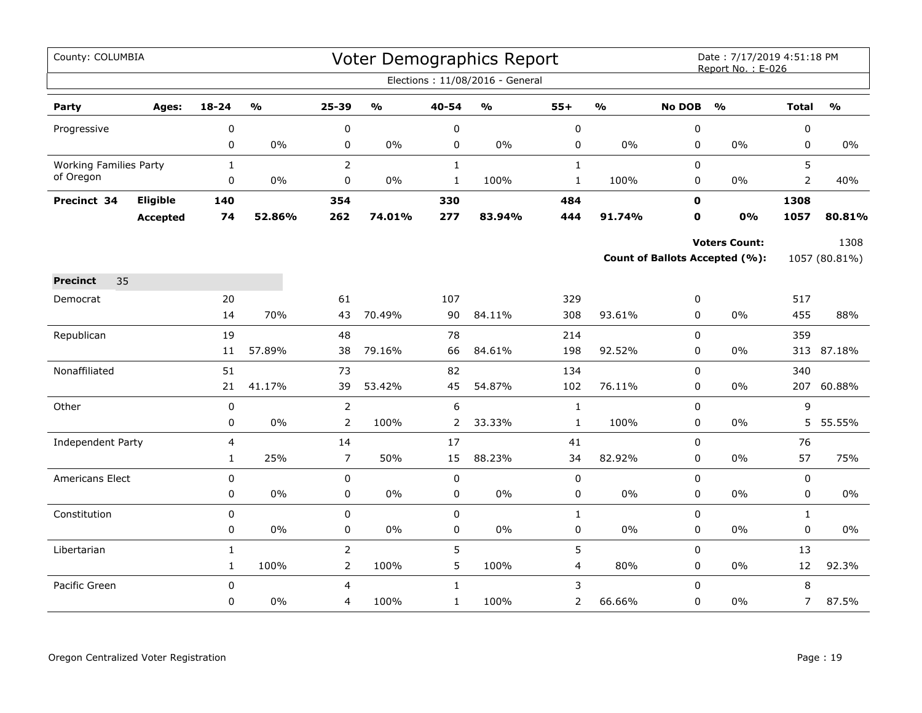| County: COLUMBIA              |                 |                              |                         |                                  |                         |                        | Voter Demographics Report         |                          |                         |                  | Date: 7/17/2019 4:51:18 PM<br>Report No.: E-026 |                   |                         |
|-------------------------------|-----------------|------------------------------|-------------------------|----------------------------------|-------------------------|------------------------|-----------------------------------|--------------------------|-------------------------|------------------|-------------------------------------------------|-------------------|-------------------------|
|                               |                 |                              |                         |                                  |                         |                        | Elections: 11/08/2016 - General   |                          |                         |                  |                                                 |                   |                         |
| Party                         | Ages:           | 18-24                        | $\mathbf{O}/\mathbf{o}$ | 25-39                            | $\mathbf{O}/\mathbf{o}$ | 40-54                  | $\mathsf{o}\mathsf{v}_\mathsf{o}$ | $55+$                    | $\mathbf{O}/\mathbf{o}$ | <b>No DOB</b>    | $\mathbf{O}/\mathbf{o}$                         | <b>Total</b>      | $\mathbf{O}/\mathbf{O}$ |
| Progressive                   |                 | 0                            |                         | $\boldsymbol{0}$                 |                         | $\pmb{0}$              |                                   | $\pmb{0}$                |                         | 0                |                                                 | 0                 |                         |
|                               |                 | 0                            | $0\%$                   | 0                                | 0%                      | 0                      | $0\%$                             | $\pmb{0}$                | 0%                      | 0                | $0\%$                                           | 0                 | $0\%$                   |
| <b>Working Families Party</b> |                 | $\mathbf{1}$                 |                         | $\overline{2}$                   |                         | $\mathbf{1}$           |                                   | $\mathbf{1}$             |                         | 0                |                                                 | 5                 |                         |
| of Oregon                     |                 | 0                            | 0%                      | 0                                | 0%                      | $\mathbf{1}$           | 100%                              | $\mathbf{1}$             | 100%                    | 0                | 0%                                              | $\overline{2}$    | 40%                     |
| Precinct 34                   | Eligible        | 140                          |                         | 354                              |                         | 330                    |                                   | 484                      |                         | $\mathbf 0$      |                                                 | 1308              |                         |
|                               | <b>Accepted</b> | 74                           | 52.86%                  | 262                              | 74.01%                  | 277                    | 83.94%                            | 444                      | 91.74%                  | 0                | 0%                                              | 1057              | 80.81%                  |
|                               |                 |                              |                         |                                  |                         |                        |                                   |                          |                         |                  | <b>Voters Count:</b>                            |                   | 1308                    |
|                               |                 |                              |                         |                                  |                         |                        |                                   |                          |                         |                  | Count of Ballots Accepted (%):                  |                   | 1057 (80.81%)           |
| 35<br><b>Precinct</b>         |                 |                              |                         |                                  |                         |                        |                                   |                          |                         |                  |                                                 |                   |                         |
| Democrat                      |                 | 20                           |                         | 61                               |                         | 107                    |                                   | 329                      |                         | 0                |                                                 | 517               |                         |
|                               |                 | 14                           | 70%                     | 43                               | 70.49%                  | 90                     | 84.11%                            | 308                      | 93.61%                  | 0                | 0%                                              | 455               | 88%                     |
| Republican                    |                 | 19                           |                         | 48                               |                         | 78                     |                                   | 214                      |                         | 0                |                                                 | 359               |                         |
|                               |                 | 11                           | 57.89%                  | 38                               | 79.16%                  | 66                     | 84.61%                            | 198                      | 92.52%                  | 0                | 0%                                              | 313               | 87.18%                  |
| Nonaffiliated                 |                 | 51                           |                         | 73                               |                         | 82                     |                                   | 134                      |                         | 0                |                                                 | 340               |                         |
|                               |                 | 21                           | 41.17%                  | 39                               | 53.42%                  | 45                     | 54.87%                            | 102                      | 76.11%                  | 0                | 0%                                              |                   | 207 60.88%              |
| Other                         |                 | 0                            |                         | $\overline{2}$                   |                         | 6                      |                                   | $\mathbf{1}$             |                         | $\mathbf 0$      |                                                 | 9                 |                         |
|                               |                 | 0                            | $0\%$                   | $\overline{2}$                   | 100%                    | 2                      | 33.33%                            | $\mathbf 1$              | 100%                    | 0                | 0%                                              | 5                 | 55.55%                  |
| Independent Party             |                 | 4                            |                         | 14                               |                         | 17                     |                                   | 41                       |                         | 0                |                                                 | 76                |                         |
|                               |                 | $\mathbf{1}$                 | 25%                     | $\overline{7}$                   | 50%                     | 15                     | 88.23%                            | 34                       | 82.92%                  | 0                | $0\%$                                           | 57                | 75%                     |
| Americans Elect               |                 | 0                            | $0\%$                   | 0                                | $0\%$                   | 0                      | $0\%$                             | $\mathbf 0$              |                         | 0                | $0\%$                                           | 0                 | $0\%$                   |
|                               |                 | 0                            |                         | 0                                |                         | $\mathbf 0$            |                                   | $\pmb{0}$                | $0\%$                   | 0                |                                                 | 0                 |                         |
| Constitution                  |                 | 0<br>0                       | $0\%$                   | $\pmb{0}$<br>$\pmb{0}$           | $0\%$                   | $\pmb{0}$<br>$\pmb{0}$ | $0\%$                             | $\mathbf 1$<br>$\pmb{0}$ | 0%                      | 0<br>0           | 0%                                              | $\mathbf{1}$<br>0 | $0\%$                   |
|                               |                 |                              |                         |                                  |                         |                        |                                   |                          |                         |                  |                                                 |                   |                         |
| Libertarian                   |                 | $\mathbf{1}$<br>$\mathbf{1}$ | 100%                    | $\overline{2}$<br>$\overline{2}$ | 100%                    | 5<br>5                 | 100%                              | 5<br>4                   | 80%                     | $\mathsf 0$<br>0 | $0\%$                                           | 13<br>12          | 92.3%                   |
| Pacific Green                 |                 | 0                            |                         | 4                                |                         | $\mathbf{1}$           |                                   | 3                        |                         | 0                |                                                 | 8                 |                         |
|                               |                 | 0                            | 0%                      | 4                                | 100%                    | $\mathbf{1}$           | 100%                              | 2                        | 66.66%                  | 0                | 0%                                              | 7                 | 87.5%                   |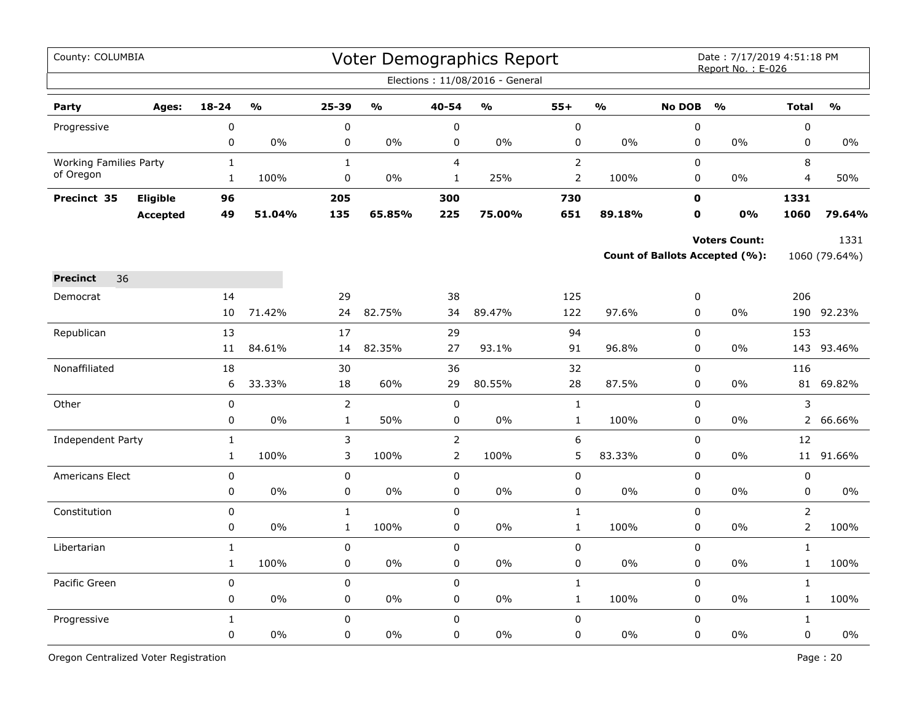| County: COLUMBIA              |                 |              |               |                |               |                | Voter Demographics Report<br>Elections: 11/08/2016 - General |                  |               |               | Date: 7/17/2019 4:51:18 PM<br>Report No.: E-026 |                |               |
|-------------------------------|-----------------|--------------|---------------|----------------|---------------|----------------|--------------------------------------------------------------|------------------|---------------|---------------|-------------------------------------------------|----------------|---------------|
|                               |                 |              |               |                |               |                |                                                              |                  |               |               |                                                 |                |               |
| Party                         | Ages:           | $18 - 24$    | $\frac{0}{0}$ | 25-39          | $\frac{0}{0}$ | 40-54          | %                                                            | $55+$            | $\frac{0}{0}$ | <b>No DOB</b> | O/2                                             | <b>Total</b>   | $\frac{0}{0}$ |
| Progressive                   |                 | 0            |               | $\pmb{0}$      |               | $\pmb{0}$      |                                                              | $\mathbf 0$      |               | $\pmb{0}$     |                                                 | $\pmb{0}$      |               |
|                               |                 | 0            | 0%            | 0              | 0%            | 0              | 0%                                                           | 0                | 0%            | $\mathbf 0$   | $0\%$                                           | $\mathbf 0$    | $0\%$         |
| <b>Working Families Party</b> |                 | $\mathbf{1}$ |               | $\mathbf{1}$   |               | $\overline{4}$ |                                                              | $\overline{2}$   |               | $\Omega$      |                                                 | 8              |               |
| of Oregon                     |                 | $\mathbf{1}$ | 100%          | 0              | 0%            | $\mathbf{1}$   | 25%                                                          | $\overline{2}$   | 100%          | 0             | $0\%$                                           | 4              | 50%           |
| Precinct 35                   | Eligible        | 96           |               | 205            |               | 300            |                                                              | 730              |               | 0             |                                                 | 1331           |               |
|                               | <b>Accepted</b> | 49           | 51.04%        | 135            | 65.85%        | 225            | 75.00%                                                       | 651              | 89.18%        | $\mathbf o$   | 0%                                              | 1060           | 79.64%        |
|                               |                 |              |               |                |               |                |                                                              |                  |               |               | <b>Voters Count:</b>                            |                | 1331          |
|                               |                 |              |               |                |               |                |                                                              |                  |               |               | Count of Ballots Accepted (%):                  |                | 1060 (79.64%) |
| 36<br><b>Precinct</b>         |                 |              |               |                |               |                |                                                              |                  |               |               |                                                 |                |               |
| Democrat                      |                 | 14           |               | 29             |               | 38             |                                                              | 125              |               | 0             |                                                 | 206            |               |
|                               |                 | 10           | 71.42%        | 24             | 82.75%        | 34             | 89.47%                                                       | 122              | 97.6%         | $\pmb{0}$     | 0%                                              |                | 190 92.23%    |
| Republican                    |                 | 13           |               | 17             |               | 29             |                                                              | 94               |               | $\pmb{0}$     |                                                 | 153            |               |
|                               |                 | 11           | 84.61%        | 14             | 82.35%        | 27             | 93.1%                                                        | 91               | 96.8%         | 0             | $0\%$                                           | 143            | 93.46%        |
| Nonaffiliated                 |                 | 18           |               | 30             |               | 36             |                                                              | 32               |               | $\pmb{0}$     |                                                 | 116            |               |
|                               |                 | 6            | 33.33%        | 18             | 60%           | 29             | 80.55%                                                       | 28               | 87.5%         | $\mathbf 0$   | $0\%$                                           |                | 81 69.82%     |
| Other                         |                 | 0            |               | $\overline{2}$ |               | $\pmb{0}$      |                                                              | $\mathbf{1}$     |               | 0             |                                                 | 3              |               |
|                               |                 | 0            | $0\%$         | $\mathbf 1$    | 50%           | $\pmb{0}$      | 0%                                                           | $\mathbf 1$      | 100%          | 0             | 0%                                              | $\overline{2}$ | 66.66%        |
| Independent Party             |                 | $\mathbf 1$  |               | 3              |               | $\overline{2}$ |                                                              | $\boldsymbol{6}$ |               | $\pmb{0}$     |                                                 | 12             |               |
|                               |                 | $\mathbf{1}$ | 100%          | 3              | 100%          | $\overline{2}$ | 100%                                                         | 5                | 83.33%        | $\mathbf 0$   | $0\%$                                           |                | 11 91.66%     |
| <b>Americans Elect</b>        |                 | 0            |               | $\mathbf 0$    |               | $\mathbf 0$    |                                                              | $\mathbf 0$      |               | $\Omega$      |                                                 | $\mathbf 0$    |               |
|                               |                 | 0            | $0\%$         | 0              | 0%            | $\mathbf 0$    | 0%                                                           | 0                | 0%            | $\mathbf 0$   | 0%                                              | 0              | 0%            |
| Constitution                  |                 | 0            |               | $\mathbf{1}$   |               | $\mathsf 0$    |                                                              | $\mathbf{1}$     |               | $\mathbf 0$   |                                                 | $\overline{2}$ |               |
|                               |                 | 0            | 0%            | $\mathbf{1}$   | 100%          | 0              | 0%                                                           | $\mathbf{1}$     | 100%          | 0             | 0%                                              | $\overline{2}$ | 100%          |
| Libertarian                   |                 | $\mathbf{1}$ |               | 0              |               | $\mathsf 0$    |                                                              | 0                |               | $\pmb{0}$     |                                                 | $\mathbf{1}$   |               |
|                               |                 | $\mathbf{1}$ | 100%          | $\pmb{0}$      | 0%            | $\mathbf 0$    | $0\%$                                                        | 0                | $0\%$         | $\mathbf 0$   | $0\%$                                           | $\mathbf{1}$   | 100%          |
| Pacific Green                 |                 | $\pmb{0}$    |               | $\mathbf 0$    |               | $\mathsf 0$    |                                                              | $\mathbf{1}$     |               | $\mathsf 0$   |                                                 | $\mathbf{1}$   |               |
|                               |                 | 0            | $0\%$         | 0              | 0%            | 0              | 0%                                                           | $\mathbf{1}$     | 100%          | 0             | 0%                                              | $\mathbf{1}$   | 100%          |
| Progressive                   |                 | $\mathbf{1}$ |               | $\mathsf 0$    |               | $\mathsf 0$    |                                                              | 0                |               | $\mathsf 0$   |                                                 | $\mathbf{1}$   |               |
|                               |                 | 0            | 0%            | $\mathbf 0$    | 0%            | 0              | 0%                                                           | 0                | 0%            | $\pmb{0}$     | 0%                                              | $\pmb{0}$      | $0\%$         |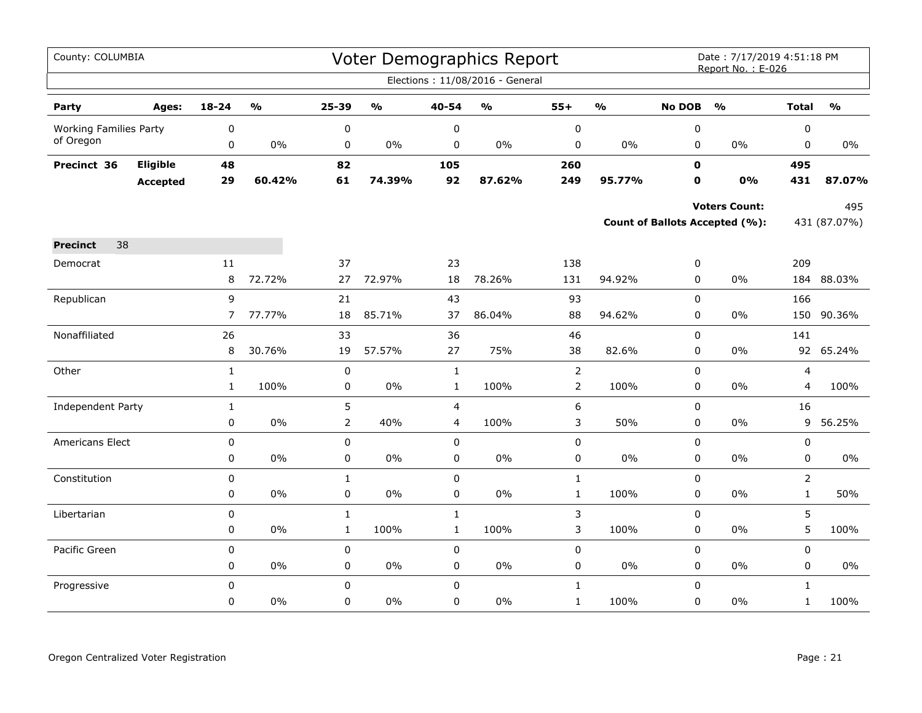| County: COLUMBIA              |          |                |                                   |                |                         |                | Voter Demographics Report         |                |                         |               | Date: 7/17/2019 4:51:18 PM<br>Report No.: E-026 |                |                                   |
|-------------------------------|----------|----------------|-----------------------------------|----------------|-------------------------|----------------|-----------------------------------|----------------|-------------------------|---------------|-------------------------------------------------|----------------|-----------------------------------|
|                               |          |                |                                   |                |                         |                | Elections: 11/08/2016 - General   |                |                         |               |                                                 |                |                                   |
| Party                         | Ages:    | $18 - 24$      | $\mathsf{o}\mathsf{v}_\mathsf{o}$ | 25-39          | $\mathbf{O}/\mathbf{o}$ | 40-54          | $\mathsf{o}\mathsf{v}_\mathsf{o}$ | $55+$          | $\mathbf{O}/\mathbf{o}$ | <b>No DOB</b> | $\mathbf{O}/\mathbf{o}$                         | <b>Total</b>   | $\mathsf{o}\mathsf{v}_\mathsf{o}$ |
| <b>Working Families Party</b> |          | 0              |                                   | $\pmb{0}$      |                         | 0              |                                   | $\pmb{0}$      |                         | 0             |                                                 | 0              |                                   |
| of Oregon                     |          | 0              | $0\%$                             | 0              | $0\%$                   | 0              | 0%                                | 0              | $0\%$                   | $\mathbf 0$   | $0\%$                                           | $\mathbf 0$    | $0\%$                             |
| Precinct 36                   | Eligible | 48             |                                   | 82             |                         | 105            |                                   | 260            |                         | $\mathbf{0}$  |                                                 | 495            |                                   |
|                               | Accepted | 29             | 60.42%                            | 61             | 74.39%                  | 92             | 87.62%                            | 249            | 95.77%                  | 0             | 0%                                              | 431            | 87.07%                            |
|                               |          |                |                                   |                |                         |                |                                   |                |                         |               | <b>Voters Count:</b>                            |                | 495                               |
|                               |          |                |                                   |                |                         |                |                                   |                |                         |               | <b>Count of Ballots Accepted (%):</b>           |                | 431 (87.07%)                      |
| 38<br><b>Precinct</b>         |          |                |                                   |                |                         |                |                                   |                |                         |               |                                                 |                |                                   |
| Democrat                      |          | $11\,$         |                                   | 37             |                         | 23             |                                   | 138            |                         | $\pmb{0}$     |                                                 | 209            |                                   |
|                               |          | 8              | 72.72%                            | 27             | 72.97%                  | 18             | 78.26%                            | 131            | 94.92%                  | 0             | 0%                                              | 184            | 88.03%                            |
| Republican                    |          | 9              |                                   | 21             |                         | 43             |                                   | 93             |                         | $\mathsf 0$   |                                                 | 166            |                                   |
|                               |          | $\overline{7}$ | 77.77%                            | 18             | 85.71%                  | 37             | 86.04%                            | 88             | 94.62%                  | $\mathbf 0$   | $0\%$                                           | 150            | 90.36%                            |
| Nonaffiliated                 |          | 26             |                                   | 33             |                         | 36             |                                   | 46             |                         | $\mathbf 0$   |                                                 | 141            |                                   |
|                               |          | 8              | 30.76%                            | 19             | 57.57%                  | 27             | 75%                               | 38             | 82.6%                   | 0             | 0%                                              | 92             | 65.24%                            |
| Other                         |          | $\mathbf{1}$   |                                   | $\pmb{0}$      |                         | $\mathbf{1}$   |                                   | $\overline{2}$ |                         | $\mathbf 0$   |                                                 | $\overline{4}$ |                                   |
|                               |          | $\mathbf{1}$   | 100%                              | 0              | $0\%$                   | $\mathbf{1}$   | 100%                              | $\overline{2}$ | 100%                    | $\mathbf 0$   | 0%                                              | $\overline{4}$ | 100%                              |
| <b>Independent Party</b>      |          | $1\,$          |                                   | 5              |                         | $\overline{4}$ |                                   | 6              |                         | $\pmb{0}$     |                                                 | 16             |                                   |
|                               |          | 0              | $0\%$                             | $\overline{2}$ | 40%                     | $\overline{4}$ | 100%                              | 3              | 50%                     | 0             | 0%                                              | 9              | 56.25%                            |
| Americans Elect               |          | $\pmb{0}$      |                                   | $\pmb{0}$      |                         | $\mathbf 0$    |                                   | $\pmb{0}$      |                         | $\pmb{0}$     |                                                 | $\pmb{0}$      |                                   |
|                               |          | 0              | $0\%$                             | $\pmb{0}$      | $0\%$                   | $\pmb{0}$      | $0\%$                             | $\pmb{0}$      | $0\%$                   | $\pmb{0}$     | $0\%$                                           | $\pmb{0}$      | $0\%$                             |
| Constitution                  |          | $\mathbf 0$    |                                   | $\mathbf{1}$   |                         | $\mathbf 0$    |                                   | $\mathbf{1}$   |                         | $\mathbf 0$   |                                                 | $\overline{2}$ |                                   |
|                               |          | 0              | $0\%$                             | $\pmb{0}$      | $0\%$                   | $\pmb{0}$      | $0\%$                             | $\mathbf{1}$   | 100%                    | $\mathsf 0$   | $0\%$                                           | $\mathbf{1}$   | 50%                               |
| Libertarian                   |          | $\mathbf 0$    |                                   | $\mathbf{1}$   |                         | $\mathbf{1}$   |                                   | 3              |                         | $\mathbf 0$   |                                                 | 5              |                                   |
|                               |          | 0              | 0%                                | $\mathbf{1}$   | 100%                    | $\mathbf{1}$   | 100%                              | 3              | 100%                    | 0             | 0%                                              | 5              | 100%                              |
| Pacific Green                 |          | 0              |                                   | 0              |                         | $\pmb{0}$      |                                   | $\pmb{0}$      |                         | $\pmb{0}$     |                                                 | $\pmb{0}$      |                                   |
|                               |          | 0              | $0\%$                             | 0              | $0\%$                   | $\mathbf 0$    | $0\%$                             | 0              | $0\%$                   | 0             | $0\%$                                           | 0              | $0\%$                             |
| Progressive                   |          | 0              |                                   | $\mathbf 0$    |                         | $\mathbf 0$    |                                   | $\mathbf{1}$   |                         | $\mathbf 0$   |                                                 | $\mathbf{1}$   |                                   |
|                               |          | 0              | $0\%$                             | 0              | $0\%$                   | $\mathbf 0$    | $0\%$                             | $\mathbf{1}$   | 100%                    | $\pmb{0}$     | $0\%$                                           | $\mathbf{1}$   | 100%                              |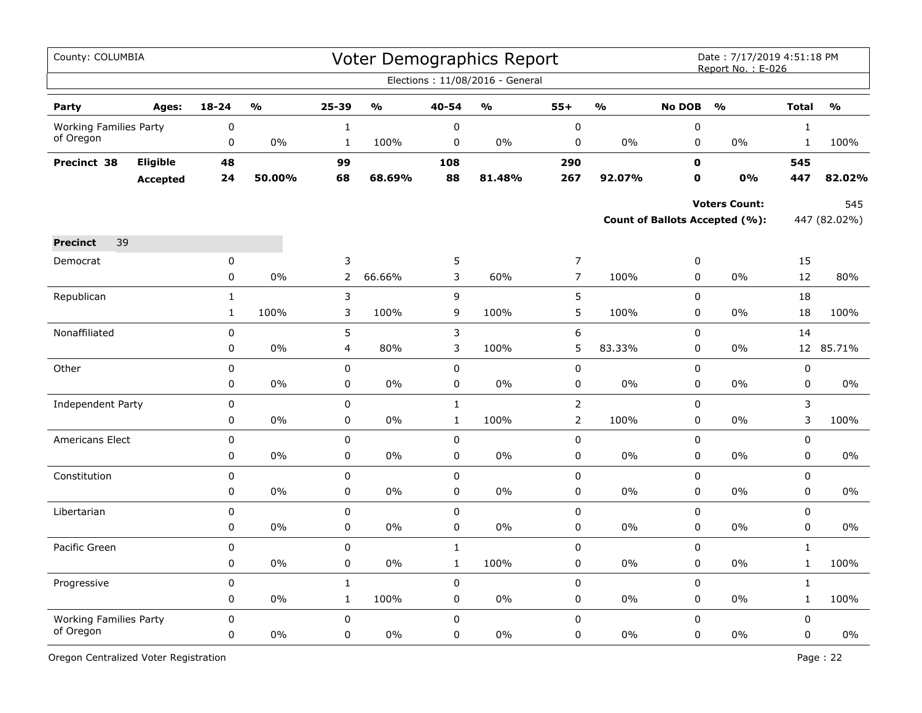| County: COLUMBIA              |                 |              |                         |                |                         |              | Voter Demographics Report<br>Elections: 11/08/2016 - General |                |                                   |               | Date: 7/17/2019 4:51:18 PM<br>Report No.: E-026 |              |                         |
|-------------------------------|-----------------|--------------|-------------------------|----------------|-------------------------|--------------|--------------------------------------------------------------|----------------|-----------------------------------|---------------|-------------------------------------------------|--------------|-------------------------|
|                               |                 |              |                         |                |                         |              |                                                              |                |                                   |               |                                                 |              |                         |
| Party                         | Ages:           | $18 - 24$    | $\mathbf{O}/\mathbf{O}$ | 25-39          | $\mathbf{O}/\mathbf{O}$ | 40-54        | $\mathbf{0}/\mathbf{0}$                                      | $55+$          | $\mathsf{o}\mathsf{v}_\mathsf{o}$ | <b>No DOB</b> | $\frac{1}{2}$                                   | <b>Total</b> | $\mathbf{O}/\mathbf{o}$ |
| <b>Working Families Party</b> |                 | 0            |                         | $\mathbf{1}$   |                         | 0            |                                                              | $\pmb{0}$      |                                   | $\pmb{0}$     |                                                 | $\mathbf{1}$ |                         |
| of Oregon                     |                 | $\pmb{0}$    | 0%                      | $\mathbf{1}$   | 100%                    | $\pmb{0}$    | 0%                                                           | $\pmb{0}$      | $0\%$                             | 0             | $0\%$                                           | $\mathbf{1}$ | 100%                    |
| Precinct 38                   | Eligible        | 48           |                         | 99             |                         | 108          |                                                              | 290            |                                   | $\mathbf 0$   |                                                 | 545          |                         |
|                               | <b>Accepted</b> | 24           | 50.00%                  | 68             | 68.69%                  | 88           | 81.48%                                                       | 267            | 92.07%                            | $\mathbf 0$   | 0%                                              | 447          | 82.02%                  |
|                               |                 |              |                         |                |                         |              |                                                              |                |                                   |               | <b>Voters Count:</b>                            |              | 545                     |
|                               |                 |              |                         |                |                         |              |                                                              |                |                                   |               | Count of Ballots Accepted (%):                  |              | 447 (82.02%)            |
|                               |                 |              |                         |                |                         |              |                                                              |                |                                   |               |                                                 |              |                         |
| 39<br><b>Precinct</b>         |                 |              |                         |                |                         |              |                                                              |                |                                   |               |                                                 |              |                         |
| Democrat                      |                 | 0            |                         | 3              |                         | 5            |                                                              | $\overline{7}$ |                                   | $\pmb{0}$     |                                                 | 15           |                         |
|                               |                 | $\mathbf 0$  | 0%                      | $\overline{2}$ | 66.66%                  | 3            | 60%                                                          | $\overline{7}$ | 100%                              | 0             | $0\%$                                           | 12           | 80%                     |
| Republican                    |                 | $\mathbf{1}$ |                         | 3              |                         | 9            |                                                              | 5              |                                   | $\pmb{0}$     |                                                 | 18           |                         |
|                               |                 | $\mathbf{1}$ | 100%                    | 3              | 100%                    | 9            | 100%                                                         | 5              | 100%                              | $\mathbf 0$   | 0%                                              | 18           | 100%                    |
| Nonaffiliated                 |                 | 0            |                         | 5              |                         | 3            |                                                              | 6              |                                   | 0             |                                                 | 14           |                         |
|                               |                 | 0            | 0%                      | $\overline{4}$ | 80%                     | 3            | 100%                                                         | 5              | 83.33%                            | $\mathbf 0$   | 0%                                              | 12           | 85.71%                  |
| Other                         |                 | 0            |                         | 0              |                         | $\pmb{0}$    |                                                              | $\mathbf 0$    |                                   | $\pmb{0}$     |                                                 | $\pmb{0}$    |                         |
|                               |                 | 0            | 0%                      | 0              | 0%                      | 0            | 0%                                                           | $\pmb{0}$      | 0%                                | $\mathbf 0$   | 0%                                              | 0            | $0\%$                   |
| Independent Party             |                 | 0            |                         | $\mathbf 0$    |                         | $\mathbf{1}$ |                                                              | $\overline{2}$ |                                   | $\mathbf 0$   |                                                 | 3            |                         |
|                               |                 | 0            | 0%                      | 0              | 0%                      | $\mathbf 1$  | 100%                                                         | $\overline{2}$ | 100%                              | $\pmb{0}$     | 0%                                              | 3            | 100%                    |
| Americans Elect               |                 | $\pmb{0}$    |                         | 0              |                         | $\pmb{0}$    |                                                              | $\mathbf 0$    |                                   | 0             |                                                 | 0            |                         |
|                               |                 | 0            | 0%                      | 0              | 0%                      | 0            | 0%                                                           | 0              | $0\%$                             | $\mathbf 0$   | 0%                                              | 0            | 0%                      |
| Constitution                  |                 | 0            |                         | 0              |                         | 0            |                                                              | $\mathbf 0$    |                                   | 0             |                                                 | 0            |                         |
|                               |                 | 0            | 0%                      | 0              | 0%                      | $\pmb{0}$    | 0%                                                           | $\mathbf 0$    | 0%                                | $\mathbf 0$   | 0%                                              | 0            | 0%                      |
| Libertarian                   |                 | 0            |                         | 0              |                         | $\pmb{0}$    |                                                              | $\pmb{0}$      |                                   | $\pmb{0}$     |                                                 | 0            |                         |
|                               |                 | 0            | 0%                      | 0              | 0%                      | 0            | 0%                                                           | 0              | $0\%$                             | 0             | $0\%$                                           | 0            | $0\%$                   |
| Pacific Green                 |                 | 0            |                         | 0              |                         | $\mathbf{1}$ |                                                              | 0              |                                   | $\mathbf 0$   |                                                 | $\mathbf{1}$ |                         |
|                               |                 | 0            | 0%                      | 0              | $0\%$                   | $\mathbf{1}$ | 100%                                                         | $\mathbf 0$    | 0%                                | 0             | 0%                                              | $\mathbf{1}$ | 100%                    |
| Progressive                   |                 | $\mathbf 0$  |                         | $\mathbf 1$    |                         | $\pmb{0}$    |                                                              | $\pmb{0}$      |                                   | $\pmb{0}$     |                                                 | $\mathbf 1$  |                         |
|                               |                 | 0            | 0%                      | $\mathbf{1}$   | 100%                    | 0            | 0%                                                           | 0              | $0\%$                             | 0             | $0\%$                                           | $\mathbf{1}$ | 100%                    |
| <b>Working Families Party</b> |                 | $\mathbf 0$  |                         | 0              |                         | 0            |                                                              | $\mathbf 0$    |                                   | $\mathbf 0$   |                                                 | 0            |                         |
| of Oregon                     |                 | 0            | 0%                      | 0              | 0%                      | 0            | 0%                                                           | $\pmb{0}$      | 0%                                | 0             | 0%                                              | $\mathsf 0$  | $0\%$                   |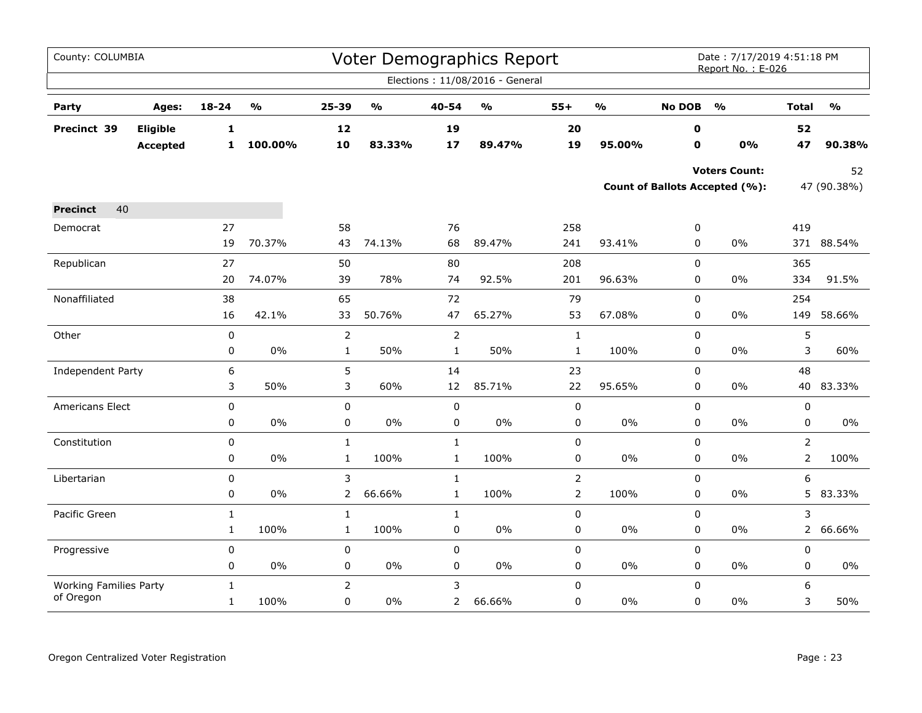| County: COLUMBIA                           |                 |              |                         |                |                                   |                | <b>Voter Demographics Report</b>  |                |                         |               | Date: 7/17/2019 4:51:18 PM<br>Report No.: E-026 |                |                         |
|--------------------------------------------|-----------------|--------------|-------------------------|----------------|-----------------------------------|----------------|-----------------------------------|----------------|-------------------------|---------------|-------------------------------------------------|----------------|-------------------------|
|                                            |                 |              |                         |                |                                   |                | Elections: 11/08/2016 - General   |                |                         |               |                                                 |                |                         |
| Party                                      | Ages:           | $18 - 24$    | $\mathbf{0}/\mathbf{0}$ | 25-39          | $\mathsf{o}\mathsf{v}_\mathsf{o}$ | 40-54          | $\mathsf{o}\mathsf{v}_\mathsf{o}$ | $55+$          | $\mathbf{0}/\mathbf{0}$ | <b>No DOB</b> | $\frac{1}{2}$                                   | <b>Total</b>   | $\mathbf{O}/\mathbf{O}$ |
| Precinct 39                                | Eligible        | $\mathbf{1}$ |                         | 12             |                                   | 19             |                                   | 20             |                         | 0             |                                                 | 52             |                         |
|                                            | <b>Accepted</b> | $\mathbf{1}$ | 100.00%                 | 10             | 83.33%                            | 17             | 89.47%                            | 19             | 95.00%                  | $\mathbf 0$   | 0%                                              | 47             | 90.38%                  |
|                                            |                 |              |                         |                |                                   |                |                                   |                |                         |               | <b>Voters Count:</b>                            |                | 52                      |
|                                            |                 |              |                         |                |                                   |                |                                   |                |                         |               | Count of Ballots Accepted (%):                  |                | 47 (90.38%)             |
| 40<br><b>Precinct</b>                      |                 |              |                         |                |                                   |                |                                   |                |                         |               |                                                 |                |                         |
| Democrat                                   |                 | 27           |                         | 58             |                                   | 76             |                                   | 258            |                         | 0             |                                                 | 419            |                         |
|                                            |                 | 19           | 70.37%                  | 43             | 74.13%                            | 68             | 89.47%                            | 241            | 93.41%                  | 0             | $0\%$                                           |                | 371 88.54%              |
| Republican                                 |                 | 27           |                         | 50             |                                   | 80             |                                   | 208            |                         | 0             |                                                 | 365            |                         |
|                                            |                 | 20           | 74.07%                  | 39             | 78%                               | 74             | 92.5%                             | 201            | 96.63%                  | 0             | 0%                                              | 334            | 91.5%                   |
| Nonaffiliated                              |                 | 38           |                         | 65             |                                   | 72             |                                   | 79             |                         | $\mathbf 0$   |                                                 | 254            |                         |
|                                            |                 | 16           | 42.1%                   | 33             | 50.76%                            | 47             | 65.27%                            | 53             | 67.08%                  | 0             | 0%                                              | 149            | 58.66%                  |
| Other                                      |                 | 0            |                         | $\overline{2}$ |                                   | $\overline{2}$ |                                   | $\mathbf{1}$   |                         | 0             |                                                 | 5              |                         |
|                                            |                 | 0            | $0\%$                   | $\mathbf{1}$   | 50%                               | $\mathbf{1}$   | 50%                               | $\mathbf{1}$   | 100%                    | 0             | 0%                                              | 3              | 60%                     |
| Independent Party                          |                 | 6            |                         | 5              |                                   | 14             |                                   | 23             |                         | 0             |                                                 | 48             |                         |
|                                            |                 | 3            | 50%                     | 3              | 60%                               | 12             | 85.71%                            | 22             | 95.65%                  | 0             | $0\%$                                           |                | 40 83.33%               |
| Americans Elect                            |                 | 0            |                         | $\pmb{0}$      |                                   | $\pmb{0}$      |                                   | 0              |                         | $\mathbf 0$   |                                                 | 0              |                         |
|                                            |                 | 0            | $0\%$                   | $\pmb{0}$      | $0\%$                             | $\mathsf 0$    | 0%                                | $\pmb{0}$      | $0\%$                   | 0             | $0\%$                                           | 0              | $0\%$                   |
| Constitution                               |                 | $\mathbf 0$  |                         | $\mathbf{1}$   |                                   | $\mathbf{1}$   |                                   | 0              |                         | 0             |                                                 | $\overline{2}$ |                         |
|                                            |                 | 0            | $0\%$                   | $\mathbf{1}$   | 100%                              | $\mathbf{1}$   | 100%                              | 0              | 0%                      | $\pmb{0}$     | 0%                                              | $\overline{2}$ | 100%                    |
| Libertarian                                |                 | $\mathbf 0$  |                         | 3              |                                   | $\mathbf{1}$   |                                   | $\overline{2}$ |                         | $\mathbf 0$   |                                                 | 6              |                         |
|                                            |                 | 0            | 0%                      | $\overline{2}$ | 66.66%                            | $\mathbf{1}$   | 100%                              | $\overline{2}$ | 100%                    | 0             | 0%                                              |                | 5 83.33%                |
| Pacific Green                              |                 | $\mathbf{1}$ |                         | $\mathbf 1$    |                                   | $\mathbf{1}$   |                                   | $\pmb{0}$      |                         | $\mathbf 0$   |                                                 | 3              |                         |
|                                            |                 | $\mathbf{1}$ | 100%                    | $\mathbf{1}$   | 100%                              | 0              | $0\%$                             | 0              | 0%                      | 0             | 0%                                              | $\overline{2}$ | 66.66%                  |
| Progressive                                |                 | 0            |                         | 0              |                                   | $\pmb{0}$      |                                   | $\pmb{0}$      |                         | $\pmb{0}$     |                                                 | 0              |                         |
|                                            |                 | 0            | 0%                      | 0              | $0\%$                             | 0              | $0\%$                             | 0              | 0%                      | $\pmb{0}$     | 0%                                              | 0              | 0%                      |
| <b>Working Families Party</b><br>of Oregon |                 | $\mathbf{1}$ |                         | $\overline{2}$ |                                   | 3              |                                   | $\pmb{0}$      |                         | 0             |                                                 | 6              |                         |
|                                            |                 | $\mathbf{1}$ | 100%                    | 0              | $0\%$                             | $\overline{2}$ | 66.66%                            | 0              | $0\%$                   | $\pmb{0}$     | 0%                                              | 3              | 50%                     |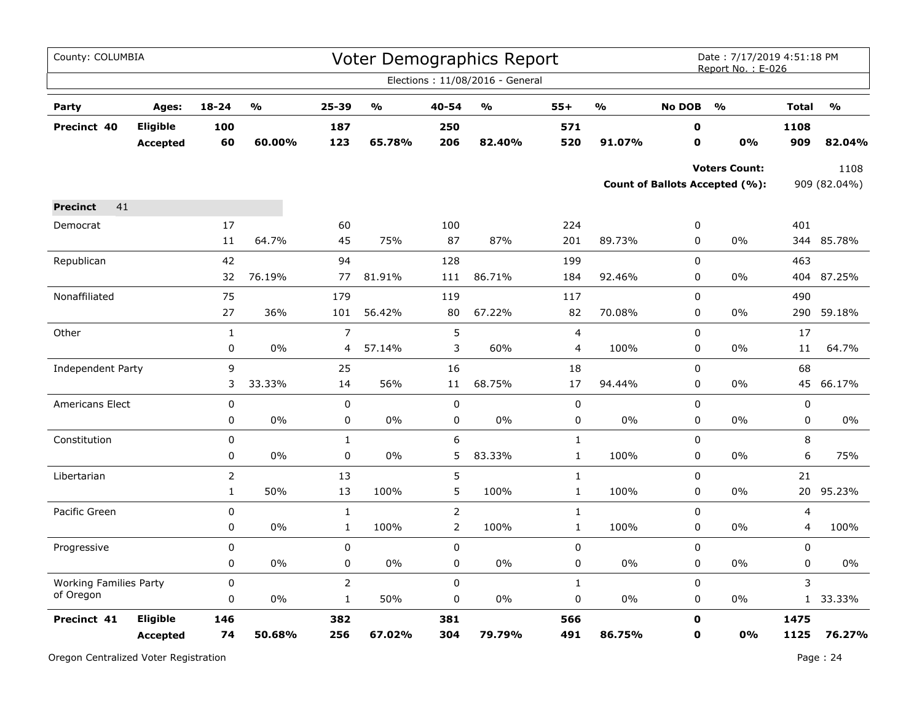| County: COLUMBIA              |                                    |                |        |                |        |                | Voter Demographics Report<br>Elections: 11/08/2016 - General |                |                                   |               | Date: 7/17/2019 4:51:18 PM<br>Report No.: E-026        |              |                                   |
|-------------------------------|------------------------------------|----------------|--------|----------------|--------|----------------|--------------------------------------------------------------|----------------|-----------------------------------|---------------|--------------------------------------------------------|--------------|-----------------------------------|
| Party                         | Ages:                              | $18 - 24$      | %      | 25-39          | %      | 40-54          | $\mathsf{o}\mathsf{v}_\mathsf{o}$                            | $55+$          | $\mathsf{o}\mathsf{v}_\mathsf{o}$ | <b>No DOB</b> | $\frac{1}{2}$                                          | <b>Total</b> | $\mathsf{o}\mathsf{v}_\mathsf{o}$ |
| Precinct 40                   | <b>Eligible</b><br><b>Accepted</b> | 100<br>60      | 60.00% | 187<br>123     | 65.78% | 250<br>206     | 82.40%                                                       | 571<br>520     | 91.07%                            | 0<br>0        | 0%                                                     | 1108<br>909  | 82.04%                            |
|                               |                                    |                |        |                |        |                |                                                              |                |                                   |               | <b>Voters Count:</b><br>Count of Ballots Accepted (%): |              | 1108<br>909 (82.04%)              |
| 41<br><b>Precinct</b>         |                                    |                |        |                |        |                |                                                              |                |                                   |               |                                                        |              |                                   |
| Democrat                      |                                    | 17             |        | 60             |        | 100            |                                                              | 224            |                                   | 0             |                                                        | 401          |                                   |
|                               |                                    | $11\,$         | 64.7%  | 45             | 75%    | 87             | 87%                                                          | 201            | 89.73%                            | $\pmb{0}$     | 0%                                                     | 344          | 85.78%                            |
| Republican                    |                                    | 42             |        | 94             |        | 128            |                                                              | 199            |                                   | $\mathbf 0$   |                                                        | 463          |                                   |
|                               |                                    | 32             | 76.19% | 77             | 81.91% | 111            | 86.71%                                                       | 184            | 92.46%                            | 0             | 0%                                                     |              | 404 87.25%                        |
| Nonaffiliated                 |                                    | 75             |        | 179            |        | 119            |                                                              | 117            |                                   | $\mathbf 0$   |                                                        | 490          |                                   |
|                               |                                    | 27             | 36%    | 101            | 56.42% | 80             | 67.22%                                                       | 82             | 70.08%                            | $\mathbf 0$   | 0%                                                     | 290          | 59.18%                            |
| Other                         |                                    | 1              |        | $\overline{7}$ |        | 5              |                                                              | $\overline{4}$ |                                   | $\mathbf 0$   |                                                        | 17           |                                   |
|                               |                                    | 0              | 0%     | 4              | 57.14% | 3              | 60%                                                          | 4              | 100%                              | 0             | 0%                                                     | 11           | 64.7%                             |
| Independent Party             |                                    | 9              |        | 25             |        | 16             |                                                              | 18             |                                   | $\mathbf 0$   |                                                        | 68           |                                   |
|                               |                                    | 3              | 33.33% | 14             | 56%    | 11             | 68.75%                                                       | 17             | 94.44%                            | 0             | $0\%$                                                  | 45           | 66.17%                            |
| Americans Elect               |                                    | 0              |        | $\pmb{0}$      |        | $\mathbf 0$    |                                                              | $\mathbf 0$    |                                   | $\pmb{0}$     |                                                        | $\mathbf 0$  |                                   |
|                               |                                    | 0              | 0%     | $\pmb{0}$      | 0%     | $\mathbf 0$    | 0%                                                           | 0              | $0\%$                             | 0             | 0%                                                     | 0            | 0%                                |
| Constitution                  |                                    | 0              |        | $\mathbf{1}$   |        | 6              |                                                              | $\mathbf{1}$   |                                   | $\mathbf 0$   |                                                        | 8            |                                   |
|                               |                                    | 0              | 0%     | $\mathbf 0$    | $0\%$  | 5              | 83.33%                                                       | $\mathbf 1$    | 100%                              | 0             | 0%                                                     | 6            | 75%                               |
| Libertarian                   |                                    | $\overline{2}$ |        | 13             |        | 5              |                                                              | $\mathbf 1$    |                                   | 0             |                                                        | 21           |                                   |
|                               |                                    | $\mathbf{1}$   | 50%    | 13             | 100%   | 5              | 100%                                                         | $\mathbf{1}$   | 100%                              | 0             | $0\%$                                                  | 20           | 95.23%                            |
| Pacific Green                 |                                    | 0              |        | $\mathbf 1$    |        | $\overline{2}$ |                                                              | $\mathbf 1$    |                                   | $\mathsf 0$   |                                                        | 4            |                                   |
|                               |                                    | 0              | 0%     | $\mathbf{1}$   | 100%   | $\overline{2}$ | 100%                                                         | $\mathbf{1}$   | 100%                              | 0             | 0%                                                     | 4            | 100%                              |
| Progressive                   |                                    | 0              |        | $\pmb{0}$      |        | 0              |                                                              | 0              |                                   | $\pmb{0}$     |                                                        | 0            |                                   |
|                               |                                    | 0              | 0%     | $\pmb{0}$      | 0%     | 0              | 0%                                                           | 0              | 0%                                | $\pmb{0}$     | 0%                                                     | 0            | 0%                                |
| <b>Working Families Party</b> |                                    | $\mathbf 0$    |        | $\overline{2}$ |        | $\mathbf 0$    |                                                              | $\mathbf{1}$   |                                   | $\mathbf 0$   |                                                        | 3            |                                   |
| of Oregon                     |                                    | 0              | $0\%$  | $\mathbf{1}$   | 50%    | 0              | $0\%$                                                        | 0              | 0%                                | 0             | $0\%$                                                  |              | 1 33.33%                          |
| Precinct 41                   | Eligible                           | 146            |        | 382            |        | 381            |                                                              | 566            |                                   | $\mathbf o$   |                                                        | 1475         |                                   |
|                               | Accepted                           | 74             | 50.68% | 256            | 67.02% | 304            | 79.79%                                                       | 491            | 86.75%                            | 0             | 0%                                                     | 1125         | 76.27%                            |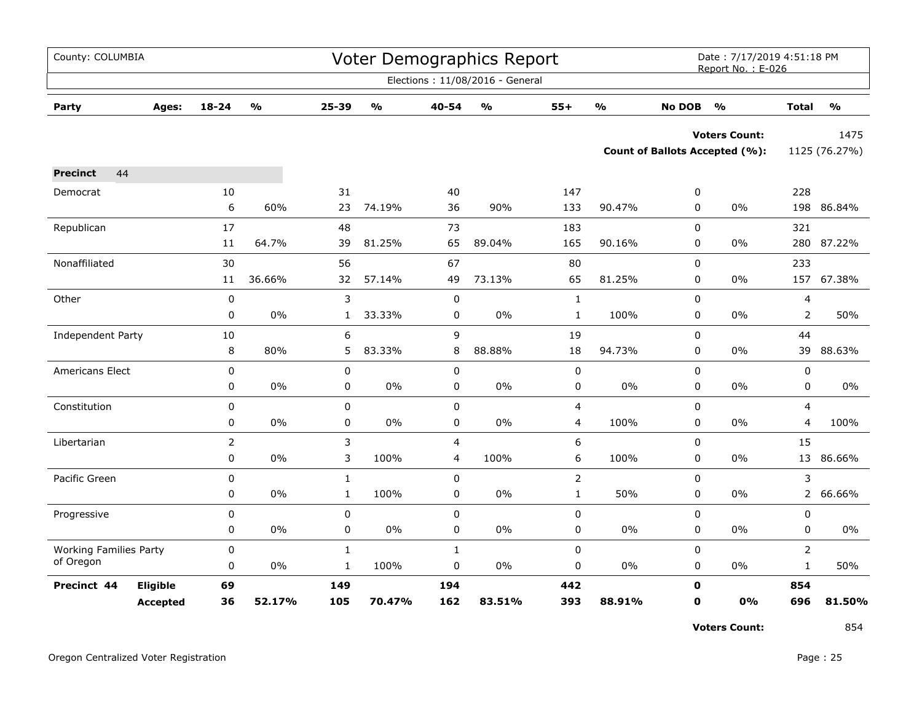| County: COLUMBIA              |          |                |                         |              |                                   |              | <b>Voter Demographics Report</b> |                |                         |               | Date: 7/17/2019 4:51:18 PM<br>Report No.: E-026 |                |                         |
|-------------------------------|----------|----------------|-------------------------|--------------|-----------------------------------|--------------|----------------------------------|----------------|-------------------------|---------------|-------------------------------------------------|----------------|-------------------------|
|                               |          |                |                         |              |                                   |              | Elections: 11/08/2016 - General  |                |                         |               |                                                 |                |                         |
| Party                         | Ages:    | $18 - 24$      | $\mathbf{O}/\mathbf{O}$ | 25-39        | $\mathsf{o}\mathsf{v}_\mathsf{o}$ | 40-54        | $\mathbf{O}/\mathbf{o}$          | $55+$          | $\mathbf{O}/\mathbf{O}$ | <b>No DOB</b> | $\frac{0}{0}$                                   | <b>Total</b>   | $\mathbf{O}/\mathbf{o}$ |
|                               |          |                |                         |              |                                   |              |                                  |                |                         |               | <b>Voters Count:</b>                            |                | 1475                    |
|                               |          |                |                         |              |                                   |              |                                  |                |                         |               | <b>Count of Ballots Accepted (%):</b>           |                | 1125 (76.27%)           |
| <b>Precinct</b><br>44         |          |                |                         |              |                                   |              |                                  |                |                         |               |                                                 |                |                         |
| Democrat                      |          | 10             |                         | 31           |                                   | 40           |                                  | 147            |                         | 0             |                                                 | 228            |                         |
|                               |          | 6              | 60%                     | 23           | 74.19%                            | 36           | 90%                              | 133            | 90.47%                  | 0             | 0%                                              | 198            | 86.84%                  |
| Republican                    |          | 17             |                         | 48           |                                   | 73           |                                  | 183            |                         | 0             |                                                 | 321            |                         |
|                               |          | 11             | 64.7%                   | 39           | 81.25%                            | 65           | 89.04%                           | 165            | 90.16%                  | 0             | $0\%$                                           | 280            | 87.22%                  |
| Nonaffiliated                 |          | 30             |                         | 56           |                                   | 67           |                                  | 80             |                         | $\mathbf 0$   |                                                 | 233            |                         |
|                               |          | 11             | 36.66%                  | 32           | 57.14%                            | 49           | 73.13%                           | 65             | 81.25%                  | 0             | 0%                                              |                | 157 67.38%              |
| Other                         |          | $\mathbf 0$    |                         | 3            |                                   | $\mathbf 0$  |                                  | $\mathbf 1$    |                         | 0             |                                                 | 4              |                         |
|                               |          | 0              | 0%                      | $\mathbf{1}$ | 33.33%                            | 0            | 0%                               | $\mathbf{1}$   | 100%                    | 0             | 0%                                              | 2              | 50%                     |
| Independent Party             |          | 10             |                         | 6            |                                   | 9            |                                  | 19             |                         | 0             |                                                 | 44             |                         |
|                               |          | 8              | 80%                     | 5            | 83.33%                            | 8            | 88.88%                           | 18             | 94.73%                  | 0             | $0\%$                                           | 39             | 88.63%                  |
| Americans Elect               |          | $\pmb{0}$      |                         | $\pmb{0}$    |                                   | 0            |                                  | 0              |                         | 0             |                                                 | $\pmb{0}$      |                         |
|                               |          | 0              | 0%                      | 0            | 0%                                | 0            | 0%                               | 0              | 0%                      | $\mathbf 0$   | $0\%$                                           | 0              | 0%                      |
| Constitution                  |          | 0              |                         | $\pmb{0}$    |                                   | 0            |                                  | 4              |                         | 0             |                                                 | $\overline{4}$ |                         |
|                               |          | 0              | 0%                      | 0            | 0%                                | 0            | 0%                               | 4              | 100%                    | 0             | 0%                                              | 4              | 100%                    |
| Libertarian                   |          | $\overline{2}$ |                         | 3            |                                   | 4            |                                  | 6              |                         | $\pmb{0}$     |                                                 | 15             |                         |
|                               |          | 0              | 0%                      | 3            | 100%                              | 4            | 100%                             | 6              | 100%                    | $\mathbf 0$   | $0\%$                                           | 13             | 86.66%                  |
| Pacific Green                 |          | 0              |                         | $\mathbf{1}$ |                                   | 0            |                                  | $\overline{2}$ |                         | $\pmb{0}$     |                                                 | 3              |                         |
|                               |          | 0              | 0%                      | $\mathbf{1}$ | 100%                              | 0            | 0%                               | $\mathbf{1}$   | 50%                     | $\mathbf 0$   | $0\%$                                           |                | 2 66.66%                |
| Progressive                   |          | 0              |                         | $\pmb{0}$    |                                   | 0            |                                  | 0              |                         | 0             |                                                 | $\pmb{0}$      |                         |
|                               |          | 0              | $0\%$                   | 0            | 0%                                | 0            | $0\%$                            | 0              | $0\%$                   | 0             | $0\%$                                           | 0              | 0%                      |
| <b>Working Families Party</b> |          | 0              |                         | $\mathbf{1}$ |                                   | $\mathbf{1}$ |                                  | 0              |                         | 0             |                                                 | 2              |                         |
| of Oregon                     |          | $\pmb{0}$      | 0%                      | $\mathbf{1}$ | 100%                              | 0            | 0%                               | 0              | $0\%$                   | 0             | $0\%$                                           | $\mathbf{1}$   | 50%                     |
| Precinct 44                   | Eligible | 69             |                         | 149          |                                   | 194          |                                  | 442            |                         | $\mathbf o$   |                                                 | 854            |                         |
|                               | Accepted | 36             | 52.17%                  | 105          | 70.47%                            | 162          | 83.51%                           | 393            | 88.91%                  | $\mathbf 0$   | 0%                                              | 696            | 81.50%                  |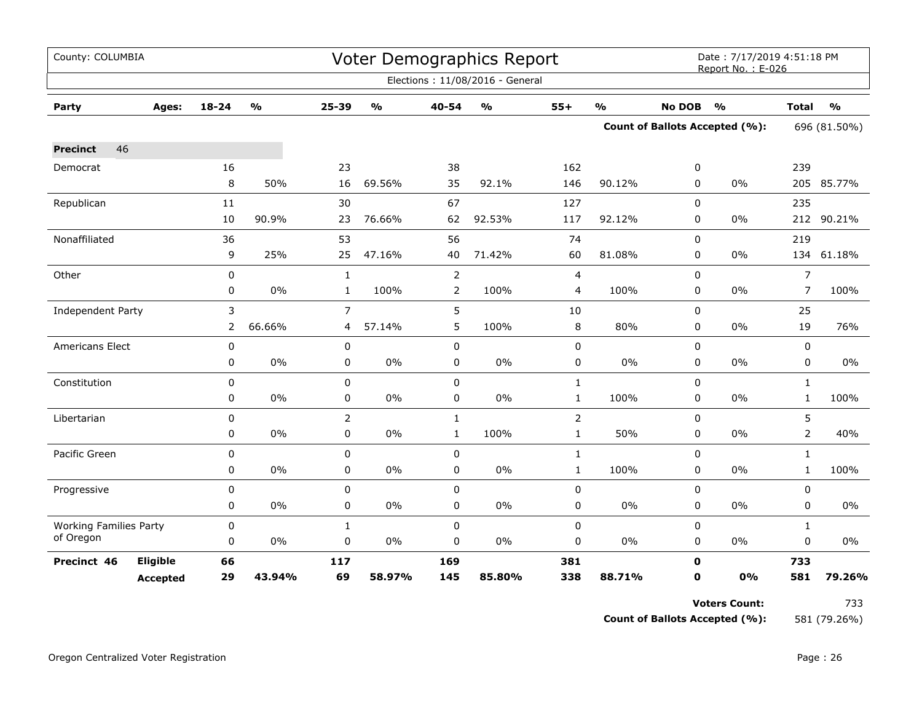| County: COLUMBIA              |                 |             |               |                |               |                | <b>Voter Demographics Report</b>  |                |                         |               | Date: 7/17/2019 4:51:18 PM<br>Report No.: E-026 |                |               |  |
|-------------------------------|-----------------|-------------|---------------|----------------|---------------|----------------|-----------------------------------|----------------|-------------------------|---------------|-------------------------------------------------|----------------|---------------|--|
|                               |                 |             |               |                |               |                | Elections: 11/08/2016 - General   |                |                         |               |                                                 |                |               |  |
| Party                         | Ages:           | $18 - 24$   | $\frac{0}{0}$ | 25-39          | $\frac{1}{2}$ | 40-54          | $\mathsf{o}\mathsf{v}_\mathsf{o}$ | $55+$          | $\mathbf{O}/\mathbf{o}$ | <b>No DOB</b> | $\frac{1}{2}$                                   | <b>Total</b>   | $\frac{1}{2}$ |  |
|                               |                 |             |               |                |               |                |                                   |                |                         |               | <b>Count of Ballots Accepted (%):</b>           | 696 (81.50%)   |               |  |
| 46<br><b>Precinct</b>         |                 |             |               |                |               |                |                                   |                |                         |               |                                                 |                |               |  |
| Democrat                      |                 | 16          |               | 23             |               | 38             |                                   | 162            |                         | 0             |                                                 | 239            |               |  |
|                               |                 | 8           | 50%           | 16             | 69.56%        | 35             | 92.1%                             | 146            | 90.12%                  | $\Omega$      | $0\%$                                           |                | 205 85.77%    |  |
| Republican                    |                 | 11          |               | 30             |               | 67             |                                   | 127            |                         | 0             |                                                 | 235            |               |  |
|                               |                 | 10          | 90.9%         | 23             | 76.66%        | 62             | 92.53%                            | 117            | 92.12%                  | 0             | 0%                                              |                | 212 90.21%    |  |
| Nonaffiliated                 |                 | 36          |               | 53             |               | 56             |                                   | 74             |                         | $\Omega$      |                                                 | 219            |               |  |
|                               |                 | 9           | 25%           | 25             | 47.16%        | 40             | 71.42%                            | 60             | 81.08%                  | 0             | 0%                                              |                | 134 61.18%    |  |
| Other                         |                 | 0           |               | $\mathbf{1}$   |               | $\overline{2}$ |                                   | 4              |                         | 0             |                                                 | $\overline{7}$ |               |  |
|                               |                 | 0           | 0%            | $\mathbf{1}$   | 100%          | $\overline{2}$ | 100%                              | 4              | 100%                    | 0             | 0%                                              | $\overline{7}$ | 100%          |  |
| Independent Party             |                 | 3           |               | $\overline{7}$ |               | 5              |                                   | 10             |                         | 0             |                                                 | 25             |               |  |
|                               |                 | 2           | 66.66%        | 4              | 57.14%        | 5              | 100%                              | 8              | 80%                     | 0             | 0%                                              | 19             | 76%           |  |
| <b>Americans Elect</b>        |                 | 0           |               | 0              |               | $\mathbf 0$    |                                   | $\pmb{0}$      |                         | 0             |                                                 | 0              |               |  |
|                               |                 | 0           | 0%            | 0              | $0\%$         | 0              | $0\%$                             | $\pmb{0}$      | $0\%$                   | 0             | 0%                                              | 0              | 0%            |  |
| Constitution                  |                 | $\pmb{0}$   |               | 0              |               | 0              |                                   | $\mathbf{1}$   |                         | 0             |                                                 | $\mathbf{1}$   |               |  |
|                               |                 | 0           | 0%            | 0              | $0\%$         | 0              | $0\%$                             | $\mathbf{1}$   | 100%                    | 0             | $0\%$                                           | $\mathbf{1}$   | 100%          |  |
| Libertarian                   |                 | $\mathbf 0$ |               | $\overline{2}$ |               | $\mathbf{1}$   |                                   | $\overline{2}$ |                         | 0             |                                                 | 5              |               |  |
|                               |                 | 0           | $0\%$         | 0              | $0\%$         | $\mathbf{1}$   | 100%                              | $\mathbf{1}$   | 50%                     | $\Omega$      | 0%                                              | $\overline{2}$ | 40%           |  |
| Pacific Green                 |                 | 0           |               | 0              |               | $\mathbf 0$    |                                   | $\mathbf{1}$   |                         | 0             |                                                 | $\mathbf{1}$   |               |  |
|                               |                 | 0           | 0%            | 0              | $0\%$         | 0              | $0\%$                             | $\mathbf{1}$   | 100%                    | 0             | $0\%$                                           | $\mathbf{1}$   | 100%          |  |
| Progressive                   |                 | 0           |               | 0              |               | $\pmb{0}$      |                                   | $\pmb{0}$      |                         | 0             |                                                 | 0              |               |  |
|                               |                 | 0           | 0%            | 0              | $0\%$         | 0              | $0\%$                             | 0              | 0%                      | 0             | $0\%$                                           | 0              | 0%            |  |
| <b>Working Families Party</b> |                 | 0           |               | $\mathbf{1}$   |               | $\pmb{0}$      |                                   | $\pmb{0}$      |                         | 0             |                                                 | $\mathbf{1}$   |               |  |
| of Oregon                     |                 | 0           | 0%            | 0              | $0\%$         | 0              | 0%                                | 0              | 0%                      | 0             | 0%                                              | 0              | 0%            |  |
| Precinct 46                   | Eligible        | 66          |               | 117            |               | 169            |                                   | 381            |                         | $\mathbf 0$   |                                                 | 733            |               |  |
|                               | <b>Accepted</b> | 29          | 43.94%        | 69             | 58.97%        | 145            | 85.80%                            | 338            | 88.71%                  | $\mathbf 0$   | 0%                                              | 581            | 79.26%        |  |

**Count of Ballots Accepted (%):** 581 (79.26%)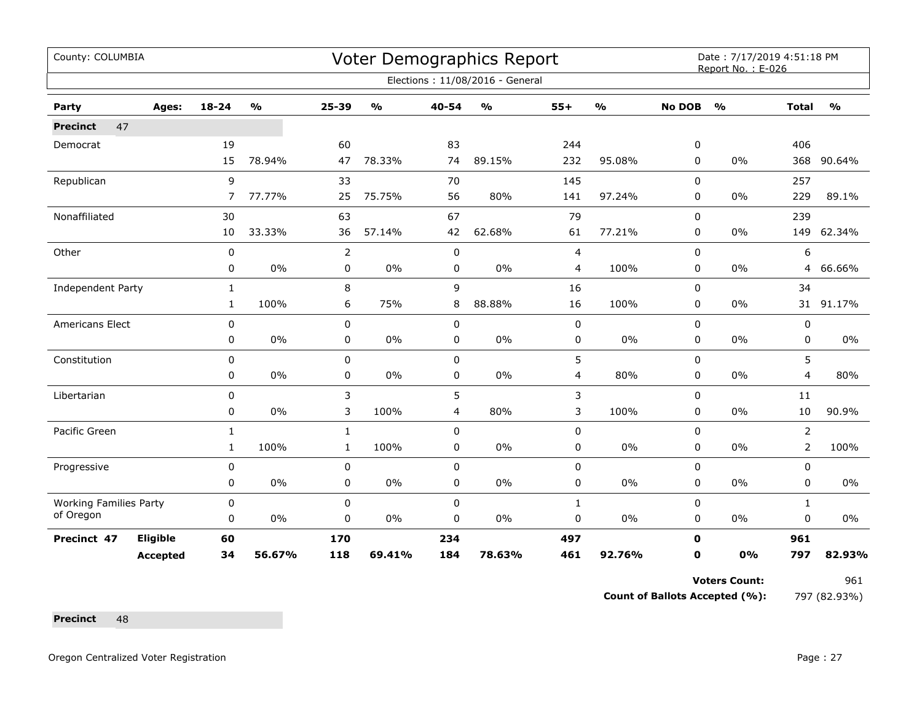| County: COLUMBIA              |                 |                |               |              |               |                | <b>Voter Demographics Report</b> |                |               |               | Date: 7/17/2019 4:51:18 PM<br>Report No.: E-026 |                |               |
|-------------------------------|-----------------|----------------|---------------|--------------|---------------|----------------|----------------------------------|----------------|---------------|---------------|-------------------------------------------------|----------------|---------------|
|                               |                 |                |               |              |               |                | Elections: 11/08/2016 - General  |                |               |               |                                                 |                |               |
| Party                         | Ages:           | $18 - 24$      | $\frac{0}{0}$ | 25-39        | $\frac{0}{0}$ | 40-54          | $\frac{1}{2}$                    | $55+$          | $\frac{1}{2}$ | <b>No DOB</b> | $\frac{1}{2}$                                   | <b>Total</b>   | $\frac{1}{2}$ |
| 47<br><b>Precinct</b>         |                 |                |               |              |               |                |                                  |                |               |               |                                                 |                |               |
| Democrat                      |                 | 19             |               | 60           |               | 83             |                                  | 244            |               | 0             |                                                 | 406            |               |
|                               |                 | 15             | 78.94%        | 47           | 78.33%        | 74             | 89.15%                           | 232            | 95.08%        | 0             | 0%                                              | 368            | 90.64%        |
| Republican                    |                 | 9              |               | 33           |               | 70             |                                  | 145            |               | 0             |                                                 | 257            |               |
|                               |                 | $\overline{7}$ | 77.77%        | 25           | 75.75%        | 56             | 80%                              | 141            | 97.24%        | 0             | 0%                                              | 229            | 89.1%         |
| Nonaffiliated                 |                 | 30             |               | 63           |               | 67             |                                  | 79             |               | 0             |                                                 | 239            |               |
|                               |                 | 10             | 33.33%        | 36           | 57.14%        | 42             | 62.68%                           | 61             | 77.21%        | 0             | 0%                                              | 149            | 62.34%        |
| Other                         |                 | $\mathbf 0$    |               | 2            |               | $\pmb{0}$      |                                  | $\overline{4}$ |               | $\mathbf 0$   |                                                 | 6              |               |
|                               |                 | 0              | 0%            | 0            | $0\%$         | 0              | $0\%$                            | 4              | 100%          | 0             | $0\%$                                           | $\overline{4}$ | 66.66%        |
| Independent Party             |                 | $\mathbf{1}$   |               | 8            |               | 9              |                                  | 16             |               | 0             |                                                 | 34             |               |
|                               |                 | $\mathbf{1}$   | 100%          | 6            | 75%           | 8              | 88.88%                           | 16             | 100%          | 0             | 0%                                              |                | 31 91.17%     |
| Americans Elect               |                 | $\pmb{0}$      |               | 0            |               | $\pmb{0}$      |                                  | $\pmb{0}$      |               | 0             |                                                 | 0              |               |
|                               |                 | 0              | 0%            | 0            | $0\%$         | 0              | $0\%$                            | 0              | $0\%$         | 0             | 0%                                              | 0              | 0%            |
| Constitution                  |                 | 0              |               | 0            |               | 0              |                                  | 5              |               | 0             |                                                 | 5              |               |
|                               |                 | 0              | 0%            | 0            | 0%            | 0              | 0%                               | 4              | 80%           | 0             | 0%                                              | 4              | 80%           |
| Libertarian                   |                 | 0              |               | 3            |               | 5              |                                  | 3              |               | 0             |                                                 | 11             |               |
|                               |                 | 0              | 0%            | 3            | 100%          | $\overline{4}$ | 80%                              | 3              | 100%          | $\mathbf 0$   | 0%                                              | 10             | 90.9%         |
| Pacific Green                 |                 | $\mathbf{1}$   |               | $\mathbf{1}$ |               | $\mathbf 0$    |                                  | $\pmb{0}$      |               | 0             |                                                 | $\overline{2}$ |               |
|                               |                 | $\mathbf{1}$   | 100%          | $\mathbf{1}$ | 100%          | $\mathbf 0$    | $0\%$                            | $\pmb{0}$      | $0\%$         | 0             | 0%                                              | $\overline{2}$ | 100%          |
| Progressive                   |                 | $\mathbf 0$    |               | 0            |               | $\mathbf 0$    |                                  | $\pmb{0}$      |               | $\mathbf 0$   |                                                 | 0              |               |
|                               |                 | 0              | $0\%$         | 0            | 0%            | $\pmb{0}$      | $0\%$                            | $\pmb{0}$      | $0\%$         | 0             | 0%                                              | 0              | 0%            |
| <b>Working Families Party</b> |                 | 0              |               | 0            |               | $\pmb{0}$      |                                  | $\mathbf{1}$   |               | $\mathbf 0$   |                                                 | $\mathbf{1}$   |               |
| of Oregon                     |                 | 0              | $0\%$         | 0            | 0%            | 0              | 0%                               | 0              | $0\%$         | 0             | 0%                                              | 0              | 0%            |
| Precinct 47                   | Eligible        | 60             |               | 170          |               | 234            |                                  | 497            |               | $\mathbf 0$   |                                                 | 961            |               |
|                               | <b>Accepted</b> | 34             | 56.67%        | 118          | 69.41%        | 184            | 78.63%                           | 461            | 92.76%        | 0             | 0%                                              | 797            | 82.93%        |

**Count of Ballots Accepted (%):** 797 (82.93%)

Precinct 48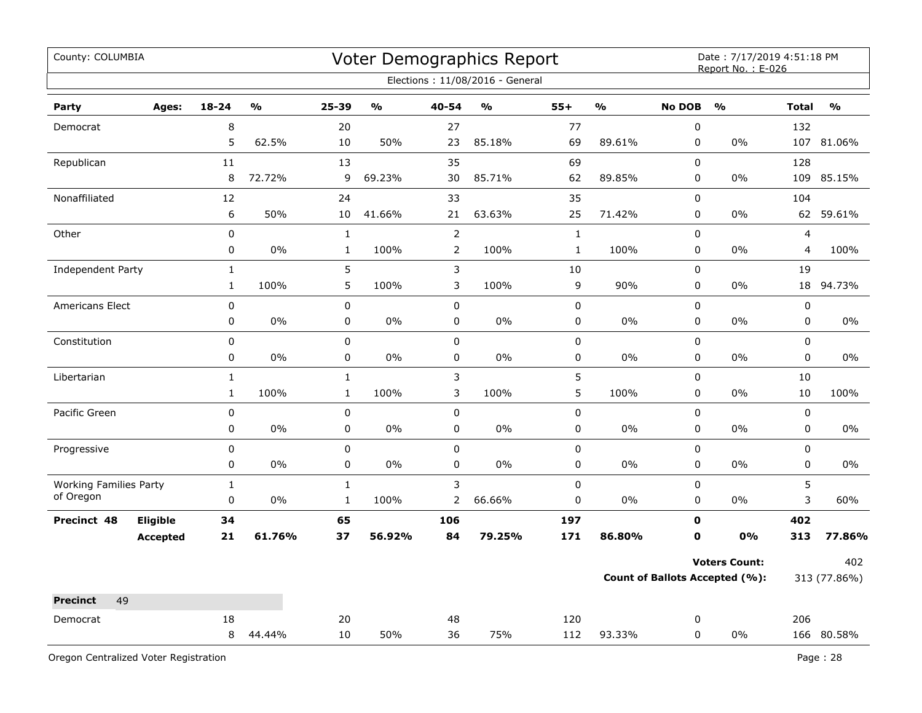| County: COLUMBIA              |                 |              |               |              |               |                | Voter Demographics Report       |              |                         |               | Date: 7/17/2019 4:51:18 PM<br>Report No.: E-026 |                |                         |
|-------------------------------|-----------------|--------------|---------------|--------------|---------------|----------------|---------------------------------|--------------|-------------------------|---------------|-------------------------------------------------|----------------|-------------------------|
|                               |                 |              |               |              |               |                | Elections: 11/08/2016 - General |              |                         |               |                                                 |                |                         |
| Party                         | Ages:           | $18 - 24$    | $\frac{0}{0}$ | 25-39        | $\frac{0}{0}$ | 40-54          | $\frac{0}{0}$                   | $55+$        | $\mathbf{O}/\mathbf{O}$ | <b>No DOB</b> | $\frac{0}{0}$                                   | <b>Total</b>   | $\mathbf{O}/\mathbf{O}$ |
| Democrat                      |                 | 8            |               | 20           |               | 27             |                                 | 77           |                         | $\pmb{0}$     |                                                 | 132            |                         |
|                               |                 | 5            | 62.5%         | $10\,$       | 50%           | 23             | 85.18%                          | 69           | 89.61%                  | 0             | $0\%$                                           | 107            | 81.06%                  |
| Republican                    |                 | $11\,$       |               | 13           |               | 35             |                                 | 69           |                         | $\pmb{0}$     |                                                 | 128            |                         |
|                               |                 | 8            | 72.72%        | 9            | 69.23%        | 30             | 85.71%                          | 62           | 89.85%                  | 0             | 0%                                              | 109            | 85.15%                  |
| Nonaffiliated                 |                 | 12           |               | 24           |               | 33             |                                 | 35           |                         | $\pmb{0}$     |                                                 | 104            |                         |
|                               |                 | 6            | 50%           | 10           | 41.66%        | 21             | 63.63%                          | 25           | 71.42%                  | 0             | 0%                                              |                | 62 59.61%               |
| Other                         |                 | $\pmb{0}$    |               | $\mathbf{1}$ |               | $\overline{2}$ |                                 | $\mathbf{1}$ |                         | 0             |                                                 | $\overline{4}$ |                         |
|                               |                 | 0            | 0%            | $\mathbf{1}$ | 100%          | $\overline{2}$ | 100%                            | $\mathbf{1}$ | 100%                    | 0             | 0%                                              | 4              | 100%                    |
| Independent Party             |                 | $\mathbf{1}$ |               | 5            |               | 3              |                                 | 10           |                         | 0             |                                                 | 19             |                         |
|                               |                 | $\mathbf{1}$ | 100%          | 5            | 100%          | 3              | 100%                            | 9            | 90%                     | 0             | 0%                                              | 18             | 94.73%                  |
| <b>Americans Elect</b>        |                 | 0            |               | $\pmb{0}$    |               | $\pmb{0}$      |                                 | 0            |                         | $\pmb{0}$     |                                                 | $\pmb{0}$      |                         |
|                               |                 | 0            | 0%            | $\pmb{0}$    | 0%            | 0              | 0%                              | 0            | 0%                      | 0             | 0%                                              | $\pmb{0}$      | 0%                      |
| Constitution                  |                 | 0            |               | 0            |               | $\mathbf 0$    |                                 | 0            |                         | $\mathbf 0$   |                                                 | $\mathbf 0$    |                         |
|                               |                 | 0            | 0%            | $\pmb{0}$    | $0\%$         | 0              | $0\%$                           | 0            | 0%                      | 0             | 0%                                              | $\pmb{0}$      | 0%                      |
| Libertarian                   |                 | $\mathbf{1}$ |               | $\mathbf{1}$ |               | 3              |                                 | 5            |                         | 0             |                                                 | 10             |                         |
|                               |                 | $\mathbf{1}$ | 100%          | $\mathbf{1}$ | 100%          | 3              | 100%                            | 5            | 100%                    | 0             | $0\%$                                           | 10             | 100%                    |
| Pacific Green                 |                 | $\pmb{0}$    |               | $\mathbf 0$  |               | $\mathbf 0$    |                                 | 0            |                         | $\mathbf 0$   |                                                 | $\pmb{0}$      |                         |
|                               |                 | 0            | 0%            | $\mathbf 0$  | 0%            | $\mathbf 0$    | 0%                              | 0            | 0%                      | $\mathbf 0$   | 0%                                              | $\mathbf 0$    | $0\%$                   |
| Progressive                   |                 | 0            |               | $\pmb{0}$    |               | 0              |                                 | 0            |                         | $\pmb{0}$     |                                                 | $\pmb{0}$      |                         |
|                               |                 | 0            | 0%            | $\mathbf 0$  | 0%            | 0              | 0%                              | 0            | 0%                      | 0             | $0\%$                                           | 0              | 0%                      |
| <b>Working Families Party</b> |                 | $\mathbf{1}$ |               | $\mathbf{1}$ |               | 3              |                                 | 0            |                         | $\pmb{0}$     |                                                 | 5              |                         |
| of Oregon                     |                 | $\pmb{0}$    | 0%            | $\mathbf 1$  | 100%          | 2              | 66.66%                          | 0            | 0%                      | 0             | 0%                                              | 3              | 60%                     |
| Precinct 48                   | Eligible        | 34           |               | 65           |               | 106            |                                 | 197          |                         | $\mathbf 0$   |                                                 | 402            |                         |
|                               | <b>Accepted</b> | 21           | 61.76%        | 37           | 56.92%        | 84             | 79.25%                          | 171          | 86.80%                  | $\mathbf 0$   | 0%                                              | 313            | 77.86%                  |
|                               |                 |              |               |              |               |                |                                 |              |                         |               | <b>Voters Count:</b>                            |                | 402                     |
|                               |                 |              |               |              |               |                |                                 |              |                         |               | <b>Count of Ballots Accepted (%):</b>           |                | 313 (77.86%)            |
| 49<br><b>Precinct</b>         |                 |              |               |              |               |                |                                 |              |                         |               |                                                 |                |                         |
| Democrat                      |                 | 18           |               | 20           |               | 48             |                                 | 120          |                         | 0             |                                                 | 206            |                         |
|                               |                 | 8            | 44.44%        | 10           | 50%           | 36             | 75%                             | 112          | 93.33%                  | 0             | 0%                                              |                | 166 80.58%              |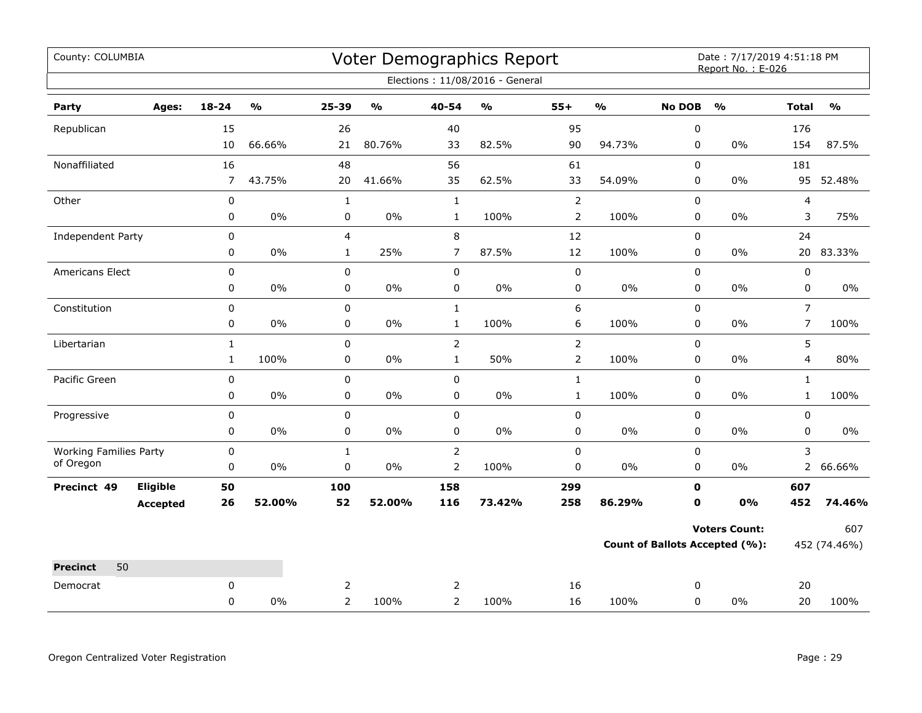| County: COLUMBIA                           |                 |                |                                   |                |                         |                | Voter Demographics Report         |                |                         |               | Date: 7/17/2019 4:51:18 PM<br>Report No.: E-026 |                         |               |
|--------------------------------------------|-----------------|----------------|-----------------------------------|----------------|-------------------------|----------------|-----------------------------------|----------------|-------------------------|---------------|-------------------------------------------------|-------------------------|---------------|
|                                            |                 |                |                                   |                |                         |                | Elections: 11/08/2016 - General   |                |                         |               |                                                 |                         |               |
| Party                                      | Ages:           | $18 - 24$      | $\mathsf{o}\mathsf{v}_\mathsf{o}$ | 25-39          | $\mathbf{0}/\mathbf{0}$ | 40-54          | $\mathsf{o}\mathsf{v}_\mathsf{o}$ | $55+$          | $\mathbf{O}/\mathbf{o}$ | <b>No DOB</b> | $\frac{1}{2}$                                   | <b>Total</b>            | $\frac{9}{0}$ |
| Republican                                 |                 | 15             |                                   | 26             |                         | 40             |                                   | 95             |                         | 0             |                                                 | 176                     |               |
|                                            |                 | 10             | 66.66%                            | 21             | 80.76%                  | 33             | 82.5%                             | 90             | 94.73%                  | $\mathbf 0$   | $0\%$                                           | 154                     | 87.5%         |
| Nonaffiliated                              |                 | 16             |                                   | 48             |                         | 56             |                                   | 61             |                         | 0             |                                                 | 181                     |               |
|                                            |                 | $\overline{7}$ | 43.75%                            | 20             | 41.66%                  | 35             | 62.5%                             | 33             | 54.09%                  | 0             | $0\%$                                           | 95                      | 52.48%        |
| Other                                      |                 | $\pmb{0}$      |                                   | $\mathbf{1}$   |                         | $\mathbf 1$    |                                   | $\overline{2}$ |                         | 0             |                                                 | $\overline{\mathbf{4}}$ |               |
|                                            |                 | 0              | $0\%$                             | $\pmb{0}$      | $0\%$                   | $\mathbf{1}$   | 100%                              | $\overline{2}$ | 100%                    | 0             | $0\%$                                           | 3                       | 75%           |
| Independent Party                          |                 | 0              |                                   | $\overline{4}$ |                         | 8              |                                   | 12             |                         | $\mathbf 0$   |                                                 | 24                      |               |
|                                            |                 | 0              | 0%                                | $\mathbf{1}$   | 25%                     | $\overline{7}$ | 87.5%                             | 12             | 100%                    | 0             | 0%                                              |                         | 20 83.33%     |
| Americans Elect                            |                 | $\pmb{0}$      |                                   | $\pmb{0}$      |                         | 0              |                                   | 0              |                         | 0             |                                                 | $\pmb{0}$               |               |
|                                            |                 | $\pmb{0}$      | $0\%$                             | $\pmb{0}$      | $0\%$                   | 0              | $0\%$                             | 0              | $0\%$                   | 0             | $0\%$                                           | $\pmb{0}$               | $0\%$         |
| Constitution                               |                 | 0              |                                   | 0              |                         | $\mathbf{1}$   |                                   | 6              |                         | $\Omega$      |                                                 | $\overline{7}$          |               |
|                                            |                 | 0              | 0%                                | $\pmb{0}$      | $0\%$                   | $\mathbf 1$    | 100%                              | 6              | 100%                    | 0             | $0\%$                                           | $\overline{7}$          | 100%          |
| Libertarian                                |                 | $\mathbf{1}$   |                                   | $\mathbf 0$    |                         | $\overline{2}$ |                                   | $\overline{2}$ |                         | $\mathbf 0$   |                                                 | 5                       |               |
|                                            |                 | $\mathbf{1}$   | 100%                              | 0              | $0\%$                   | $\mathbf{1}$   | 50%                               | $\overline{2}$ | 100%                    | $\mathbf 0$   | $0\%$                                           | $\overline{4}$          | 80%           |
| Pacific Green                              |                 | $\pmb{0}$      |                                   | $\pmb{0}$      |                         | $\pmb{0}$      |                                   | $\mathbf 1$    |                         | 0             |                                                 | $\mathbf{1}$            |               |
|                                            |                 | 0              | 0%                                | 0              | 0%                      | 0              | 0%                                | $\mathbf{1}$   | 100%                    | 0             | $0\%$                                           | $\mathbf{1}$            | 100%          |
| Progressive                                |                 | 0              |                                   | $\pmb{0}$      |                         | 0              |                                   | 0              |                         | 0             |                                                 | 0                       |               |
|                                            |                 | 0              | 0%                                | $\pmb{0}$      | 0%                      | 0              | 0%                                | 0              | $0\%$                   | 0             | $0\%$                                           | 0                       | $0\%$         |
| <b>Working Families Party</b><br>of Oregon |                 | $\pmb{0}$      |                                   | $\mathbf{1}$   |                         | $\overline{2}$ |                                   | 0              |                         | $\pmb{0}$     |                                                 | 3                       |               |
|                                            |                 | $\mathbf 0$    | 0%                                | $\mathbf 0$    | $0\%$                   | $\overline{2}$ | 100%                              | 0              | $0\%$                   | $\mathbf 0$   | $0\%$                                           | $\overline{2}$          | 66.66%        |
| Precinct 49                                | Eligible        | 50             |                                   | 100            |                         | 158            |                                   | 299            |                         | 0             |                                                 | 607                     |               |
|                                            | <b>Accepted</b> | 26             | 52.00%                            | 52             | 52.00%                  | 116            | 73.42%                            | 258            | 86.29%                  | $\mathbf 0$   | 0%                                              | 452                     | 74.46%        |
|                                            |                 |                |                                   |                |                         |                |                                   |                |                         |               | <b>Voters Count:</b>                            |                         | 607           |
|                                            |                 |                |                                   |                |                         |                |                                   |                |                         |               | <b>Count of Ballots Accepted (%):</b>           |                         | 452 (74.46%)  |
| 50<br><b>Precinct</b>                      |                 |                |                                   |                |                         |                |                                   |                |                         |               |                                                 |                         |               |
| Democrat                                   |                 | 0              |                                   | 2              |                         | 2              |                                   | 16             |                         | 0             |                                                 | 20                      |               |
|                                            |                 | 0              | 0%                                | $\overline{2}$ | 100%                    | $\overline{2}$ | 100%                              | 16             | 100%                    | 0             | $0\%$                                           | 20                      | 100%          |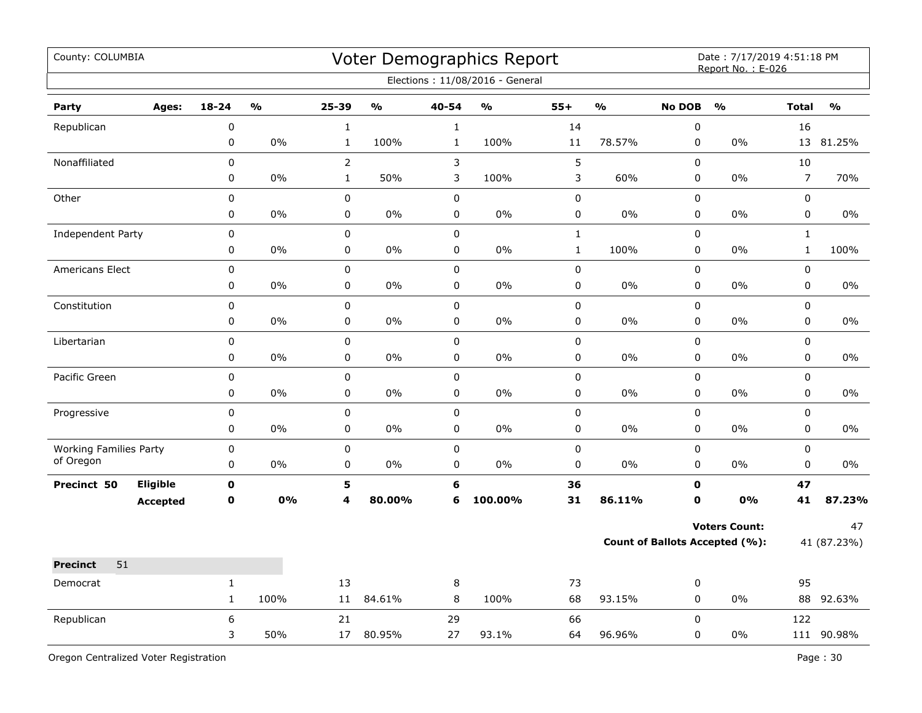| County: COLUMBIA              |                 |                  |               |                |               |             | Voter Demographics Report<br>Elections: 11/08/2016 - General |              |               |                                       | Date: 7/17/2019 4:51:18 PM<br>Report No.: E-026 |                |               |
|-------------------------------|-----------------|------------------|---------------|----------------|---------------|-------------|--------------------------------------------------------------|--------------|---------------|---------------------------------------|-------------------------------------------------|----------------|---------------|
| Party                         | Ages:           | $18 - 24$        | $\frac{0}{0}$ | $25 - 39$      | $\frac{1}{2}$ | 40-54       | $\frac{0}{0}$                                                | $55+$        | $\frac{1}{2}$ | <b>No DOB</b>                         | O <sub>0</sub>                                  | <b>Total</b>   | $\frac{0}{0}$ |
| Republican                    |                 | $\boldsymbol{0}$ |               | $\mathbf 1$    |               | $\mathbf 1$ |                                                              | 14           |               | $\pmb{0}$                             |                                                 | 16             |               |
|                               |                 | 0                | 0%            | $\mathbf{1}$   | 100%          | $\mathbf 1$ | 100%                                                         | $11\,$       | 78.57%        | 0                                     | 0%                                              | 13             | 81.25%        |
| Nonaffiliated                 |                 | 0                |               | $\overline{2}$ |               | 3           |                                                              | 5            |               | $\mathbf 0$                           |                                                 | 10             |               |
|                               |                 | 0                | 0%            | $\mathbf{1}$   | 50%           | 3           | 100%                                                         | 3            | 60%           | 0                                     | 0%                                              | $\overline{7}$ | 70%           |
| Other                         |                 | $\pmb{0}$        |               | $\pmb{0}$      |               | 0           |                                                              | 0            |               | $\pmb{0}$                             |                                                 | 0              |               |
|                               |                 | 0                | $0\%$         | 0              | $0\%$         | 0           | $0\%$                                                        | 0            | $0\%$         | 0                                     | $0\%$                                           | $\pmb{0}$      | $0\%$         |
| Independent Party             |                 | $\pmb{0}$        |               | $\pmb{0}$      |               | 0           |                                                              | $\mathbf{1}$ |               | $\pmb{0}$                             |                                                 | $\mathbf{1}$   |               |
|                               |                 | 0                | 0%            | 0              | 0%            | 0           | 0%                                                           | $\mathbf 1$  | 100%          | $\pmb{0}$                             | 0%                                              | $\mathbf{1}$   | 100%          |
| Americans Elect               |                 | 0                |               | $\pmb{0}$      |               | $\pmb{0}$   |                                                              | 0            |               | $\pmb{0}$                             |                                                 | $\mathbf 0$    |               |
|                               |                 | 0                | 0%            | 0              | 0%            | 0           | 0%                                                           | 0            | 0%            | 0                                     | 0%                                              | $\mathbf 0$    | $0\%$         |
| Constitution                  |                 | 0                |               | $\mathsf 0$    |               | $\pmb{0}$   |                                                              | 0            |               | $\pmb{0}$                             |                                                 | $\mathsf 0$    |               |
|                               |                 | 0                | 0%            | $\mathsf 0$    | 0%            | 0           | 0%                                                           | 0            | 0%            | 0                                     | 0%                                              | $\mathsf 0$    | 0%            |
| Libertarian                   |                 | $\pmb{0}$        |               | $\mathsf 0$    |               | $\mathsf 0$ |                                                              | 0            |               | $\pmb{0}$                             |                                                 | $\mathsf 0$    |               |
|                               |                 | 0                | $0\%$         | $\pmb{0}$      | $0\%$         | 0           | 0%                                                           | 0            | $0\%$         | 0                                     | 0%                                              | 0              | $0\%$         |
| Pacific Green                 |                 | $\pmb{0}$        |               | $\pmb{0}$      |               | $\mathbf 0$ |                                                              | 0            |               | $\pmb{0}$                             |                                                 | $\mathsf 0$    |               |
|                               |                 | 0                | 0%            | 0              | 0%            | 0           | 0%                                                           | 0            | 0%            | $\pmb{0}$                             | 0%                                              | $\mathsf 0$    | 0%            |
| Progressive                   |                 | 0                |               | $\pmb{0}$      |               | 0           |                                                              | 0            |               | 0                                     |                                                 | $\pmb{0}$      |               |
|                               |                 | 0                | 0%            | $\mathbf 0$    | 0%            | 0           | 0%                                                           | 0            | 0%            | $\pmb{0}$                             | 0%                                              | 0              | 0%            |
| <b>Working Families Party</b> |                 | $\pmb{0}$        |               | $\pmb{0}$      |               | 0           |                                                              | 0            |               | 0                                     |                                                 | 0              |               |
| of Oregon                     |                 | 0                | 0%            | 0              | 0%            | 0           | 0%                                                           | $\pmb{0}$    | 0%            | 0                                     | 0%                                              | $\pmb{0}$      | 0%            |
| Precinct 50                   | Eligible        | $\mathbf 0$      |               | 5              |               | 6           |                                                              | 36           |               | $\mathbf 0$                           |                                                 | 47             |               |
|                               | <b>Accepted</b> | $\mathbf 0$      | 0%            | 4              | 80.00%        | 6           | 100.00%                                                      | 31           | 86.11%        | $\mathbf{O}$                          | 0%                                              | 41             | 87.23%        |
|                               |                 |                  |               |                |               |             |                                                              |              |               |                                       | <b>Voters Count:</b>                            |                | 47            |
|                               |                 |                  |               |                |               |             |                                                              |              |               | <b>Count of Ballots Accepted (%):</b> |                                                 | 41 (87.23%)    |               |
| 51<br><b>Precinct</b>         |                 |                  |               |                |               |             |                                                              |              |               |                                       |                                                 |                |               |
| Democrat                      |                 | $\mathbf{1}$     |               | 13             |               | $\, 8$      |                                                              | 73           |               | 0                                     |                                                 | 95             |               |
|                               |                 | $\mathbf{1}$     | 100%          | 11             | 84.61%        | 8           | 100%                                                         | 68           | 93.15%        | 0                                     | 0%                                              |                | 88 92.63%     |
| Republican                    |                 | 6                |               | 21             |               | 29          |                                                              | 66           |               | $\mathbf 0$                           |                                                 | 122            |               |
|                               |                 | 3                | 50%           | 17             | 80.95%        | 27          | 93.1%                                                        | 64           | 96.96%        | $\mathbf 0$                           | 0%                                              |                | 111 90.98%    |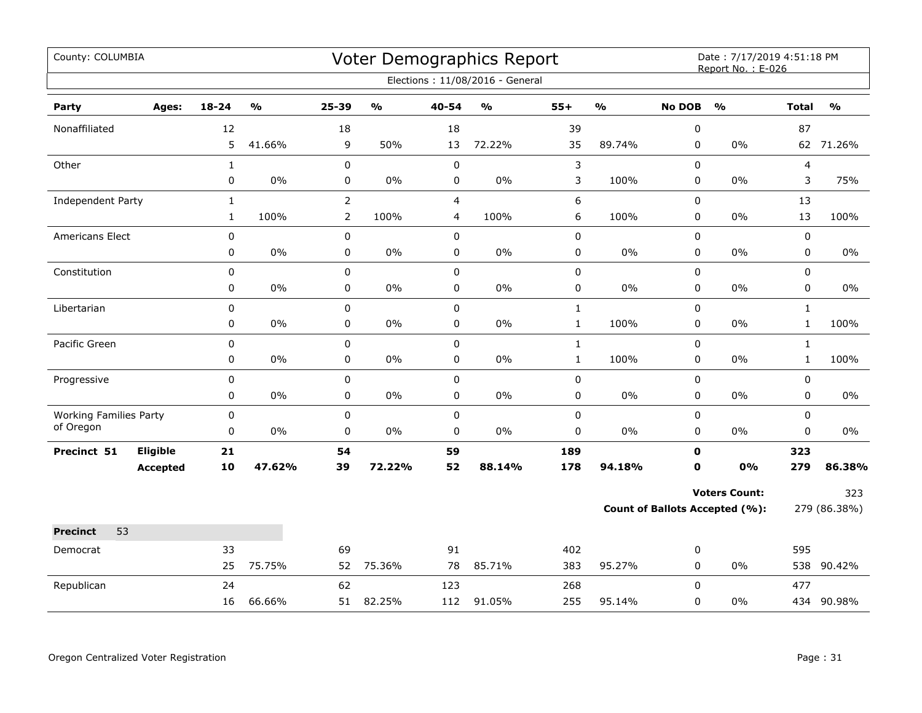| County: COLUMBIA                           |                 |              |               |                |               |                | <b>Voter Demographics Report</b> |              |               |                  | Date: 7/17/2019 4:51:18 PM<br>Report No.: E-026 |              |               |
|--------------------------------------------|-----------------|--------------|---------------|----------------|---------------|----------------|----------------------------------|--------------|---------------|------------------|-------------------------------------------------|--------------|---------------|
|                                            |                 |              |               |                |               |                | Elections: 11/08/2016 - General  |              |               |                  |                                                 |              |               |
| Party                                      | Ages:           | $18 - 24$    | $\frac{0}{0}$ | 25-39          | $\frac{0}{0}$ | $40 - 54$      | $\frac{1}{2}$                    | $55+$        | $\frac{0}{0}$ | <b>No DOB</b>    | $\frac{1}{2}$                                   | <b>Total</b> | $\frac{0}{0}$ |
| Nonaffiliated                              |                 | 12           |               | 18             |               | 18             |                                  | 39           |               | $\boldsymbol{0}$ |                                                 | 87           |               |
|                                            |                 | 5            | 41.66%        | 9              | 50%           | 13             | 72.22%                           | 35           | 89.74%        | 0                | 0%                                              |              | 62 71.26%     |
| Other                                      |                 | $\mathbf{1}$ |               | 0              |               | $\mathbf 0$    |                                  | 3            |               | $\mathbf 0$      |                                                 | 4            |               |
|                                            |                 | $\pmb{0}$    | 0%            | 0              | 0%            | 0              | 0%                               | 3            | 100%          | 0                | 0%                                              | 3            | 75%           |
| Independent Party                          |                 | $\mathbf{1}$ |               | $\overline{2}$ |               | $\overline{4}$ |                                  | 6            |               | 0                |                                                 | 13           |               |
|                                            |                 | $\mathbf{1}$ | 100%          | $\overline{2}$ | 100%          | 4              | 100%                             | 6            | 100%          | 0                | 0%                                              | 13           | 100%          |
| <b>Americans Elect</b>                     |                 | $\pmb{0}$    |               | 0              |               | $\mathbf 0$    |                                  | $\pmb{0}$    |               | 0                |                                                 | 0            |               |
|                                            |                 | 0            | 0%            | 0              | $0\%$         | $\mathbf 0$    | $0\%$                            | $\pmb{0}$    | $0\%$         | 0                | 0%                                              | 0            | $0\%$         |
| Constitution                               |                 | $\pmb{0}$    |               | $\mathbf 0$    |               | $\pmb{0}$      |                                  | $\pmb{0}$    |               | $\pmb{0}$        |                                                 | 0            |               |
|                                            |                 | $\pmb{0}$    | 0%            | 0              | $0\%$         | 0              | $0\%$                            | $\pmb{0}$    | $0\%$         | 0                | 0%                                              | 0            | 0%            |
| Libertarian                                |                 | 0            |               | $\mathbf 0$    |               | $\mathbf 0$    |                                  | $\mathbf{1}$ |               | $\mathbf 0$      |                                                 | $\mathbf{1}$ |               |
|                                            |                 | 0            | 0%            | 0              | 0%            | $\mathbf 0$    | $0\%$                            | $\mathbf{1}$ | 100%          | 0                | 0%                                              | $\mathbf{1}$ | 100%          |
| Pacific Green                              |                 | $\mathbf 0$  |               | $\mathbf 0$    |               | $\mathbf 0$    |                                  | $\mathbf{1}$ |               | $\mathbf 0$      |                                                 | $\mathbf{1}$ |               |
|                                            |                 | 0            | $0\%$         | 0              | 0%            | 0              | $0\%$                            | $\mathbf{1}$ | 100%          | 0                | 0%                                              | $\mathbf{1}$ | 100%          |
| Progressive                                |                 | $\pmb{0}$    |               | $\mathbf 0$    |               | $\pmb{0}$      |                                  | $\pmb{0}$    |               | 0                |                                                 | 0            |               |
|                                            |                 | 0            | 0%            | 0              | $0\%$         | $\pmb{0}$      | $0\%$                            | $\pmb{0}$    | $0\%$         | 0                | 0%                                              | 0            | $0\%$         |
| <b>Working Families Party</b><br>of Oregon |                 | 0            |               | 0              |               | $\pmb{0}$      |                                  | $\pmb{0}$    |               | $\pmb{0}$        |                                                 | 0            |               |
|                                            |                 | 0            | 0%            | 0              | $0\%$         | $\pmb{0}$      | $0\%$                            | $\pmb{0}$    | $0\%$         | 0                | $0\%$                                           | 0            | $0\%$         |
| Precinct 51                                | Eligible        | 21           |               | 54             |               | 59             |                                  | 189          |               | $\mathbf 0$      |                                                 | 323          |               |
|                                            | <b>Accepted</b> | 10           | 47.62%        | 39             | 72.22%        | 52             | 88.14%                           | 178          | 94.18%        | $\mathbf 0$      | 0%                                              | 279          | 86.38%        |
|                                            |                 |              |               |                |               |                |                                  |              |               |                  | <b>Voters Count:</b>                            |              | 323           |
|                                            |                 |              |               |                |               |                |                                  |              |               |                  | <b>Count of Ballots Accepted (%):</b>           |              | 279 (86.38%)  |
| <b>Precinct</b><br>53                      |                 |              |               |                |               |                |                                  |              |               |                  |                                                 |              |               |
| Democrat                                   |                 | 33           |               | 69             |               | 91             |                                  | 402          |               | 0                |                                                 | 595          |               |
|                                            |                 | 25           | 75.75%        | 52             | 75.36%        | 78             | 85.71%                           | 383          | 95.27%        | 0                | 0%                                              | 538          | 90.42%        |
| Republican                                 |                 | 24           |               | 62             |               | 123            |                                  | 268          |               | $\mathbf 0$      |                                                 | 477          |               |
|                                            |                 | 16           | 66.66%        | 51             | 82.25%        | 112            | 91.05%                           | 255          | 95.14%        | 0                | 0%                                              |              | 434 90.98%    |